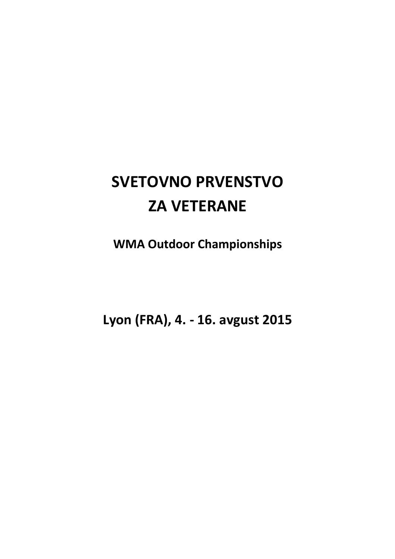# **SVETOVNO PRVENSTVO ZA VETERANE**

**WMA Outdoor Championships** 

**Lyon (FRA), 4. - 16. avgust 2015**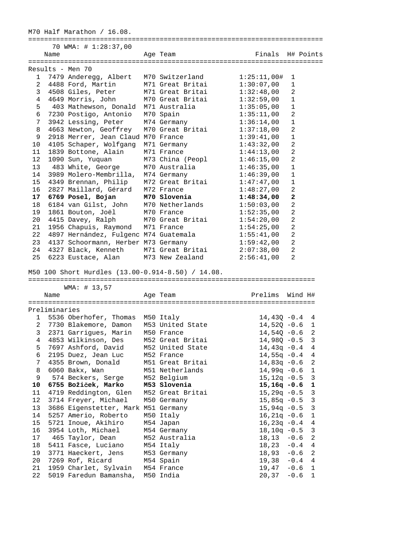M70 Half Marathon / 16.08. ========================================================================== 70 WMA: # 1:28:37,00 Name **Age Team** Age Team Finals H# Points ========================================================================== Results - Men 70 1 7479 Anderegg, Albert M70 Switzerland 1:25:11,00# 1 2 4488 Ford, Martin M71 Great Britai 1:30:07,00 1 3 4508 Giles, Peter M71 Great Britai 1:32:48,00 2 4 4649 Morris, John M70 Great Britai 1:32:59,00 1 5 403 Mathewson, Donald M71 Australia 1:35:05,00 1 6 7230 Postigo, Antonio M70 Spain 1:35:11,00 2 7 3942 Lessing, Peter M74 Germany 1:36:14,00 1 8 4663 Newton, Geoffrey M70 Great Britai 1:37:18,00 2 9 2918 Merrer, Jean Claud M70 France 1:39:41,00 1 10 4105 Schaper, Wolfgang M71 Germany 1:43:32,00 2 11 1839 Bottone, Alain M71 France 1:44:13,00 2 12 1090 Sun, Yuquan M73 China (Peopl 1:46:15,00 2 13 483 White, George M70 Australia 1:46:35,00 1 14 3989 Molero-Membrilla, M74 Germany 1:46:39,00 1 15 4349 Brennan, Philip M72 Great Britai 1:47:47,00 1 16 2827 Maillard, Gérard M72 France 1:48:27,00 2  **17 6769 Posel, Bojan M70 Slovenia 1:48:34,00 2**  18 6184 van Gilst, John M70 Netherlands 1:50:03,00 2 19 1861 Bouton, Joël M70 France 1:52:35,00 2 20 4415 Davey, Ralph M70 Great Britai 1:54:20,00 2 21 1956 Chapuis, Raymond M71 France 1:54:25,00 2 22 4897 Hernández, Fulgenc M74 Guatemala 1:55:41,00 2 23 4137 Schoormann, Herber M73 Germany 1:59:42,00 2 24 4327 Black, Kenneth M71 Great Britai 2:07:38,00 2 25 6223 Eustace, Alan M73 New Zealand 2:56:41,00 2 M50 100 Short Hurdles (13.00-0.914-8.50) / 14.08. ======================================================================== WMA: # 13,57 Name Age Team Prelims Wind H# ======================================================================== Preliminaries 1 5536 Oberhofer, Thomas M50 Italy 14,43Q -0.4 4<br>2 7730 Blakemore, Damon M53 United State 14,52Q -0.6 1 2 7730 Blakemore, Damon M53 United State 14,52Q -0.6 1 3 2371 Garrigues, Marin M50 France 14,54Q -0.6 2 4 4853 Wilkinson, Des M52 Great Britai 14,98Q -0.5 3 5 7697 Ashford, David M52 United State 14,43q -0.4 4 6 2195 Duez, Jean Luc M52 France 14,55q -0.4 4 7 4355 Brown, Donald M51 Great Britai 14,83q -0.6 2 8 6060 Bakx, Wan M51 Netherlands 14,99q -0.6 1 9 574 Beckers, Serge M52 Belgium 15,12q -0.5 3  **10 6755 Božiček, Marko M53 Slovenia 15,16q -0.6 1**  11 4719 Reddington, Glen M52 Great Britai 15,29q -0.5 3 12 3714 Freyer, Michael M50 Germany 15,85q -0.5 3 13 3686 Eigenstetter, Mark M51 Germany 15,94q -0.5 3 14 5257 Amerio, Roberto M50 Italy 16,21q -0.6 1 15 5721 Inoue, Akihiro M54 Japan 16,23q -0.4 4 16 3954 Loth, Michael M54 Germany 18,10q -0.5 3 17 465 Taylor, Dean M52 Australia 18,13 -0.6 2 18 5411 Fasce, Luciano M54 Italy 18,23 -0.4 4 19 3771 Haeckert, Jens M53 Germany 18,93 -0.6 2 20 7269 Rof, Ricard M54 Spain 19,38 -0.4 4 21 1959 Charlet, Sylvain M54 France 19,47 -0.6 1 22 5019 Faredun Bamansha, M50 India 20,37 -0.6 1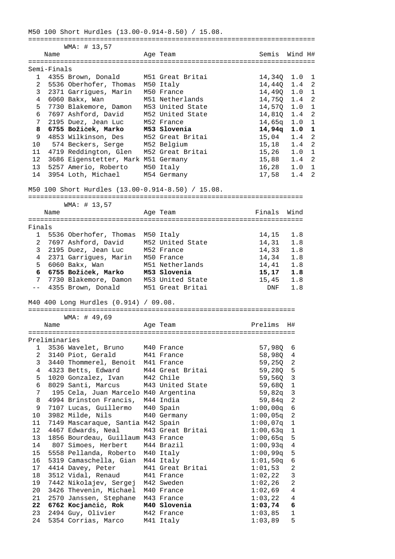M50 100 Short Hurdles (13.00-0.914-8.50) / 15.08. ======================================================================== WMA: # 13,57 Name Age Team Semis Wind H# ======================================================================== Semi-Finals<br>1 4355 Brown, Donald M51 Great Britai 1 4355 Brown, Donald M51 Great Britai 14,34Q 1.0 1 2 5536 Oberhofer, Thomas M50 Italy 14,440 1.4 2 3 2371 Garrigues, Marin M50 France 14,49Q 1.0 1 4 6060 Bakx, Wan M51 Netherlands 14,75Q 1.4 2 5 7730 Blakemore, Damon M53 United State 14,57Q 1.0 1 6 7697 Ashford, David M52 United State 14,81Q 1.4 2 7 2195 Duez, Jean Luc M52 France 14,65q 1.0 1  **8 6755 Božiček, Marko M53 Slovenia 14,94q 1.0 1**  9 4853 Wilkinson, Des M52 Great Britai 15,04 1.4 2 10 574 Beckers, Serge M52 Belgium 15,18 1.4 2 11 4719 Reddington, Glen M52 Great Britai 15,26 1.0 1 12 3686 Eigenstetter, Mark M51 Germany 15,88 1.4 2 13 5257 Amerio, Roberto M50 Italy 16,28 1.0 1 11 1/12 Nextrangeon, erem 12 erem 11-11-1/12 Nextrangeon, erem 12 erem 11-11-1/12<br>
12 3686 Eigenstetter, Mark M51 Germany 115,88 1.4 2<br>
14 3954 Loth, Michael M54 Germany 17,58 1.4 2 M50 100 Short Hurdles (13.00-0.914-8.50) / 15.08. ===================================================================== WMA: # 13,57 Name **Age Team** Age Team Finals Wind ===================================================================== Finals 1 5536 Oberhofer, Thomas M50 Italy 14,15 1.8<br>
2 7697 Ashford, David M52 United State 14,31 1.8<br>
3 2195 Duez, Jean Luc M52 France 14,33 1.8<br>
4 2371 Garrigues, Marin M50 France 14,34 1.8 2 7697 Ashford, David M52 United State 14,31 1.8 3 2195 Duez, Jean Luc M52 France 14,33 1.8 4 2371 Garrigues, Marin M50 France 14,34 1.8 5 6060 Bakx, Wan M51 Netherlands 14,41 1.8  **6 6755 Božiček, Marko M53 Slovenia 15,17 1.8**  7 7730 Blakemore, Damon M53 United State 15,45 1.8 -- 4355 Brown, Donald M51 Great Britai DNF 1.8 M40 400 Long Hurdles (0.914) / 09.08. =================================================================== WMA: # 49,69 Name Age Team Prelims H# =================================================================== Preliminaries 1 3536 Wavelet, Bruno M40 France 57,98Q 6 2 3140 Piot, Gerald M41 France 58,98Q 4 3 3440 Thommerel, Benoit M41 France 59,25Q 2 4 4323 Betts, Edward M44 Great Britai 59,28Q 5 5 1020 Gonzalez, Ivan M42 Chile 59,56Q 3 6 8029 Santi, Marcus M43 United State 59,68Q 1 7 195 Cela, Juan Marcelo M40 Argentina 59,82q 3 8 4994 Brinston Francis, M44 India 59,84q 2 9 7107 Lucas, Guillermo M40 Spain 1:00,00q 6 10 3982 Milde, Nils M40 Germany 1:00,05q 2 11 7149 Mascaraque, Santia M42 Spain 1:00,07q 1 12 4467 Edwards, Neal M43 Great Britai 1:00,63q 1 13 1856 Bourdeau, Guillaum M43 France 1:00,65q 5 14 807 Simoes, Herbert M44 Brazil 1:00,93q 4 15 5558 Pellanda, Roberto M40 Italy 1:00,99q 5 16 5319 Camaschella, Gian M44 Italy 1:01,50q 6 17 4414 Davey, Peter M41 Great Britai 1:01,53 2 18 3512 Vidal, Renaud M41 France 1:02,22 3 19 7442 Nikolajev, Sergej M42 Sweden 1:02,26 2 20 3426 Thevenin, Michael M40 France 1:02,69 4 21 2570 Janssen, Stephane M43 France 1:03,22 4  **22 6762 Kocjančič, Rok M40 Slovenia 1:03,74 6**  23 2494 Guy, Olivier M42 France 1:03,85 1 24 5354 Corrias, Marco M41 Italy 1:03,89 5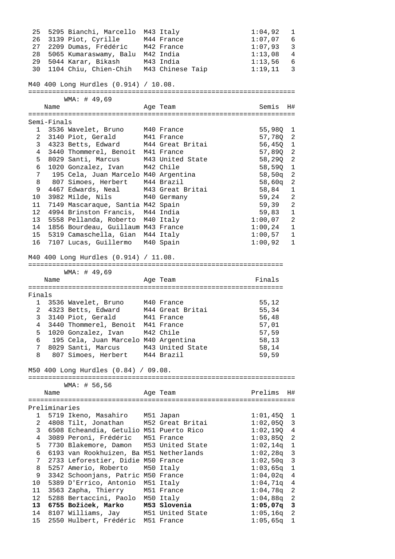25 5295 Bianchi, Marcello M43 Italy 1:04,92 1 26 3139 Piot, Cyrille M44 France 1:07,07 6 27 2209 Dumas, Frédéric M42 France 1:07,93 3 25 5295 Bianchi, Marcello M43 Italy 1:04,92 1<br>
26 3139 Piot, Cyrille M44 France 1:07,07 6<br>
27 2209 Dumas, Frédéric M42 France 1:07,93 3<br>
28 5065 Kumaraswamy, Balu M42 India 1:13,08 4 29 5044 Karar, Bikash M43 India 1:13,56 6<br>29 1121 1:13,56 6 30 1104 Chiu, Chien-Chih M43 Chinese Taip 1:19,11 3 M40 400 Long Hurdles (0.914) / 10.08. =================================================================== WMA: # 49,69 Name **Age Team Age Team** Semis H# =================================================================== Semi-Finals 1 3536 Wavelet, Bruno M40 France 55,98Q 1 2 3140 Piot, Gerald M41 France 57,78Q 2 3 4323 Betts, Edward M44 Great Britai 56,45Q 1 4 3440 Thommerel, Benoit M41 France 57,89Q 2 5 8029 Santi, Marcus M43 United State 58,29Q 2 6 1020 Gonzalez, Ivan M42 Chile 58,59Q 1 7 195 Cela, Juan Marcelo M40 Argentina 58,50q 2 8 807 Simoes, Herbert M44 Brazil 58,60q 2 9 4467 Edwards, Neal M43 Great Britai 58,84 1 10 3982 Milde, Nils M40 Germany 59,24 2 11 7149 Mascaraque, Santia M42 Spain 59,39 2 12 4994 Brinston Francis, M44 India 59,83 1 13 5558 Pellanda, Roberto M40 Italy 1:00,07 2 14 1856 Bourdeau, Guillaum M43 France 1:00,24 1 15 5319 Camaschella, Gian M44 Italy 1:00,57 1 16 7107 Lucas, Guillermo M40 Spain 1:00,92 1 M40 400 Long Hurdles (0.914) / 11.08. ================================================================ WMA: # 49,69 Name **Age Team** Age Team Finals ================================================================ Finals 1 3536 Wavelet, Bruno M40 France 55,12 2 4323 Betts, Edward M44 Great Britai 55,34 3 3140 Piot, Gerald M41 France 56,48 4 3440 Thommerel, Benoit M41 France 57,01 5 1020 Gonzalez, Ivan M42 Chile 57,59 6 195 Cela, Juan Marcelo M40 Argentina 58,13 7 8029 Santi, Marcus M43 United State 58,14 8 807 Simoes, Herbert M44 Brazil 59,59 M50 400 Long Hurdles (0.84) / 09.08. =================================================================== WMA: # 56,56 Name and Age Team and Prelims H# =================================================================== Preliminaries 1 5719 Ikeno, Masahiro M51 Japan 1:01,45Q 1 2 4808 Tilt, Jonathan M52 Great Britai 1:02,05Q 3 3 6508 Echeandia, Getulio M51 Puerto Rico 1:02,19Q 4 4 3089 Peroni, Frédéric M51 France 1:03,85Q 2 5 7730 Blakemore, Damon M53 United State 1:02,14q 1 6 6193 van Rookhuizen, Ba M51 Netherlands 1:02,28q 3 7 2733 Leforestier, Didie M50 France 1:02,50q 3 8 5257 Amerio, Roberto M50 Italy 1:03,65q 1 9 3342 Schoonjans, Patric M50 France 1:04,02q 4 10 5389 D'Errico, Antonio M51 Italy 1:04,71q 4 11 3563 Zapha, Thierry M51 France 1:04,78q 2 12 5288 Bertaccini, Paolo M50 Italy 1:04,88q 2  **13 6755 Božiček, Marko M53 Slovenia 1:05,07q 3**  14 8107 Williams, Jay M51 United State 1:05,16q 2 15 2550 Hulbert, Frédéric M51 France 1:05,65q 1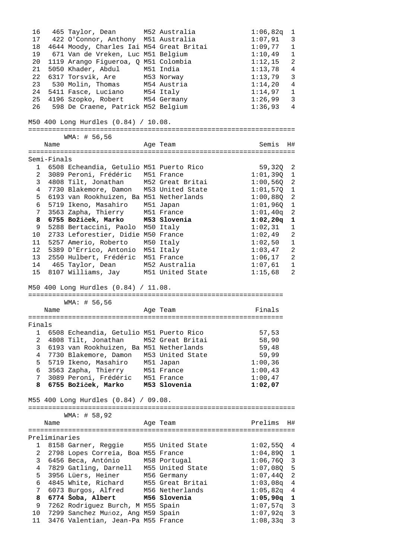| 16              |               | 465 Taylor, Dean                                                        | M52 Australia   | 1:06,82q                 | 1                                 |
|-----------------|---------------|-------------------------------------------------------------------------|-----------------|--------------------------|-----------------------------------|
| 17              |               | 422 O'Connor, Anthony M51 Australia                                     |                 | 1:07,91                  | 3                                 |
| 18              |               | 4644 Moody, Charles Iai M54 Great Britai                                |                 | 1:09,77                  | 1                                 |
| 19              |               | 671 Van de Vreken, Luc M51 Belgium                                      |                 | 1:10,49                  | $\mathbf 1$                       |
| 20              |               | 1119 Arango Figueroa, Q M51 Colombia                                    |                 | 1:12,15                  | $\overline{2}$                    |
| 21              |               | 5050 Khader, Abdul M51 India                                            |                 | 1:13,78                  | 4                                 |
| 22              |               | 6317 Torsvik, Are                                                       | M53 Norway      | 1:13,79                  | $\mathbf{3}$                      |
| 23              |               | 530 Molin, Thomas                                                       | M54 Austria     | 1:14,20                  | $\overline{4}$                    |
|                 |               |                                                                         |                 |                          |                                   |
| 24              |               | 5411 Fasce, Luciano                                                     | M54 Italy       | 1:14,97                  | $\mathbf{1}$                      |
| 25              |               | 4196 Szopko, Robert M54 Germany                                         |                 | 1:26,99                  | $\mathbf{3}$                      |
| 26              |               | 598 De Craene, Patrick M52 Belgium                                      |                 | 1:36,93                  | 4                                 |
|                 |               | M50 400 Long Hurdles (0.84) / 10.08.                                    |                 |                          |                                   |
|                 |               | WMA: # 56,56                                                            |                 |                          |                                   |
|                 | Name          |                                                                         | Age Team        | Semis                    | H#                                |
|                 | Semi-Finals   |                                                                         |                 |                          |                                   |
|                 |               | 1 6508 Echeandia, Getulio M51 Puerto Rico                               |                 | $59,320$ 2               |                                   |
|                 |               | 2 3089 Peroni, Frédéric M51 France                                      |                 | $1:01,39Q$ 1             |                                   |
|                 |               | 3 4808 Tilt, Jonathan M52 Great Britai                                  |                 | $1:00,56Q$ 2             |                                   |
| 4               |               | 7730 Blakemore, Damon M53 United State                                  |                 | $1:01,570$ 1             |                                   |
| 5               |               | 6193 van Rookhuizen, Ba M51 Netherlands                                 |                 | $1:00,88Q$ 2             |                                   |
| 6               |               |                                                                         |                 | 1:01,96Q                 | $\overline{\phantom{0}}$          |
|                 |               | 5719 Ikeno, Masahiro M51 Japan                                          |                 |                          |                                   |
| $7\overline{ }$ |               | 3563 Zapha, Thierry M51 France                                          |                 | $1:01,40q$ 2             |                                   |
| 8               |               | 6755 Božiček, Marko M53 Slovenia                                        |                 | $1:02,20q$ 1             |                                   |
| 9               |               | 5288 Bertaccini, Paolo M50 Italy                                        |                 | 1:02,31                  | $\mathbf{1}$                      |
|                 |               | 10 2733 Leforestier, Didie M50 France                                   |                 | 1:02,49                  | $\overline{c}$                    |
|                 |               | 11 5257 Amerio, Roberto M50 Italy                                       |                 | 1:02,50                  | $\mathbf{1}$                      |
|                 |               | 12 5389 D'Errico, Antonio M51 Italy                                     |                 | 1:03,47                  | 2                                 |
| 13              |               | 2550 Hulbert, Frédéric M51 France                                       |                 | 1:06,17                  | 2                                 |
| 14              |               | 465 Taylor, Dean     M52 Australia                                      |                 | 1:07,61                  | 1                                 |
| 15              |               | 8107 Williams, Jay M51 United State                                     |                 | 1:15,68                  | $\overline{a}$                    |
|                 |               | M50 400 Long Hurdles (0.84) / 11.08.                                    |                 |                          |                                   |
|                 |               |                                                                         |                 |                          |                                   |
|                 | Name          | WMA: # 56,56                                                            | Age Team        | Finals                   |                                   |
|                 |               |                                                                         |                 |                          |                                   |
| Finals          |               |                                                                         |                 |                          |                                   |
| 1               |               | 6508 Echeandia, Getulio M51 Puerto Rico                                 |                 | 57,53                    |                                   |
| $\overline{2}$  |               | 4808 Tilt, Jonathan M52 Great Britai                                    |                 | 58,90                    |                                   |
|                 |               | 3 6193 van Rookhuizen, Ba M51 Netherlands                               |                 | 59,48                    |                                   |
| $4\overline{ }$ |               | 7730 Blakemore, Damon M53 United State                                  |                 | 59,99                    |                                   |
|                 |               | 5719 Ikeno, Masahiro M51 Japan                                          |                 | 1:00,36                  |                                   |
| 5               |               | 6 3563 Zapha, Thierry M51 France                                        |                 |                          |                                   |
|                 |               |                                                                         |                 | 1:00,43                  |                                   |
|                 |               | 7 3089 Peroni, Frédéric M51 France                                      |                 | 1:00,47                  |                                   |
|                 |               | 8 6755 Božiček, Marko M53 Slovenia                                      |                 | 1:02,07                  |                                   |
|                 |               | M55 400 Long Hurdles (0.84) / 09.08.                                    |                 |                          |                                   |
|                 |               | WMA: # 58,92                                                            |                 |                          |                                   |
|                 | Name          |                                                                         | Age Team        | Prelims                  | H#                                |
|                 |               |                                                                         |                 |                          |                                   |
|                 | Preliminaries |                                                                         |                 |                          |                                   |
|                 |               | 1 8158 Garner, Reggie M55 United State                                  |                 | $1:02,550$ 4             |                                   |
|                 |               |                                                                         |                 | $1:04,890$ 1             |                                   |
|                 |               |                                                                         |                 |                          |                                   |
|                 |               | 2 2798 Lopes Correia, Boa M55 France                                    |                 |                          |                                   |
|                 |               | 3 6456 Beca, António M58 Portugal                                       |                 | $1:06,76Q$ 3             |                                   |
|                 |               | 4 7829 Gatling, Darnell M55 United State                                |                 | $1:07$ ,08Q              |                                   |
| 5               |               | 3956 Lüers, Heiner M56 Germany                                          |                 | $1:07$ , $44Q$           |                                   |
|                 |               | 6 4845 White, Richard M55 Great Britai                                  |                 | 1:03,08q                 |                                   |
| $7\overline{ }$ |               | 6073 Burgos, Alfred                                                     | M56 Netherlands | $1:05,82q$ 4             |                                   |
|                 |               | 8 6774 Šoba, Albert M56 Slovenia                                        |                 | $1:05,90q$ 1             |                                   |
| 9               |               | 7262 Rodriguez Burch, M M55 Spain                                       |                 | $1:07,57q$ 3             |                                   |
| 10              |               |                                                                         |                 |                          | 5<br>$\overline{a}$<br>$\sqrt{4}$ |
| 11              |               | 7299 Sanchez Muńoz, Ang M59 Spain<br>3476 Valentian, Jean-Pa M55 France |                 | $1:07,92q$ 3<br>1:08,33q | 3                                 |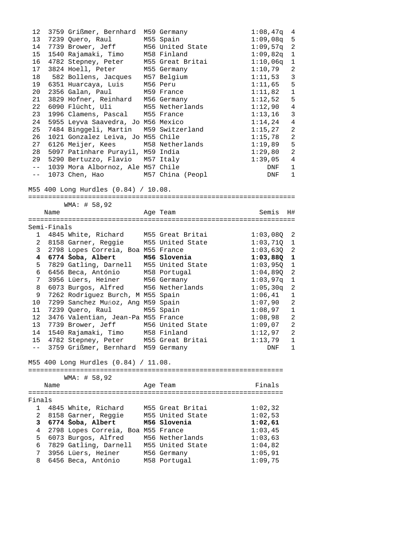| 12              |             | 3759 Grißmer, Bernhard                                | M59 Germany      | $1:08,47q$ 4 |                          |
|-----------------|-------------|-------------------------------------------------------|------------------|--------------|--------------------------|
| 13              |             | 7239 Quero, Raul                                      | M55 Spain        | $1:09,08q$ 5 |                          |
| 14              |             | 7739 Brower, Jeff                                     | M56 United State | $1:09,57q$ 2 |                          |
| 15              |             | 1540 Rajamaki, Timo                                   | M58 Finland      | 1:09,82q     | 1                        |
|                 |             | 16 4782 Stepney, Peter                                | M55 Great Britai | 1:10,06q     | 1                        |
| 17              |             | 3824 Hoell, Peter                                     | M55 Germany      | 1:10,79      | 2                        |
| 18              |             |                                                       |                  | 1:11,53      | $\overline{3}$           |
| 19              |             | 582 Bollens, Jacques M57 Belgium                      | M56 Peru         | 1:11,65      | 5                        |
|                 |             | 6351 Huarcaya, Luis                                   |                  |              |                          |
| 20              |             | 2356 Galan, Paul<br>3829 Hofner, Reinhard M56 Germany | M59 France       | 1:11,82      | $\mathbf{1}$             |
| 21              |             |                                                       |                  | 1:12,52      | 5                        |
| 22              |             | 6090 Flücht, Uli                                      | M55 Netherlands  | 1:12,90      | $\overline{4}$           |
| 23              |             | 1996 Clamens, Pascal                                  | M55 France       | 1:13,16      | $\mathbf{3}$             |
| 24              |             | 5955 Leyva Saavedra, Jo M56 Mexico                    |                  | 1:14,24      | $\overline{4}$           |
| 25              |             | 7484 Binggeli, Martin                                 | M59 Switzerland  | 1:15,27      | 2                        |
| 26              |             | 1021 Gonzalez Leiva, Jo M55 Chile                     |                  | 1:15,78      | 2                        |
| 27              |             | 6126 Meijer, Kees M58 Netherlands                     |                  | 1:19,89      | 5                        |
| 28              |             | 5097 Patinhare Purayil, M59 India                     |                  | 1:29,80      | 2                        |
| 29              |             | 5290 Bertuzzo, Flavio M57 Italy                       |                  | 1:39,05      | 4                        |
| $- \,$          |             | 1039 Mora Albornoz, Ale M57 Chile                     |                  | DNF          | $\mathbf{1}$             |
| $- -$           |             | 1073 Chen, Hao                                        | M57 China (Peopl | DNF          | $\mathbf{1}$             |
|                 |             |                                                       |                  |              |                          |
|                 |             | M55 400 Long Hurdles (0.84) / 10.08.                  |                  |              |                          |
|                 |             |                                                       |                  |              |                          |
|                 |             | WMA: # 58,92                                          |                  |              |                          |
|                 |             |                                                       |                  |              |                          |
|                 | Name        |                                                       | Age Team         | Semis        | H#                       |
|                 |             |                                                       |                  |              |                          |
|                 | Semi-Finals |                                                       |                  |              |                          |
| 1               |             | 4845 White, Richard M55 Great Britai                  |                  | $1:03,08Q$ 2 |                          |
| $\overline{a}$  |             | 8158 Garner, Reggie M55 United State                  |                  | $1:03,710$ 1 |                          |
| 3               |             | 2798 Lopes Correia, Boa M55 France                    |                  | $1:03,63Q$ 2 |                          |
| 4               |             | 6774 Šoba, Albert                                     | M56 Slovenia     | $1:03,88Q$ 1 |                          |
| 5               |             | 7829 Gatling, Darnell M55 United State                |                  | 1:03,95Q     | $\overline{\phantom{a}}$ |
| 6               |             | 6456 Beca, António                                    | M58 Portugal     | 1:04,89Q     | 2                        |
| 7               |             | 3956 Lüers, Heiner                                    | M56 Germany      | 1:03,97q     | 1                        |
| 8               |             | 6073 Burgos, Alfred                                   | M56 Netherlands  | 1:05,30q     | 2                        |
| 9               |             | 7262 Rodriguez Burch, M M55 Spain                     |                  | 1:06,41      | $\mathbf{1}$             |
| 10 <sub>o</sub> |             | 7299 Sanchez Munoz, Ang M59 Spain                     |                  | 1:07,90      | 2                        |
| 11              |             | 7239 Quero, Raul                                      | M55 Spain        | $1:08,97$ 1  |                          |
| 12 <sup>°</sup> |             | 3476 Valentian, Jean-Pa M55 France                    |                  | $1:08,98$ 2  |                          |
|                 |             | 13 7739 Brower, Jeff M56 United State                 |                  | $1:09,07$ 2  |                          |
| 14              |             | 1540 Rajamaki, Timo                                   | M58 Finland      | 1:12,97      | 2                        |
|                 |             |                                                       |                  |              |                          |
| 15              |             | 4782 Stepney, Peter                                   | M55 Great Britai | 1:13,79      | 1                        |
| $- -$           |             | 3759 Grißmer, Bernhard M59 Germany                    |                  | DNF          | $\mathbf{1}$             |
|                 |             |                                                       |                  |              |                          |
|                 |             | M55 400 Long Hurdles (0.84) / 11.08.                  |                  |              |                          |
|                 |             |                                                       |                  |              |                          |
|                 |             | WMA: # 58,92                                          |                  |              |                          |
|                 | Name        |                                                       | Age Team         | Finals       |                          |
|                 |             |                                                       |                  |              |                          |
| Finals          |             |                                                       |                  |              |                          |
| $\mathbf{1}$    |             | 4845 White, Richard                                   | M55 Great Britai | 1:02,32      |                          |
| $\overline{2}$  |             | 8158 Garner, Reggie                                   | M55 United State | 1:02,53      |                          |
| 3               |             | 6774 Šoba, Albert                                     | M56 Slovenia     | 1:02,61      |                          |
| 4               |             | 2798 Lopes Correia, Boa M55 France                    |                  | 1:03,45      |                          |
| 5               |             | 6073 Burgos, Alfred                                   | M56 Netherlands  | 1:03,63      |                          |
| 6               |             | 7829 Gatling, Darnell                                 | M55 United State | 1:04,82      |                          |
| 7               |             | 3956 Lüers, Heiner                                    | M56 Germany      | 1:05,91      |                          |
| 8               |             | 6456 Beca, António                                    | M58 Portugal     | 1:09,75      |                          |
|                 |             |                                                       |                  |              |                          |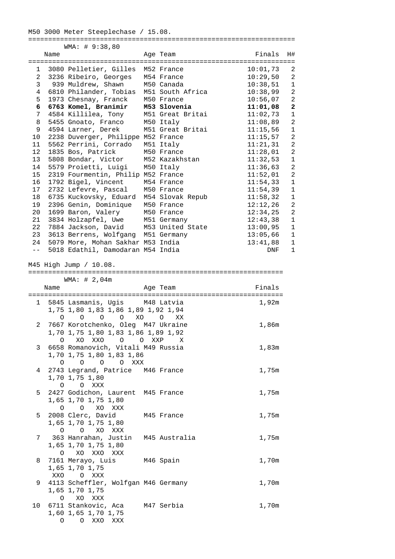| 1 3080 Pelletier, Gilles M52 France<br>10:01,73<br>2 3236 Ribeiro, Georges M54 France<br>10:29,50<br>3 939 Muldrew, Shawn<br>M50 Canada<br>10:38,51<br>4 6810 Philander, Tobias M51 South Africa<br>10:38,99<br>1973 Chesnay, Franck<br>5<br>M50 France<br>10:56,07<br>6 6763 Komel, Branimir M53 Slovenia<br>11:01,08<br>7 4584 Killilea, Tony<br>M51 Great Britai<br>11:02,73<br>5455 Gnoato, Franco<br>M50 Italy<br>11:08,89<br>8<br>4594 Larner, Derek<br>11:15,56<br>9<br>M51 Great Britai<br>2238 Duverger, Philippe M52 France<br>11:15,57<br>10<br>5562 Perrini, Corrado<br>M51 Italy<br>11<br>11:21,31<br>12 <sup>12</sup><br>1835 Bos, Patrick<br>M50 France<br>11:28,01<br>5808 Bondar, Victor<br>13<br>M52 Kazakhstan<br>11:32,53<br>5579 Proietti, Luigi M50 Italy<br>14<br>11:36,63<br>15<br>2319 Fourmentin, Philip M52 France<br>11:52,01<br>1792 Bigel, Vincent<br>16<br>M54 France<br>11:54,33<br>17<br>2732 Lefevre, Pascal<br>11:54,39<br>M50 France<br>6735 Kuckovsky, Eduard M54 Slovak Repub<br>18<br>11:58,32<br>2396 Genin, Dominique M50 France<br>12:12,26<br>19<br>1699 Baron, Valery M50 France<br>20<br>12:34,25<br>3834 Holzapfel, Uwe M51 Germany<br>21<br>12:43,38<br>22<br>7884 Jackson, David M53 United State<br>13:00,95<br>23<br>3613 Berrens, Wolfgang M51 Germany<br>13:05,66<br>24 5079 More, Mohan Sakhar M53 India<br>13:41,88<br>$ -$<br>5018 Edathil, Damodaran M54 India<br>DNF<br>M45 High Jump / 10.08.<br>WMA: # 2,04m<br>Name<br>Finals<br>Age Team<br>1 5845 Lasmanis, Ugis M48 Latvia<br>1,92m<br>1,75 1,80 1,83 1,86 1,89 1,92 1,94<br>0 0 XO 0 XX<br>$\circ$ $\circ$<br>7667 Korotchenko, Oleg M47 Ukraine<br>1,86m<br>$2^{\circ}$<br>1,70 1,75 1,80 1,83 1,86 1,89 1,92<br>0 XO XXO O O XXP X<br>6658 Romanovich, Vitali M49 Russia<br>1,83m<br>3<br>1,70 1,75 1,80 1,83 1,86<br>0 0 0 0 XXX<br>2743 Legrand, Patrice M46 France<br>4<br>1,75m<br>1,70 1,75 1,80<br>O O XXX<br>2427 Godichon, Laurent M45 France<br>5<br>1,75m<br>1,65 1,70 1,75 1,80<br>$O$ $O$ $XO$ $XXX$<br>2008 Clerc, David<br>5<br>1,75m<br>M45 France<br>1,65 1,70 1,75 1,80<br>O O XO XXX<br>363 Hanrahan, Justin M45 Australia<br>1,75m<br>7<br>1,65 1,70 1,75 1,80<br>0 XO XXO XXX<br>7161 Merayo, Luis M46 Spain<br>1,70m<br>8<br>1,65 1,70 1,75<br>XXO O XXX<br>4113 Scheffler, Wolfgan M46 Germany<br>1,70m<br>9<br>1,65 1,70 1,75 | Name | WMA: # 9:38,80 | Age Team | Finals | H#                           |
|------------------------------------------------------------------------------------------------------------------------------------------------------------------------------------------------------------------------------------------------------------------------------------------------------------------------------------------------------------------------------------------------------------------------------------------------------------------------------------------------------------------------------------------------------------------------------------------------------------------------------------------------------------------------------------------------------------------------------------------------------------------------------------------------------------------------------------------------------------------------------------------------------------------------------------------------------------------------------------------------------------------------------------------------------------------------------------------------------------------------------------------------------------------------------------------------------------------------------------------------------------------------------------------------------------------------------------------------------------------------------------------------------------------------------------------------------------------------------------------------------------------------------------------------------------------------------------------------------------------------------------------------------------------------------------------------------------------------------------------------------------------------------------------------------------------------------------------------------------------------------------------------------------------------------------------------------------------------------------------------------------------------------------------------------------------------------------------------------------------------------------------------------------------------------------------------------------------------------------------------------------------------------------------------------------------------------------------------------------------------|------|----------------|----------|--------|------------------------------|
|                                                                                                                                                                                                                                                                                                                                                                                                                                                                                                                                                                                                                                                                                                                                                                                                                                                                                                                                                                                                                                                                                                                                                                                                                                                                                                                                                                                                                                                                                                                                                                                                                                                                                                                                                                                                                                                                                                                                                                                                                                                                                                                                                                                                                                                                                                                                                                        |      |                |          |        |                              |
|                                                                                                                                                                                                                                                                                                                                                                                                                                                                                                                                                                                                                                                                                                                                                                                                                                                                                                                                                                                                                                                                                                                                                                                                                                                                                                                                                                                                                                                                                                                                                                                                                                                                                                                                                                                                                                                                                                                                                                                                                                                                                                                                                                                                                                                                                                                                                                        |      |                |          |        | 2                            |
|                                                                                                                                                                                                                                                                                                                                                                                                                                                                                                                                                                                                                                                                                                                                                                                                                                                                                                                                                                                                                                                                                                                                                                                                                                                                                                                                                                                                                                                                                                                                                                                                                                                                                                                                                                                                                                                                                                                                                                                                                                                                                                                                                                                                                                                                                                                                                                        |      |                |          |        | 2                            |
|                                                                                                                                                                                                                                                                                                                                                                                                                                                                                                                                                                                                                                                                                                                                                                                                                                                                                                                                                                                                                                                                                                                                                                                                                                                                                                                                                                                                                                                                                                                                                                                                                                                                                                                                                                                                                                                                                                                                                                                                                                                                                                                                                                                                                                                                                                                                                                        |      |                |          |        | $\mathbf{1}$                 |
|                                                                                                                                                                                                                                                                                                                                                                                                                                                                                                                                                                                                                                                                                                                                                                                                                                                                                                                                                                                                                                                                                                                                                                                                                                                                                                                                                                                                                                                                                                                                                                                                                                                                                                                                                                                                                                                                                                                                                                                                                                                                                                                                                                                                                                                                                                                                                                        |      |                |          |        | 2                            |
|                                                                                                                                                                                                                                                                                                                                                                                                                                                                                                                                                                                                                                                                                                                                                                                                                                                                                                                                                                                                                                                                                                                                                                                                                                                                                                                                                                                                                                                                                                                                                                                                                                                                                                                                                                                                                                                                                                                                                                                                                                                                                                                                                                                                                                                                                                                                                                        |      |                |          |        | 2<br>$\mathbf{2}$            |
|                                                                                                                                                                                                                                                                                                                                                                                                                                                                                                                                                                                                                                                                                                                                                                                                                                                                                                                                                                                                                                                                                                                                                                                                                                                                                                                                                                                                                                                                                                                                                                                                                                                                                                                                                                                                                                                                                                                                                                                                                                                                                                                                                                                                                                                                                                                                                                        |      |                |          |        | $\mathbf{1}$                 |
|                                                                                                                                                                                                                                                                                                                                                                                                                                                                                                                                                                                                                                                                                                                                                                                                                                                                                                                                                                                                                                                                                                                                                                                                                                                                                                                                                                                                                                                                                                                                                                                                                                                                                                                                                                                                                                                                                                                                                                                                                                                                                                                                                                                                                                                                                                                                                                        |      |                |          |        | $\overline{a}$               |
|                                                                                                                                                                                                                                                                                                                                                                                                                                                                                                                                                                                                                                                                                                                                                                                                                                                                                                                                                                                                                                                                                                                                                                                                                                                                                                                                                                                                                                                                                                                                                                                                                                                                                                                                                                                                                                                                                                                                                                                                                                                                                                                                                                                                                                                                                                                                                                        |      |                |          |        | $\mathbf{1}$                 |
|                                                                                                                                                                                                                                                                                                                                                                                                                                                                                                                                                                                                                                                                                                                                                                                                                                                                                                                                                                                                                                                                                                                                                                                                                                                                                                                                                                                                                                                                                                                                                                                                                                                                                                                                                                                                                                                                                                                                                                                                                                                                                                                                                                                                                                                                                                                                                                        |      |                |          |        | $\overline{a}$               |
|                                                                                                                                                                                                                                                                                                                                                                                                                                                                                                                                                                                                                                                                                                                                                                                                                                                                                                                                                                                                                                                                                                                                                                                                                                                                                                                                                                                                                                                                                                                                                                                                                                                                                                                                                                                                                                                                                                                                                                                                                                                                                                                                                                                                                                                                                                                                                                        |      |                |          |        | 2                            |
|                                                                                                                                                                                                                                                                                                                                                                                                                                                                                                                                                                                                                                                                                                                                                                                                                                                                                                                                                                                                                                                                                                                                                                                                                                                                                                                                                                                                                                                                                                                                                                                                                                                                                                                                                                                                                                                                                                                                                                                                                                                                                                                                                                                                                                                                                                                                                                        |      |                |          |        | 2                            |
|                                                                                                                                                                                                                                                                                                                                                                                                                                                                                                                                                                                                                                                                                                                                                                                                                                                                                                                                                                                                                                                                                                                                                                                                                                                                                                                                                                                                                                                                                                                                                                                                                                                                                                                                                                                                                                                                                                                                                                                                                                                                                                                                                                                                                                                                                                                                                                        |      |                |          |        | $\mathbf{1}$                 |
|                                                                                                                                                                                                                                                                                                                                                                                                                                                                                                                                                                                                                                                                                                                                                                                                                                                                                                                                                                                                                                                                                                                                                                                                                                                                                                                                                                                                                                                                                                                                                                                                                                                                                                                                                                                                                                                                                                                                                                                                                                                                                                                                                                                                                                                                                                                                                                        |      |                |          |        | 2                            |
|                                                                                                                                                                                                                                                                                                                                                                                                                                                                                                                                                                                                                                                                                                                                                                                                                                                                                                                                                                                                                                                                                                                                                                                                                                                                                                                                                                                                                                                                                                                                                                                                                                                                                                                                                                                                                                                                                                                                                                                                                                                                                                                                                                                                                                                                                                                                                                        |      |                |          |        | 2                            |
|                                                                                                                                                                                                                                                                                                                                                                                                                                                                                                                                                                                                                                                                                                                                                                                                                                                                                                                                                                                                                                                                                                                                                                                                                                                                                                                                                                                                                                                                                                                                                                                                                                                                                                                                                                                                                                                                                                                                                                                                                                                                                                                                                                                                                                                                                                                                                                        |      |                |          |        | $\mathbf{1}$                 |
|                                                                                                                                                                                                                                                                                                                                                                                                                                                                                                                                                                                                                                                                                                                                                                                                                                                                                                                                                                                                                                                                                                                                                                                                                                                                                                                                                                                                                                                                                                                                                                                                                                                                                                                                                                                                                                                                                                                                                                                                                                                                                                                                                                                                                                                                                                                                                                        |      |                |          |        | $\mathbf{1}$                 |
|                                                                                                                                                                                                                                                                                                                                                                                                                                                                                                                                                                                                                                                                                                                                                                                                                                                                                                                                                                                                                                                                                                                                                                                                                                                                                                                                                                                                                                                                                                                                                                                                                                                                                                                                                                                                                                                                                                                                                                                                                                                                                                                                                                                                                                                                                                                                                                        |      |                |          |        | $\mathbf{1}$                 |
|                                                                                                                                                                                                                                                                                                                                                                                                                                                                                                                                                                                                                                                                                                                                                                                                                                                                                                                                                                                                                                                                                                                                                                                                                                                                                                                                                                                                                                                                                                                                                                                                                                                                                                                                                                                                                                                                                                                                                                                                                                                                                                                                                                                                                                                                                                                                                                        |      |                |          |        | $\overline{a}$               |
|                                                                                                                                                                                                                                                                                                                                                                                                                                                                                                                                                                                                                                                                                                                                                                                                                                                                                                                                                                                                                                                                                                                                                                                                                                                                                                                                                                                                                                                                                                                                                                                                                                                                                                                                                                                                                                                                                                                                                                                                                                                                                                                                                                                                                                                                                                                                                                        |      |                |          |        | 2                            |
|                                                                                                                                                                                                                                                                                                                                                                                                                                                                                                                                                                                                                                                                                                                                                                                                                                                                                                                                                                                                                                                                                                                                                                                                                                                                                                                                                                                                                                                                                                                                                                                                                                                                                                                                                                                                                                                                                                                                                                                                                                                                                                                                                                                                                                                                                                                                                                        |      |                |          |        | $\mathbf{1}$                 |
|                                                                                                                                                                                                                                                                                                                                                                                                                                                                                                                                                                                                                                                                                                                                                                                                                                                                                                                                                                                                                                                                                                                                                                                                                                                                                                                                                                                                                                                                                                                                                                                                                                                                                                                                                                                                                                                                                                                                                                                                                                                                                                                                                                                                                                                                                                                                                                        |      |                |          |        | $\mathbf{1}$                 |
|                                                                                                                                                                                                                                                                                                                                                                                                                                                                                                                                                                                                                                                                                                                                                                                                                                                                                                                                                                                                                                                                                                                                                                                                                                                                                                                                                                                                                                                                                                                                                                                                                                                                                                                                                                                                                                                                                                                                                                                                                                                                                                                                                                                                                                                                                                                                                                        |      |                |          |        | $\mathbf{1}$                 |
|                                                                                                                                                                                                                                                                                                                                                                                                                                                                                                                                                                                                                                                                                                                                                                                                                                                                                                                                                                                                                                                                                                                                                                                                                                                                                                                                                                                                                                                                                                                                                                                                                                                                                                                                                                                                                                                                                                                                                                                                                                                                                                                                                                                                                                                                                                                                                                        |      |                |          |        | $\mathbf{1}$<br>$\mathbf{1}$ |
|                                                                                                                                                                                                                                                                                                                                                                                                                                                                                                                                                                                                                                                                                                                                                                                                                                                                                                                                                                                                                                                                                                                                                                                                                                                                                                                                                                                                                                                                                                                                                                                                                                                                                                                                                                                                                                                                                                                                                                                                                                                                                                                                                                                                                                                                                                                                                                        |      |                |          |        |                              |
|                                                                                                                                                                                                                                                                                                                                                                                                                                                                                                                                                                                                                                                                                                                                                                                                                                                                                                                                                                                                                                                                                                                                                                                                                                                                                                                                                                                                                                                                                                                                                                                                                                                                                                                                                                                                                                                                                                                                                                                                                                                                                                                                                                                                                                                                                                                                                                        |      |                |          |        |                              |
|                                                                                                                                                                                                                                                                                                                                                                                                                                                                                                                                                                                                                                                                                                                                                                                                                                                                                                                                                                                                                                                                                                                                                                                                                                                                                                                                                                                                                                                                                                                                                                                                                                                                                                                                                                                                                                                                                                                                                                                                                                                                                                                                                                                                                                                                                                                                                                        |      |                |          |        |                              |
|                                                                                                                                                                                                                                                                                                                                                                                                                                                                                                                                                                                                                                                                                                                                                                                                                                                                                                                                                                                                                                                                                                                                                                                                                                                                                                                                                                                                                                                                                                                                                                                                                                                                                                                                                                                                                                                                                                                                                                                                                                                                                                                                                                                                                                                                                                                                                                        |      |                |          |        |                              |
|                                                                                                                                                                                                                                                                                                                                                                                                                                                                                                                                                                                                                                                                                                                                                                                                                                                                                                                                                                                                                                                                                                                                                                                                                                                                                                                                                                                                                                                                                                                                                                                                                                                                                                                                                                                                                                                                                                                                                                                                                                                                                                                                                                                                                                                                                                                                                                        |      |                |          |        |                              |
|                                                                                                                                                                                                                                                                                                                                                                                                                                                                                                                                                                                                                                                                                                                                                                                                                                                                                                                                                                                                                                                                                                                                                                                                                                                                                                                                                                                                                                                                                                                                                                                                                                                                                                                                                                                                                                                                                                                                                                                                                                                                                                                                                                                                                                                                                                                                                                        |      |                |          |        |                              |
|                                                                                                                                                                                                                                                                                                                                                                                                                                                                                                                                                                                                                                                                                                                                                                                                                                                                                                                                                                                                                                                                                                                                                                                                                                                                                                                                                                                                                                                                                                                                                                                                                                                                                                                                                                                                                                                                                                                                                                                                                                                                                                                                                                                                                                                                                                                                                                        |      |                |          |        |                              |
|                                                                                                                                                                                                                                                                                                                                                                                                                                                                                                                                                                                                                                                                                                                                                                                                                                                                                                                                                                                                                                                                                                                                                                                                                                                                                                                                                                                                                                                                                                                                                                                                                                                                                                                                                                                                                                                                                                                                                                                                                                                                                                                                                                                                                                                                                                                                                                        |      |                |          |        |                              |
|                                                                                                                                                                                                                                                                                                                                                                                                                                                                                                                                                                                                                                                                                                                                                                                                                                                                                                                                                                                                                                                                                                                                                                                                                                                                                                                                                                                                                                                                                                                                                                                                                                                                                                                                                                                                                                                                                                                                                                                                                                                                                                                                                                                                                                                                                                                                                                        |      |                |          |        |                              |
|                                                                                                                                                                                                                                                                                                                                                                                                                                                                                                                                                                                                                                                                                                                                                                                                                                                                                                                                                                                                                                                                                                                                                                                                                                                                                                                                                                                                                                                                                                                                                                                                                                                                                                                                                                                                                                                                                                                                                                                                                                                                                                                                                                                                                                                                                                                                                                        |      |                |          |        |                              |
|                                                                                                                                                                                                                                                                                                                                                                                                                                                                                                                                                                                                                                                                                                                                                                                                                                                                                                                                                                                                                                                                                                                                                                                                                                                                                                                                                                                                                                                                                                                                                                                                                                                                                                                                                                                                                                                                                                                                                                                                                                                                                                                                                                                                                                                                                                                                                                        |      |                |          |        |                              |
|                                                                                                                                                                                                                                                                                                                                                                                                                                                                                                                                                                                                                                                                                                                                                                                                                                                                                                                                                                                                                                                                                                                                                                                                                                                                                                                                                                                                                                                                                                                                                                                                                                                                                                                                                                                                                                                                                                                                                                                                                                                                                                                                                                                                                                                                                                                                                                        |      |                |          |        |                              |
|                                                                                                                                                                                                                                                                                                                                                                                                                                                                                                                                                                                                                                                                                                                                                                                                                                                                                                                                                                                                                                                                                                                                                                                                                                                                                                                                                                                                                                                                                                                                                                                                                                                                                                                                                                                                                                                                                                                                                                                                                                                                                                                                                                                                                                                                                                                                                                        |      |                |          |        |                              |
|                                                                                                                                                                                                                                                                                                                                                                                                                                                                                                                                                                                                                                                                                                                                                                                                                                                                                                                                                                                                                                                                                                                                                                                                                                                                                                                                                                                                                                                                                                                                                                                                                                                                                                                                                                                                                                                                                                                                                                                                                                                                                                                                                                                                                                                                                                                                                                        |      |                |          |        |                              |
|                                                                                                                                                                                                                                                                                                                                                                                                                                                                                                                                                                                                                                                                                                                                                                                                                                                                                                                                                                                                                                                                                                                                                                                                                                                                                                                                                                                                                                                                                                                                                                                                                                                                                                                                                                                                                                                                                                                                                                                                                                                                                                                                                                                                                                                                                                                                                                        |      |                |          |        |                              |
|                                                                                                                                                                                                                                                                                                                                                                                                                                                                                                                                                                                                                                                                                                                                                                                                                                                                                                                                                                                                                                                                                                                                                                                                                                                                                                                                                                                                                                                                                                                                                                                                                                                                                                                                                                                                                                                                                                                                                                                                                                                                                                                                                                                                                                                                                                                                                                        |      |                |          |        |                              |
|                                                                                                                                                                                                                                                                                                                                                                                                                                                                                                                                                                                                                                                                                                                                                                                                                                                                                                                                                                                                                                                                                                                                                                                                                                                                                                                                                                                                                                                                                                                                                                                                                                                                                                                                                                                                                                                                                                                                                                                                                                                                                                                                                                                                                                                                                                                                                                        |      |                |          |        |                              |
|                                                                                                                                                                                                                                                                                                                                                                                                                                                                                                                                                                                                                                                                                                                                                                                                                                                                                                                                                                                                                                                                                                                                                                                                                                                                                                                                                                                                                                                                                                                                                                                                                                                                                                                                                                                                                                                                                                                                                                                                                                                                                                                                                                                                                                                                                                                                                                        |      |                |          |        |                              |
|                                                                                                                                                                                                                                                                                                                                                                                                                                                                                                                                                                                                                                                                                                                                                                                                                                                                                                                                                                                                                                                                                                                                                                                                                                                                                                                                                                                                                                                                                                                                                                                                                                                                                                                                                                                                                                                                                                                                                                                                                                                                                                                                                                                                                                                                                                                                                                        |      |                |          |        |                              |
|                                                                                                                                                                                                                                                                                                                                                                                                                                                                                                                                                                                                                                                                                                                                                                                                                                                                                                                                                                                                                                                                                                                                                                                                                                                                                                                                                                                                                                                                                                                                                                                                                                                                                                                                                                                                                                                                                                                                                                                                                                                                                                                                                                                                                                                                                                                                                                        |      |                |          |        |                              |
|                                                                                                                                                                                                                                                                                                                                                                                                                                                                                                                                                                                                                                                                                                                                                                                                                                                                                                                                                                                                                                                                                                                                                                                                                                                                                                                                                                                                                                                                                                                                                                                                                                                                                                                                                                                                                                                                                                                                                                                                                                                                                                                                                                                                                                                                                                                                                                        |      |                |          |        |                              |
|                                                                                                                                                                                                                                                                                                                                                                                                                                                                                                                                                                                                                                                                                                                                                                                                                                                                                                                                                                                                                                                                                                                                                                                                                                                                                                                                                                                                                                                                                                                                                                                                                                                                                                                                                                                                                                                                                                                                                                                                                                                                                                                                                                                                                                                                                                                                                                        |      |                |          |        |                              |
|                                                                                                                                                                                                                                                                                                                                                                                                                                                                                                                                                                                                                                                                                                                                                                                                                                                                                                                                                                                                                                                                                                                                                                                                                                                                                                                                                                                                                                                                                                                                                                                                                                                                                                                                                                                                                                                                                                                                                                                                                                                                                                                                                                                                                                                                                                                                                                        |      |                |          |        |                              |
|                                                                                                                                                                                                                                                                                                                                                                                                                                                                                                                                                                                                                                                                                                                                                                                                                                                                                                                                                                                                                                                                                                                                                                                                                                                                                                                                                                                                                                                                                                                                                                                                                                                                                                                                                                                                                                                                                                                                                                                                                                                                                                                                                                                                                                                                                                                                                                        |      |                |          |        |                              |
|                                                                                                                                                                                                                                                                                                                                                                                                                                                                                                                                                                                                                                                                                                                                                                                                                                                                                                                                                                                                                                                                                                                                                                                                                                                                                                                                                                                                                                                                                                                                                                                                                                                                                                                                                                                                                                                                                                                                                                                                                                                                                                                                                                                                                                                                                                                                                                        |      |                |          |        |                              |
|                                                                                                                                                                                                                                                                                                                                                                                                                                                                                                                                                                                                                                                                                                                                                                                                                                                                                                                                                                                                                                                                                                                                                                                                                                                                                                                                                                                                                                                                                                                                                                                                                                                                                                                                                                                                                                                                                                                                                                                                                                                                                                                                                                                                                                                                                                                                                                        |      |                |          |        |                              |
|                                                                                                                                                                                                                                                                                                                                                                                                                                                                                                                                                                                                                                                                                                                                                                                                                                                                                                                                                                                                                                                                                                                                                                                                                                                                                                                                                                                                                                                                                                                                                                                                                                                                                                                                                                                                                                                                                                                                                                                                                                                                                                                                                                                                                                                                                                                                                                        |      |                |          |        |                              |

- O XO XXX 10 6711 Stankovic, Aca M47 Serbia 1,70m
- 1,60 1,65 1,70 1,75 O O XXO XXX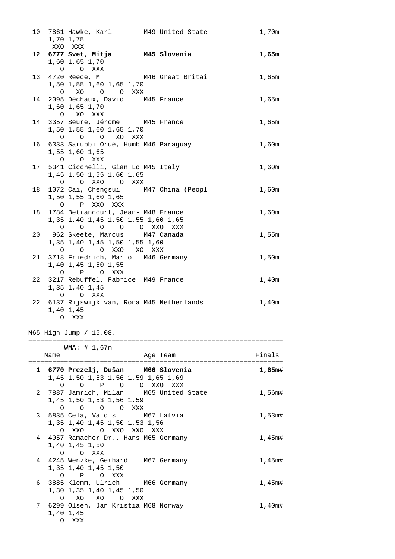|                |      | 10 7861 Hawke, Karl M49 United State<br>1,70 1,75                                                    |          | 1,70m                |
|----------------|------|------------------------------------------------------------------------------------------------------|----------|----------------------|
|                |      | XXO XXX<br>12 6777 Svet, Mitja M45 Slovenia<br>1,60 1,65 1,70                                        |          | 1,65m                |
|                |      | O O XXX<br>13 4720 Reece, M M46 Great Britai<br>1,50 1,55 1,60 1,65 1,70                             |          | 1,65m                |
|                |      | O XO O O XXX<br>14 2095 Déchaux, David M45 France<br>1,60 1,65 1,70                                  |          | 1,65m                |
| 14             |      | O XO XXX<br>3357 Seure, Jérome M45 France<br>1,50 1,55 1,60 1,65 1,70                                |          | 1,65m                |
| 16             |      | O O O XO XXX<br>6333 Sarubbi Orué, Humb M46 Paraguay<br>1,55 1,60 1,65                               |          | $1$ , $60\mathrm{m}$ |
|                |      | O O XXX<br>17 5341 Cicchelli, Gian Lo M45 Italy<br>1,45 1,50 1,55 1,60 1,65                          |          | 1,60m                |
| 18             |      | O O XXO O XXX<br>1072 Cai, Chengsui M47 China (Peopl<br>1,50 1,55 1,60 1,65                          |          | 1,60m                |
| 18             |      | O P XXO XXX<br>1784 Betrancourt, Jean- M48 France<br>1,35 1,40 1,45 1,50 1,55 1,60 1,65              |          | 1,60m                |
|                |      | O O O O O XXO XXX<br>20 962 Skeete, Marcus M47 Canada<br>1,35 1,40 1,45 1,50 1,55 1,60               |          | 1,55m                |
| 21             |      | 0 0 0 XXO XO XXX<br>3718 Friedrich, Mario M46 Germany<br>1,40 1,45 1,50 1,55                         |          | 1,50m                |
| 22             |      | O P O XXX<br>3217 Rebuffel, Fabrice M49 France<br>1,35 1,40 1,45                                     |          | 1,40m                |
| 22             |      | O O XXX<br>6137 Rijswijk van, Rona M45 Netherlands<br>1,40 1,45<br>O XXX                             |          | 1,40m                |
|                |      | M65 High Jump / 15.08.                                                                               |          |                      |
|                |      | WMA: # 1,67m                                                                                         |          |                      |
|                | Name |                                                                                                      | Age Team | Finals               |
|                |      | 1 6770 Prezelj, Dušan M66 Slovenia                                                                   |          | 1.65m#               |
|                |      | 1,45 1,50 1,53 1,56 1,59 1,65 1,69                                                                   |          |                      |
| $\overline{2}$ |      | O O P O O XXO XXX<br>7887 Jamrich, Milan M65 United State<br>1,45 1,50 1,53 1,56 1,59<br>0 0 0 0 XXX |          | 1,56m#               |
| 3              |      | 5835 Cela, Valdis M67 Latvia<br>1,35 1,40 1,45 1,50 1,53 1,56<br>O XXO O XXO XXO XXX                 |          | $1,53$ m#            |
|                |      | 4 4057 Ramacher Dr., Hans M65 Germany<br>1,40 1,45 1,50<br>O O XXX                                   |          | $1,45$ m#            |
| 4              |      | 4245 Wenzke, Gerhard M67 Germany<br>1,35 1,40 1,45 1,50<br>O P O XXX                                 |          | 1,45m#               |
| 6              |      | 3885 Klemm, Ulrich M66 Germany<br>1,30 1,35 1,40 1,45 1,50<br>O XO XO O XXX                          |          | 1,45m#               |
|                |      | 7 6299 Olsen, Jan Kristia M68 Norway<br>1,40 1,45<br>O XXX                                           |          | 1,40m#               |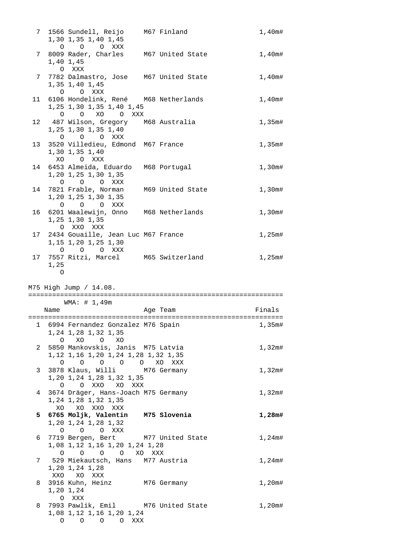|    |                | 7 1566 Sundell, Reijo M67 Finland<br>1,30 1,35 1,40 1,45<br>O O O XXX                         |                                              | 1,40m#    |
|----|----------------|-----------------------------------------------------------------------------------------------|----------------------------------------------|-----------|
|    |                | 7 8009 Rader, Charles M67 United State<br>1,40 1,45                                           |                                              | 1,40m#    |
|    |                | O XXX<br>7 7782 Dalmastro, Jose M67 United State<br>1,35 1,40 1,45                            |                                              | 1,40m#    |
|    |                | O O XXX<br>11 6106 Hondelink, René M68 Netherlands<br>1, 25 1, 30 1, 35 1, 40 1, 45           |                                              | 1,40m#    |
|    |                | O O XO O XXX                                                                                  |                                              |           |
|    |                | 12 487 Wilson, Gregory M68 Australia<br>1, 25 1, 30 1, 35 1, 40<br>O O O XXX                  |                                              | $1,35$ m# |
| 13 |                | 3520 Villedieu, Edmond M67 France<br>1,30 1,35 1,40<br>XO OXXX                                |                                              | 1,35m#    |
|    |                | 14 6453 Almeida, Eduardo M68 Portugal<br>1,20 1,25 1,30 1,35                                  |                                              | 1,30m#    |
| 14 |                | O O O XXX<br>7821 Frable, Norman M69 United State<br>1,20 1,25 1,30 1,35                      |                                              | 1,30m#    |
|    |                | O O O XXX<br>16 6201 Waalewijn, Onno M68 Netherlands<br>1,25 1,30 1,35                        |                                              | 1,30m#    |
|    |                | O XXO XXX<br>17 2434 Gouaille, Jean Luc M67 France<br>1, 15 1, 20 1, 25 1, 30                 |                                              | $1,25$ m# |
| 17 | 1,25           | O O O XXX<br>7557 Ritzi, Marcel M65 Switzerland                                               |                                              | 1,25m#    |
|    | $\overline{O}$ |                                                                                               |                                              |           |
|    |                |                                                                                               |                                              |           |
|    |                | M75 High Jump / 14.08.                                                                        |                                              |           |
|    |                | WMA: # 1,49m                                                                                  |                                              |           |
|    | Name           |                                                                                               | Age Team                                     | Finals    |
|    |                | 1, 24 1, 28 1, 32 1, 35                                                                       | 1 6994 Fernandez Gonzalez M76 Spain 1 1,35m# |           |
|    |                | O XO O XO<br>2 5850 Mankovskis, Janis M75 Latvia<br>1, 12 1, 16 1, 20 1, 24 1, 28 1, 32 1, 35 |                                              | 1,32m#    |
|    |                | 0 0 0 0 0 XO XXX<br>3 3878 Klaus, Willi M76 Germany<br>1,20 1,24 1,28 1,32 1,35               |                                              | 1,32m#    |
| 4  |                | O O XXO XO XXX<br>3674 Dräger, Hans-Joach M75 Germany<br>1, 24 1, 28 1, 32 1, 35              |                                              | 1,32m#    |
|    |                | XO XO XXO XXX<br>5 6765 Moljk, Valentin M75 Slovenia<br>1,20 1,24 1,28 1,32                   |                                              | 1,28m#    |
|    |                | O O O XXX<br>6 7719 Bergen, Bert M77 United State<br>1,08 1,12 1,16 1,20 1,24 1,28            |                                              | 1,24m#    |
| 7  |                | 0 0 0 0 XO XXX<br>529 Miekautsch, Hans M77 Austria                                            |                                              | 1,24m#    |
| 8  |                | 1,20 1,24 1,28<br>XXO XO XXX<br>3916 Kuhn, Heinz M76 Germany<br>1,20 1,24<br>O XXX            |                                              | 1,20m#    |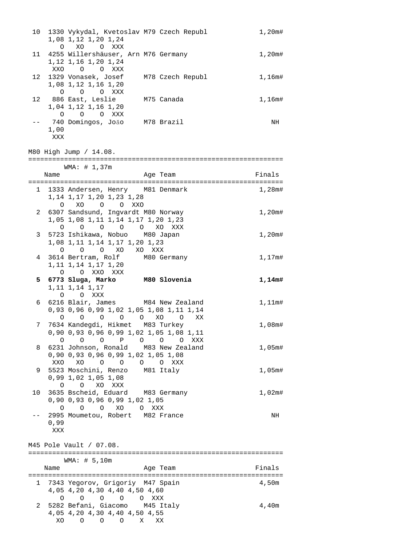|    |             | 10 1330 Vykydal, Kvetoslav M79 Czech Republ<br>1,08 1,12 1,20 1,24<br>O XO O XXX   | 1,20m#    |
|----|-------------|------------------------------------------------------------------------------------|-----------|
|    |             | 11 4255 Willershäuser, Arn M76 Germany<br>1, 12 1, 16 1, 20 1, 24<br>XXO O O XXX   | 1,20m#    |
|    |             | 12 1329 Vonasek, Josef M78 Czech Republ 1,16m#<br>1,08 1,12 1,16 1,20<br>O O O XXX |           |
|    |             | 12 886 East, Leslie M75 Canada<br>1,04 1,12 1,16 1,20<br>O O O XXX                 | 1,16m#    |
|    | 1,00<br>XXX | -- 740 Domingos, Joăo M78 Brazil                                                   | NH        |
|    |             | M80 High Jump / 14.08.                                                             |           |
|    |             | WMA: # 1,37m                                                                       |           |
|    | Name        | Aqe Team                                                                           | Finals    |
|    |             | 1 1333 Andersen, Henry M81 Denmark                                                 | $1,28$ m# |
|    |             | 1, 14 1, 17 1, 20 1, 23 1, 28                                                      |           |
|    |             | O XO O O XXO                                                                       |           |
|    |             | 2 6307 Sandsund, Ingvardt M80 Norway<br>1,05 1,08 1,11 1,14 1,17 1,20 1,23         | 1,20m#    |
|    |             | 0 0 0 0 0 XO XXX                                                                   |           |
|    |             | 3 5723 Ishikawa, Nobuo M80 Japan                                                   | 1,20m#    |
|    |             | 1,08 1,11 1,14 1,17 1,20 1,23<br>O O O XO XO XXX                                   |           |
|    |             | 4 3614 Bertram, Rolf M80 Germany                                                   | 1,17m#    |
|    |             | 1, 11 1, 14 1, 17 1, 20                                                            |           |
|    |             | O O XXO XXX<br>5 6773 Sluga, Marko M80 Slovenia                                    |           |
|    |             | 1, 11 1, 14 1, 17                                                                  | 1,14m#    |
|    |             | O O XXX                                                                            |           |
|    |             | 6 6216 Blair, James M84 New Zealand<br>0,93 0,96 0,99 1,02 1,05 1,08 1,11 1,14     | $1,11$ m# |
| 7  |             | 0 0 0 0 0 XO 0 XX<br>7634 Kandegdi, Hikmet M83 Turkey                              | 1,08m#    |
|    |             | 0,90 0,93 0,96 0,99 1,02 1,05 1,08 1,11                                            |           |
|    |             | 0 0 P 0 0 0 XXX<br>$\Omega$                                                        |           |
| 8  |             | 6231 Johnson, Ronald M83 New Zealand                                               | 1,05m#    |
|    | XXO         | 0,90 0,93 0,96 0,99 1,02 1,05 1,08<br>$\circ$ $\circ$<br>XO<br>O O XXX             |           |
| 9  |             | 5523 Moschini, Renzo M81 Italy                                                     | 1,05m#    |
|    |             | 0,99 1,02 1,05 1,08                                                                |           |
| 10 |             | O O XO XXX<br>3635 Bscheid, Eduard M83 Germany                                     | 1,02m#    |
|    |             | 0,90 0,93 0,96 0,99 1,02 1,05                                                      |           |
|    |             | 0 0 0 XO 0 XXX                                                                     |           |
|    |             | 2995 Moumetou, Robert M82 France                                                   | NH        |
|    | 0,99<br>XXX |                                                                                    |           |
|    |             |                                                                                    |           |
|    |             | M45 Pole Vault / 07.08.                                                            |           |
|    |             | WMA: # 5,10m                                                                       |           |
|    | Name        | Age Team                                                                           | Finals    |
| 1  |             | 7343 Yegorov, Grigoriy M47 Spain                                                   | 4,50m     |
|    |             | 4,05 4,20 4,30 4,40 4,50 4,60                                                      |           |
|    |             | $O$ $O$ $O$ $XXX$<br>$\Omega$<br>$\circ$                                           |           |
| 2  |             | 5282 Befani, Giacomo M45 Italy                                                     | 4,40m     |
|    | XO.         | 4,05 4,20 4,30 4,40 4,50 4,55<br>$\circ$<br>$\overline{O}$<br>X –<br>$\circ$<br>XX |           |
|    |             |                                                                                    |           |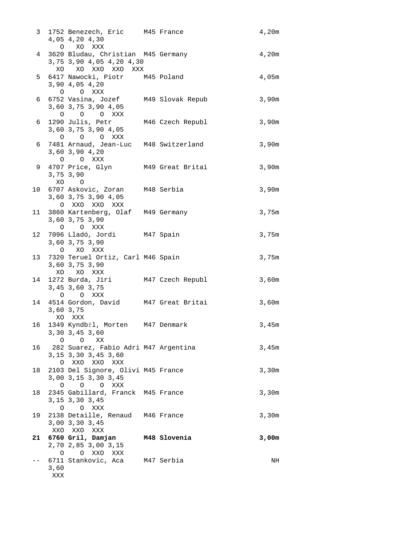| 3 <sup>7</sup> |             | 1752 Benezech, Eric M45 France<br>4,05 4,20 4,30<br>O XO XXX                        |                                        | 4,20m |
|----------------|-------------|-------------------------------------------------------------------------------------|----------------------------------------|-------|
| 4              |             | 3620 Bludau, Christian M45 Germany<br>3,75 3,90 4,05 4,20 4,30<br>XO XO XXO XXO XXX |                                        | 4,20m |
|                |             | 5 6417 Nawocki, Piotr M45 Poland<br>3,90 4,05 4,20<br>O O XXX                       |                                        | 4,05m |
|                |             | 6 6752 Vasina, Jozef M49 Slovak Repub<br>3,60 3,75 3,90 4,05<br>O O O XXX           |                                        | 3,90m |
| 6              |             | 1290 Julis, Petr M46 Czech Republ<br>3,60 3,75 3,90 4,05<br>O O O XXX               |                                        | 3,90m |
| 6              |             | 7481 Arnaud, Jean-Luc M48 Switzerland<br>3,60 3,90 4,20<br>O O XXX                  |                                        | 3,90m |
|                |             | 9 4707 Price, Glyn M49 Great Britai<br>3,75 3,90<br>XO O                            |                                        | 3,90m |
|                |             | 10 6707 Askovic, Zoran M48 Serbia<br>3,60 3,75 3,90 4,05<br>O XXO XXO XXX           |                                        | 3,90m |
|                |             | 11 3860 Kartenberg, Olaf M49 Germany<br>3,60 3,75 3,90<br>O O XXX                   |                                        | 3,75m |
|                |             | 12 7096 Lladó, Jordi M47 Spain<br>3,60 3,75 3,90<br>O XO XXX                        |                                        | 3,75m |
|                |             | 13 7320 Teruel Ortiz, Carl M46 Spain<br>3,60 3,75 3,90<br>XO XO XXX                 |                                        | 3,75m |
| 14             |             | 1272 Burda, Jiri M47 Czech Republ<br>3, 45 3, 60 3, 75<br>O O XXX                   |                                        | 3,60m |
|                |             | 3,60 3,75<br>XO XXX                                                                 | 14 4514 Gordon, David M47 Great Britai | 3,60m |
|                |             | 16 1349 Kyndbřl, Morten M47 Denmark<br>3,30 3,45 3,60<br>$O$ $OX$ $X$               |                                        | 3,45m |
|                |             | 16 282 Suarez, Fabio Adri M47 Argentina<br>3, 15 3, 30 3, 45 3, 60<br>O XXO XXO XXX |                                        | 3,45m |
| 18             |             | 2103 Del Signore, Olivi M45 France<br>3,00 3,15 3,30 3,45<br>O O O XXX              |                                        | 3,30m |
| 18             |             | 2345 Gabillard, Franck M45 France<br>3, 15 3, 30 3, 45<br>O O XXX                   |                                        | 3,30m |
| 19             |             | 2138 Detaille, Renaud M46 France<br>3,00 3,30 3,45<br>XXO XXO XXX                   |                                        | 3,30m |
|                |             | 21 6760 Gril, Damjan M48 Slovenia<br>2,70 2,85 3,00 3,15<br>O XXO XXX<br>$\circ$    |                                        | 3,00m |
|                | 3,60<br>XXX | 6711 Stankovic, Aca M47 Serbia                                                      |                                        | NH    |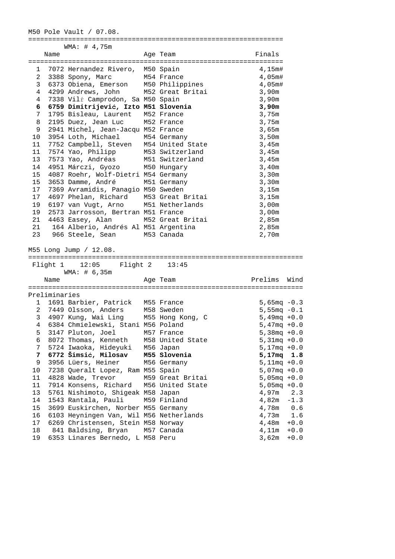## M50 Pole Vault / 07.08.

|                 |               | WMA: # 4,75m                                                        |                  |                        |
|-----------------|---------------|---------------------------------------------------------------------|------------------|------------------------|
|                 | Name          |                                                                     | Age Team         | Finals                 |
|                 |               |                                                                     |                  |                        |
|                 |               | 1 7072 Hernandez Rivero, M50 Spain                                  |                  | 4,15m#                 |
|                 |               | 2 3388 Spony, Marc M54 France                                       |                  | 4,05m#                 |
| 3 <sup>7</sup>  |               | 6373 Obiena, Emerson M50 Philippines                                |                  | 4,05m#                 |
| 4               |               | 4299 Andrews, John                                                  | M52 Great Britai | 3,90m                  |
| 4               |               | 7338 Vilŕ Camprodon, Sa M50 Spain                                   |                  | 3,90m                  |
| 6               |               | 6759 Dimitrijević, Izto M51 Slovenia                                |                  | 3,90m                  |
| 7               |               | 1795 Bisleau, Laurent M52 France                                    |                  | 3,75m                  |
| 8               |               | 2195 Duez, Jean Luc                                                 | M52 France       | 3,75m                  |
| 9               |               | 2941 Michel, Jean-Jacqu M52 France                                  |                  | 3,65m                  |
| 10              |               | 3954 Loth, Michael                                                  | M54 Germany      | 3,50m                  |
| 11              |               | 7752 Campbell, Steven M54 United State                              |                  | 3,45m                  |
| 11              |               | 7574 Yao, Philipp                                                   |                  | 3,45m                  |
| 13              |               |                                                                     | M53 Switzerland  | 3,45m                  |
|                 |               | 7573 Yao, Andréas M51 Switzerland<br>4951 Márczi, Gyozo M50 Hungary |                  |                        |
| 14              |               |                                                                     |                  | 3,40m                  |
| 15              |               | 4087 Roehr, Wolf-Dietri M54 Germany                                 |                  | 3,30m                  |
| 15              |               | 3653 Damme, André                                                   | M51 Germany      | 3,30m                  |
| 17              |               | 7369 Avramidis, Panagio M50 Sweden                                  |                  | 3,15m                  |
| 17              |               | 4697 Phelan, Richard M53 Great Britai                               |                  | 3,15m                  |
| 19              |               | 6197 van Vugt, Arno M51 Netherlands                                 |                  | 3,00m                  |
| 19              |               | 2573 Jarrosson, Bertran M51 France                                  |                  | 3,00m                  |
| 21              |               | 4463 Easey, Alan M52 Great Britai                                   |                  | 2,85m                  |
| 21              |               | 164 Alberio, Andrés Al M51 Argentina                                |                  | 2,85m                  |
|                 |               | 23 966 Steele, Sean                                                 | M53 Canada       | 2,70m                  |
|                 |               |                                                                     |                  |                        |
|                 |               |                                                                     |                  |                        |
|                 |               | M55 Long Jump / 12.08.                                              |                  |                        |
|                 |               |                                                                     |                  |                        |
|                 |               | Flight 1 12:05<br>Flight 2                                          | 13:45            |                        |
|                 |               | WMA: # 6,35m                                                        |                  |                        |
|                 | Name          |                                                                     | Age Team         | Prelims<br>Wind        |
|                 |               |                                                                     |                  |                        |
|                 | Preliminaries |                                                                     |                  |                        |
| 1               |               |                                                                     |                  |                        |
|                 |               | 1691 Barbier, Patrick                                               | M55 France       | 5,65 $mq - 0.3$        |
| $\overline{2}$  |               | 7449 Olsson, Anders                                                 | M58 Sweden       | $5,55mg - 0.1$         |
| 3               |               | 4907 Kung, Wai Ling                                                 | M55 Hong Kong, C | $5,49 \text{mq} + 0.0$ |
| $4\overline{ }$ |               | 6384 Chmielewski, Stani M56 Poland                                  |                  | $5,47$ mq $+0.0$       |
| 5               |               | 3147 Pluton, Joel M57 France                                        |                  | $5,38 \text{mq} + 0.0$ |
| 6               |               | 8072 Thomas, Kenneth                                                | M58 United State | $5,31mg + 0.0$         |
| 7               |               | 5724 Iwaoka, Hideyuki                                               | M56 Japan        | $5,17mg + 0.0$         |
| 7               |               | 6772 Šimsić, Milosav                                                | M55 Slovenia     | 5,17mq 1.8             |
| 9               |               | 3956 Lüers, Heiner                                                  | M56 Germany      | $5,11mg + 0.0$         |
| $10$            |               | 7238 Queralt Lopez, Ram M55 Spain                                   |                  | $5,07mg + 0.0$         |
| 11              |               | 4828 Wade, Trevor                                                   | M59 Great Britai | $5,05mg + 0.0$         |
| 11              |               | 7914 Konsens, Richard                                               | M56 United State | $5,05mg + 0.0$         |
| 13              |               | 5761 Nishimoto, Shigeak M58 Japan                                   |                  | 4,97m<br>2.3           |
| 14              |               | 1543 Rantala, Pauli                                                 | M59 Finland      | 4,82m<br>$-1.3$        |
| 15              |               | 3699 Euskirchen, Norber M55 Germany                                 |                  | 4,78m<br>0.6           |
| 16              |               | 6103 Heyningen Van, Wil M56 Netherlands                             |                  | 4,73m<br>1.6           |
| 17              |               | 6269 Christensen, Stein M58 Norway                                  |                  | 4,48m<br>$+0.0$        |
| 18              |               | 841 Baldsing, Bryan                                                 | M57 Canada       | 4,11m<br>$+0.0$        |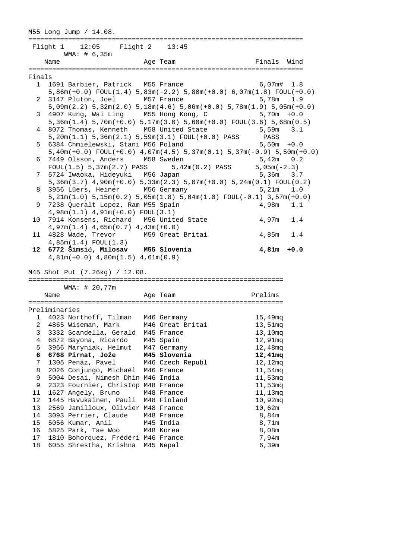M55 Long Jump / 14.08. ===================================================================== Flight 1 12:05 Flight 2 13:45 WMA: # 6,35m Name **Age Team** Age Team Finals Wind ===================================================================== Finals 1 1691 Barbier, Patrick M55 France 6,07m# 1.8 5,86m(+0.0) FOUL(1.4) 5,83m(-2.2) 5,80m(+0.0) 6,07m(1.8) FOUL(+0.0) 2 3147 Pluton, Joel M57 France 5,78m 1.9 5,09m(2.2) 5,32m(2.0) 5,18m(4.6) 5,06m(+0.0) 5,78m(1.9) 5,05m(+0.0) 3 4907 Kung, Wai Ling M55 Hong Kong, C 5,36m(1.4) 5,70m(+0.0) 5,17m(3.0) 5,60m(+0.0) FOUL(3.6) 5,68m(0.5) 4 8072 Thomas, Kenneth M58 United State 5,59m 3.1 5,20m(1.1) 5,36m(2.1) 5,59m(3.1) FOUL(+0.0) PASS PASS 5 6384 Chmielewski, Stani M56 Poland 5,50m +0.0 5,40m(+0.0) FOUL(+0.0) 4,07m(4.5) 5,37m(0.1) 5,37m(-0.9) 5,50m(+0.0) 6 7449 Olsson, Anders M58 Sweden 5,42m 0.2<br>FOUL(1.5) 5,37m(2.7) PASS 5,42m(0.2) PASS 5,05m(-2.3)  $FOUL(1.5) 5,37m(2.7) PASS 5,42m(0.2) PASS$ 7 5724 Iwaoka, Hideyuki M56 Japan 1988 1999 5,36m 3.7 5,36m(3.7) 4,90m(+0.0) 5,33m(2.3) 5,07m(+0.0) 5,24m(0.1) FOUL(0.2) 8 3956 Lüers, Heiner M56 Germany 5,21m 1.0 5,21m(1.0) 5,15m(0.2) 5,05m(1.8) 5,04m(1.0) FOUL(-0.1) 3,57m(+0.0) 9 7238 Queralt Lopez, Ram M55 Spain 4,98m 1.1 4,98m(1.1) 4,91m(+0.0) FOUL(3.1) 10 7914 Konsens, Richard M56 United State 4,97m 1.4 4,97m(1.4) 4,65m(0.7) 4,43m(+0.0) 11 4828 Wade, Trevor M59 Great Britai 4,85m 1.4 4,85m(1.4) FOUL(1.3)  **12 6772 Šimsić, Milosav M55 Slovenia 4,81m +0.0**  4,81m(+0.0) 4,80m(1.5) 4,61m(0.9) M45 Shot Put (7.26kg) / 12.08. ================================================================ WMA: # 20,77m Name **Age Team Age Team** Prelims ================================================================ Preliminaries 1 4023 Northoff, Tilman M46 Germany 15,49mq 2 4865 Wiseman, Mark M46 Great Britai 13,51mq 3 3332 Scandella, Gerald M45 France 13,10mq 4 6872 Bayona, Ricardo M45 Spain 12,91mq 5 3966 Maryniak, Helmut M47 Germany 12,48mq  **6 6768 Pirnat, Jože M45 Slovenia 12,41mq**  7 1305 Penáz, Pavel M46 Czech Republ 12,12mq 8 2026 Conjungo, Michaël M46 France 11,54mq 9 5004 Desai, Nimesh Dhin M46 India 11,53mq 9 2323 Fournier, Christop M48 France 11,53mq 11 1627 Angely, Bruno M48 France 11,13mq 12 1445 Havukainen, Pauli M48 Finland 10,92mq 13 2569 Jamilloux, Olivier M48 France 10,62m 14 3093 Perrier, Claude M48 France 8,84m 15 5056 Kumar, Anil M45 India 8,71m 16 5825 Park, Tae Woo M48 Korea 8,08m 17 1810 Bohorquez, Frédéri M46 France 7,94m 18 6055 Shrestha, Krishna M45 Nepal 6,39m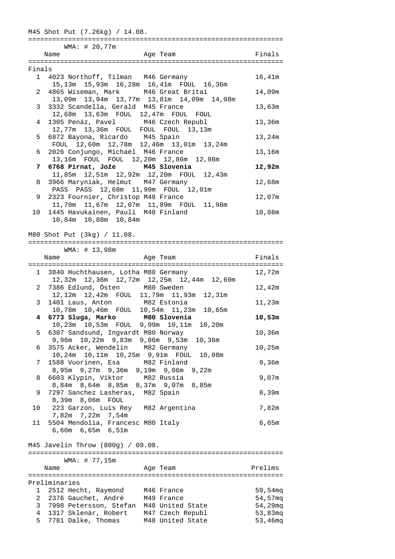|              | WMA: # 20,77m<br>Name                                                           | Age Team                                       | Finals                   |
|--------------|---------------------------------------------------------------------------------|------------------------------------------------|--------------------------|
| Finals       |                                                                                 |                                                |                          |
|              | 1 4023 Northoff, Tilman M46 Germany                                             | 15,13m  15,93m  16,28m  16,41m  FOUL  16,36m   | 16,41m                   |
|              | 4865 Wiseman, Mark M46 Great Britai<br>2                                        |                                                | 14,09m                   |
| 3            | 3332 Scandella, Gerald M45 France                                               | 13,09m  13,94m  13,77m  13,81m  14,09m  14,08m | 13,63m                   |
| 4            | 12,68m  13,63m  FOUL  12,47m  FOUL  FOUL<br>1305 Penáz, Pavel M46 Czech Republ  |                                                | 13,36m                   |
| 5            | 12,77m  13,36m  FOUL  FOUL  FOUL  13,13m<br>6872 Bayona, Ricardo M45 Spain      |                                                | 13,24m                   |
| 6            | 2026 Conjungo, Michaël M46 France                                               | FOUL 12,60m 12,78m 12,46m 13,01m 13,24m        | 13,16m                   |
|              | 13,16m FOUL FOUL 12,20m 12,86m 12,98m                                           |                                                |                          |
| 7            | 6768 Pirnat, Jože M45 Slovenia                                                  | 11,85m  12,51m  12,92m  12,20m  FOUL  12,43m   | 12,92m                   |
| 8            | 3966 Maryniak, Helmut M47 Germany<br>PASS PASS 12,68m 11,90m FOUL 12,01m        |                                                | 12,68m                   |
| 9            | 2323 Fournier, Christop M48 France                                              | 11,70m  11,67m  12,07m  11,89m  FOUL  11,98m   | 12,07m                   |
| 10           | 1445 Havukainen, Pauli M48 Finland<br>10,84m  10,88m  10,84m                    |                                                | 10,88m                   |
|              |                                                                                 |                                                |                          |
|              | M80 Shot Put (3kg) / 11.08.                                                     |                                                |                          |
|              | WMA: # 13,98m<br>Name                                                           | Age Team                                       | Finals                   |
|              | 1 3840 Huchthausen, Lotha M80 Germany                                           |                                                | 12,72m                   |
|              | 2 7386 Edlund, Östen M80 Sweden                                                 | 12,32m 12,36m 12,72m 12,25m 12,44m 12,69m      | 12,42m                   |
|              | 12,12m  12,42m  FOUL  11,79m  11,93m  12,31m                                    |                                                |                          |
| 3            | 1401 Laus, Anton M82 Estonia                                                    | 10,78m  10,46m  FOUL  10,54m  11,23m  10,65m   | 11,23m                   |
|              | 4 6773 Sluga, Marko M80 Slovenia<br>10,23m  10,53m  FOUL  9,99m  10,11m  10,20m |                                                | 10,53m                   |
| 5            | 6307 Sandsund, Ingvardt M80 Norway<br>9,96m  10,22m  9,83m  9,86m  9,53m        | 10,36m                                         | 10,36m                   |
| 6            | 3575 Acker, Wendelin M82 Germany<br>10,24m  10,11m  10,25m  9,91m  FOUL  10,08m |                                                | 10,25m                   |
| 7            | 1588 Vuorinen, Esa M82 Finland                                                  |                                                | 9,36m                    |
| 8            | 8,95m 9,27m 9,36m 9,19m 9,06m 9,22m<br>6603 Klypin, Viktor M82 Russia           |                                                | 9,07m                    |
| 9            | 8,84m 8,64m 8,85m 8,37m 9,07m 8,85m<br>7297 Sanchez Lasheras, M82 Spain         |                                                | 8,39m                    |
| 10           | 8,39m 8,06m FOUL<br>223 Garzon, Luis Rey M82 Argentina                          |                                                | 7,82m                    |
| 11           | 7,82m 7,22m 7,54m<br>5504 Mendolia, Francesc M80 Italy                          |                                                | 6,65m                    |
|              | 6,60m 6,65m 6,51m                                                               |                                                |                          |
|              | M45 Javelin Throw (800g) / 09.08.                                               |                                                |                          |
|              | WMA: # 77,15m                                                                   |                                                |                          |
|              | Name                                                                            | Age Team                                       | Prelims                  |
|              | Preliminaries                                                                   |                                                |                          |
| 1            | 2512 Hecht, Raymond M46 France<br>2 2376 Gauchet, André M49 France              |                                                | 59,54 $mq$<br>$54,57$ mq |
| $\mathsf{3}$ | 7998 Petersson, Stefan M48 United State                                         |                                                | 54,29mq                  |
| 4            | 1317 Sklenár, Robert M47 Czech Republ                                           |                                                | $53,83$ mq               |
| 5            | 7781 Dalke, Thomas                                                              | M48 United State                               | 53,46mg                  |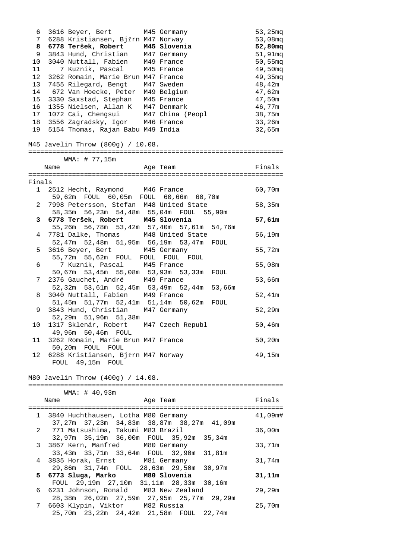| 6            | 3616 Beyer, Bert                                                                | M45 Germany   | 53,25mg           |
|--------------|---------------------------------------------------------------------------------|---------------|-------------------|
| 7            | 6288 Kristiansen, Bjřrn M47 Norway                                              |               | $53,08$ mq        |
| 8            | 6778 Teršek, Robert M45 Slovenia                                                |               | 52,80mq           |
| 9            | 3843 Hund, Christian M47 Germany                                                |               | 51,91mq           |
| 10           | 3040 Nuttall, Fabien M49 France                                                 |               | $50,55$ mq        |
| 11           | 7 Kuznik, Pascal M45 France                                                     |               | 49,50mq           |
| 12           | 3262 Romain, Marie Brun M47 France                                              |               | $49,35 \text{mq}$ |
| 13           | 7455 Rilegard, Bengt M47 Sweden                                                 |               | 48,42m            |
| 14           | 672 Van Hoecke, Peter M49 Belgium                                               |               | 47,62m            |
| 15           | 3330 Saxstad, Stephan M45 France                                                |               | 47,50m            |
| 16           | 1355 Nielsen, Allan K M47 Denmark                                               |               | 46,77m            |
| 17           | 1072 Cai, Chengsui M47 China (Peopl                                             |               | 38,75m            |
|              | 3556 Zagradsky, Igor M46 France                                                 |               |                   |
| 18           |                                                                                 |               | 33,26m            |
| 19           | 5154 Thomas, Rajan Babu M49 India                                               |               | 32,65m            |
|              | M45 Javelin Throw (800g) / 10.08.                                               |               |                   |
|              | WMA: # 77,15m                                                                   |               |                   |
|              | Name                                                                            | Age Team      | Finals            |
|              |                                                                                 |               |                   |
| Finals       |                                                                                 |               |                   |
|              | 1 2512 Hecht, Raymond M46 France                                                |               | 60,70m            |
|              |                                                                                 |               |                   |
| 2            | 7998 Petersson, Stefan M48 United State                                         |               | 58,35m            |
|              | 58,35m 56,23m 54,48m 55,04m FOUL 55,90m                                         |               |                   |
| 3            | 6778 Teršek, Robert M45 Slovenia                                                |               | 57,61m            |
|              | 55,26m 56,78m 53,42m 57,40m 57,61m 54,76m                                       |               |                   |
| 4            | 7781 Dalke, Thomas M48 United State                                             |               | 56,19m            |
|              | 52,47m 52,48m 51,95m 56,19m 53,47m FOUL                                         |               |                   |
| 5            | 3616 Beyer, Bert M45 Germany                                                    |               | 55,72m            |
|              | 55,72m 55,62m FOUL FOUL FOUL FOUL                                               |               |                   |
| 6            | 7 Kuznik, Pascal                                                                | M45 France    | 55,08m            |
|              | 50,67m 53,45m 55,08m 53,93m 53,33m FOUL                                         |               |                   |
| 7            | 2376 Gauchet, André M49 France                                                  |               | 53,66m            |
|              | 52,32m 53,61m 52,45m 53,49m 52,44m 53,66m                                       |               |                   |
| 8            | 3040 Nuttall, Fabien M49 France                                                 |               | 52,41m            |
|              | 51,45m 51,77m 52,41m 51,14m 50,62m FOUL                                         |               |                   |
| 9            | 3843 Hund, Christian M47 Germany                                                |               | 52,29m            |
|              | 52,29m 51,96m 51,38m                                                            |               |                   |
|              | 10 1317 Sklenár, Robert M47 Czech Republ                                        |               | 50,46m            |
|              | 49,96m 50,46m FOUL                                                              |               |                   |
|              |                                                                                 |               |                   |
| 11           | 3262 Romain, Marie Brun M47 France                                              |               | 50,20m            |
|              | 50,20m FOUL FOUL                                                                |               |                   |
| 12           | 6288 Kristiansen, Bjřrn M47 Norway                                              |               | 49,15m            |
|              | FOUL 49,15m FOUL                                                                |               |                   |
|              |                                                                                 |               |                   |
|              | M80 Javelin Throw (400g) / 14.08.                                               |               |                   |
|              |                                                                                 |               |                   |
|              | WMA: # 40,93m                                                                   |               |                   |
|              | Name                                                                            | Age Team      | Finals            |
|              |                                                                                 |               |                   |
| $\mathbf{1}$ | 3840 Huchthausen, Lotha M80 Germany                                             |               | 41,09m#           |
|              | 37,27m 37,23m 34,83m 38,87m 38,27m 41,09m                                       |               |                   |
| 2            | 771 Matsushima, Takumi M83 Brazil                                               |               | 36,00m            |
|              | 32,97m 35,19m 36,00m FOUL 35,92m 35,34m                                         |               |                   |
| 3            | 3867 Kern, Manfred M80 Germany                                                  |               | 33,71m            |
|              |                                                                                 | 32,90m 31,81m |                   |
| 4            | 3835 Horak, Ernst                                                               | M81 Germany   | 31,74m            |
|              | 29,86m 31,74m FOUL 28,63m 29,50m                                                | 30,97m        |                   |
| 5.           | 6773 Sluga, Marko                                                               | M80 Slovenia  | 31,11m            |
|              |                                                                                 |               |                   |
| 6            | FOUL 29,19m 27,10m 31,11m 28,33m 30,16m<br>6231 Johnson, Ronald M83 New Zealand |               | 29,29m            |
|              |                                                                                 |               |                   |
|              | 28,38m  26,02m  27,59m  27,95m  25,77m  29,29m                                  |               |                   |
| 7            | 6603 Klypin, Viktor M82 Russia                                                  |               | 25,70m            |
|              | 25,70m  23,22m  24,42m  21,58m  FOUL  22,74m                                    |               |                   |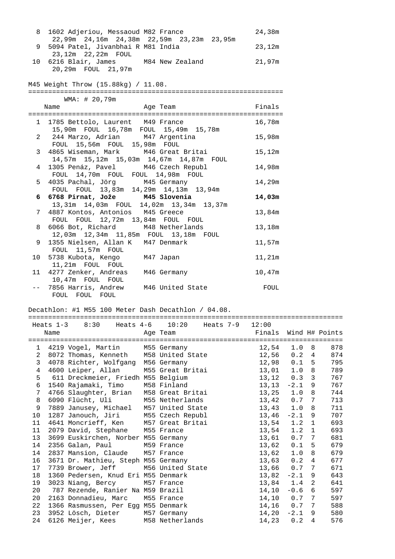| 8              | 1602 Adjeriou, Messaoud M82 France                                             | 24,38m |
|----------------|--------------------------------------------------------------------------------|--------|
| 9              | 22,99m 24,16m 24,38m 22,59m 23,23m 23,95m<br>5094 Patel, Jivanbhai R M81 India | 23,12m |
|                | 23,12m  22,22m  FOUL                                                           |        |
|                | 10 6216 Blair, James M84 New Zealand                                           | 21,97m |
|                | 20,29m  FOUL  21,97m                                                           |        |
|                |                                                                                |        |
|                | M45 Weight Throw (15.88kg) / 11.08.                                            |        |
|                | WMA: # 20,79m                                                                  |        |
|                | Age Team<br>Name                                                               | Finals |
|                |                                                                                |        |
|                | 1 1785 Bettolo, Laurent M49 France                                             | 16,78m |
|                | 15,90m FOUL 16,78m FOUL 15,49m 15,78m                                          |        |
|                | 2 244 Marzo, Adrian M47 Argentina                                              | 15,98m |
|                | FOUL 15,56m FOUL 15,98m FOUL                                                   |        |
| 3 <sup>7</sup> | 4865 Wiseman, Mark M46 Great Britai                                            | 15,12m |
|                | 14,57m 15,12m 15,03m 14,67m 14,87m FOUL                                        |        |
| 4              | 1305 Penáz, Pavel M46 Czech Republ                                             | 14,98m |
| 5              | FOUL 14,70m FOUL FOUL 14,98m FOUL<br>4035 Pachal, Jörg M45 Germany             | 14,29m |
|                | FOUL FOUL 13,83m 14,29m 14,13m 13,94m                                          |        |
| 6              | 6768 Pirnat, Jože M45 Slovenia                                                 | 14,03m |
|                | 13,31m  14,03m  FOUL  14,02m  13,34m  13,37m                                   |        |
| 7              | 4887 Kontos, Antonios M45 Greece                                               | 13,84m |
|                | FOUL FOUL 12,72m 13,84m FOUL FOUL                                              |        |
| 8              | 6066 Bot, Richard M48 Netherlands                                              | 13,18m |
|                | 12,03m  12,34m  11,85m  FOUL  13,18m  FOUL                                     |        |
| 9              | 1355 Nielsen, Allan K M47 Denmark                                              | 11,57m |
| 10             | FOUL 11,57m FOUL<br>5738 Kubota, Kengo M47 Japan                               | 11,21m |
|                | 11,21m FOUL FOUL                                                               |        |
|                | 11 4277 Zenker, Andreas M46 Germany                                            | 10,47m |
|                | 10,47m FOUL FOUL                                                               |        |
|                | 7856 Harris, Andrew M46 United State                                           | FOUL   |
|                | FOUL FOUL FOUL                                                                 |        |

## Decathlon: #1 M55 100 Meter Dash Decathlon / 04.08.

|                |      |                                        | Heats $1-3$ $8:30$ Heats $4-6$ $10:20$ Heats $7-9$ $12:00$ |                |                  |                |     |
|----------------|------|----------------------------------------|------------------------------------------------------------|----------------|------------------|----------------|-----|
|                | Name | Aqe Team                               | Finals Wind H# Points                                      |                |                  |                |     |
|                |      |                                        |                                                            |                |                  |                |     |
|                |      | 1 4219 Vogel, Martin M55 Germany       |                                                            | 12,54          | 1.0 <sub>8</sub> |                | 878 |
| 2              |      | 8072 Thomas, Kenneth M58 United State  |                                                            | 12,56          | 0.2              | 4              | 874 |
| 3              |      | 4078 Richter, Wolfgang M56 Germany     |                                                            | 12,98          | 0.1              | 5              | 795 |
| $\overline{4}$ |      | 4600 Leiper, Allan M55 Great Britai    |                                                            | $13,01$ $1.0$  |                  | 8              | 789 |
| 5              |      | 611 Dreckmeier, Friedh M55 Belgium     |                                                            | $13, 12$ 0.3   |                  | 3              | 767 |
| 6              |      | 1540 Rajamaki, Timo M58 Finland        |                                                            | $13, 13 -2.1$  |                  | 9              | 767 |
| 7              |      | 4766 Slaughter, Brian M58 Great Britai |                                                            | $13, 25$ $1.0$ |                  | 8              | 744 |
| 8              |      | 6090 Flücht, Uli M55 Netherlands       |                                                            | 13,42          | 0.7              | 7              | 713 |
| 9              |      | 7889 Janusey, Michael M57 United State |                                                            | 13,43 1.0      |                  | 8              | 711 |
| 10             |      | 1287 Janouch, Jiri M55 Czech Republ    |                                                            | $13,46 -2.1$   |                  | 9              | 707 |
| 11             |      | 4641 Moncrieff, Ken M57 Great Britai   |                                                            | 13,54          | 1.2              | $\mathbf{1}$   | 693 |
| 11             |      | 2079 David, Stephane M55 France        |                                                            | 13,54 1.2      |                  | $\mathbf{1}$   | 693 |
| 13             |      | 3699 Euskirchen, Norber M55 Germany    |                                                            | 13,61          | 0.7              | 7              | 681 |
| 14             |      | 2356 Galan, Paul M59 France            |                                                            | 13,62          | 0.1              | 5              | 679 |
| 14             |      | 2837 Mansion, Claude M57 France        |                                                            | $13,62$ 1.0    |                  | 8              | 679 |
| 16             |      | 3671 Dr. Mathieu, Steph M55 Germany    |                                                            | $13,63$ 0.2    |                  | 4              | 677 |
| 17             |      | 7739 Brower, Jeff M56 United State     |                                                            | 13,66 0.7      |                  | 7              | 671 |
| 18             |      | 1360 Pedersen, Knud Eri M55 Denmark    |                                                            | $13,82 -2.1$   |                  | 9              | 643 |
| 19             |      | 3023 Niang, Bercy M57 France           |                                                            | 13,84 1.4      |                  | 2              | 641 |
| 20             |      | 787 Rezende, Ranier Na M59 Brazil      |                                                            | $14, 10 -0.6$  |                  | 6              | 597 |
| 20             |      | 2163 Donnadieu, Marc M55 France        |                                                            | $14, 10$ 0.7 7 |                  |                | 597 |
| 22             |      | 1366 Rasmussen, Per Egg M55 Denmark    |                                                            | 14,16 0.7      |                  | 7              | 588 |
| 23             |      | 3952 Lösch, Dieter M57 Germany         |                                                            | $14,20 -2.1$   |                  | 9              | 580 |
| 24             |      | 6126 Meijer, Kees M58 Netherlands      |                                                            | $14,23$ 0.2    |                  | $\overline{4}$ | 576 |
|                |      |                                        |                                                            |                |                  |                |     |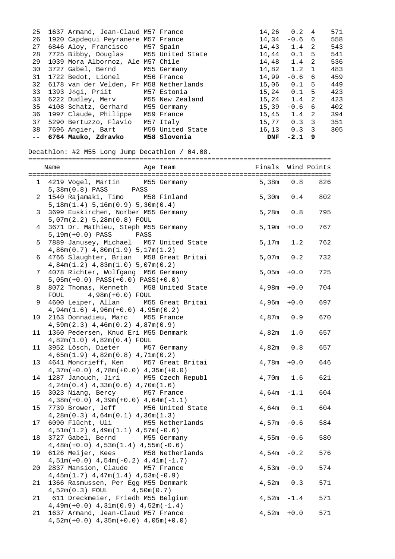| 25 | 1637 Armand, Jean-Claud M57 France      |                  | 14,26           | 0.2           | 4                          | 571 |
|----|-----------------------------------------|------------------|-----------------|---------------|----------------------------|-----|
| 26 | 1920 Capdequi Peyranere M57 France      |                  | 14,34           | $-0.6$ 6      |                            | 558 |
| 27 | 6846 Aloy, Francisco M57 Spain          |                  | $14.43$ 1.4     |               | $\overline{\phantom{a}}$ 2 | 543 |
| 28 | 7725 Bibby, Douglas M55 United State    |                  | 14,44           | $0.1 - 5$     |                            | 541 |
| 29 | 1039 Mora Albornoz, Ale M57 Chile       |                  | 14.48 1.4       |               | $\overline{2}$             | 536 |
| 30 | 3727 Gabel, Bernd M55 Germany           |                  | 14,82 1.2 1     |               |                            | 483 |
| 31 | 1722 Bedot, Lionel M56 France           |                  | 14,99           | $-0.6$ 6      |                            | 459 |
| 32 | 6178 van der Velden, Fr M58 Netherlands |                  | 15,06           | $0.1 - 5$     |                            | 449 |
| 33 | 1393 Jőgi, Priit       M57 Estonia      |                  | 15,24           | $0.1 - 5$     |                            | 423 |
| 33 | 6222 Dudley, Merv                       | M55 New Zealand  | $15,24$ $1.4$ 2 |               |                            | 423 |
| 35 | 4108 Schatz, Gerhard                    | M55 Germany      | 15,39           | $-0.6$ 6      |                            | 402 |
| 36 | 1997 Claude, Philippe                   | M59 France       | $15,45$ $1.4$ 2 |               |                            | 394 |
| 37 | 5290 Bertuzzo, Flavio                   | M57 Italy        | 15,77           | $0.3 \quad 3$ |                            | 351 |
| 38 | 7696 Angier, Bart                       | M59 United State | 16,13           | $0.3 \quad 3$ |                            | 305 |
|    | -- 6764 Mauko, Zdravko 1158 Slovenia    |                  | <b>DNF</b>      | $-2.1$ 9      |                            |     |

Decathlon: #2 M55 Long Jump Decathlon / 04.08.

|                | Age Team<br>Name                                                                  | Finals Wind Points |        |     |
|----------------|-----------------------------------------------------------------------------------|--------------------|--------|-----|
|                | 1 4219 Vogel, Martin M55 Germany<br>5,38m(0.8) PASS PASS                          | 5,38m              | 0.8    | 826 |
| $\overline{a}$ | 1540 Rajamaki, Timo M58 Finland<br>5,18m(1.4) 5,16m(0.9) 5,30m(0.4)               | 5,30m              | 0.4    | 802 |
| 3              | 3699 Euskirchen, Norber M55 Germany<br>5,07m(2.2) 5,28m(0.8) FOUL                 | 5,28m 0.8          |        | 795 |
| $\overline{4}$ | 3671 Dr. Mathieu, Steph M55 Germany<br>$5,19m(+0.0)$ PASS<br>PASS                 | 5,19m              | $+0.0$ | 767 |
| 5              | 7889 Janusey, Michael M57 United State<br>$4,86m(0.7)$ $4,80m(1.9)$ $5,17m(1.2)$  | $5,17m$ 1.2        |        | 762 |
| 6              | 4766 Slaughter, Brian M58 Great Britai<br>$4,84m(1.2)$ $4,83m(1.0)$ $5,07m(0.2)$  | $5,07m$ 0.2        |        | 732 |
| 7              | 4078 Richter, Wolfgang M56 Germany<br>$5,05m(+0.0)$ PASS $(+0.0)$ PASS $(+0.0)$   | $5,05m + 0.0$      |        | 725 |
| 8              | 8072 Thomas, Kenneth M58 United State<br>$4,98m(+0.0)$ FOUL<br>FOUL               | 4,98m              | $+0.0$ | 704 |
| 9              | 4600 Leiper, Allan M55 Great Britai<br>$4,94m(1.6)$ $4,96m(+0.0)$ $4,95m(0.2)$    | 4,96m              | $+0.0$ | 697 |
| 10             | 2163 Donnadieu, Marc M55 France<br>$4,59m(2.3)$ $4,46m(0.2)$ $4,87m(0.9)$         | 4,87m              | 0.9    | 670 |
| 11             | 1360 Pedersen, Knud Eri M55 Denmark<br>4,82m(1.0) 4,82m(0.4) FOUL                 | 4,82m              | $1.0$  | 657 |
| 11             | 3952 Lösch, Dieter M57 Germany<br>$4,65m(1.9)$ $4,82m(0.8)$ $4,71m(0.2)$          | 4,82m 0.8          |        | 657 |
| 13             | 4641 Moncrieff, Ken M57 Great Britai<br>$4,37m(+0.0)$ $4,78m(+0.0)$ $4,35m(+0.0)$ | 4,78m              | $+0.0$ | 646 |
| 14             | 1287 Janouch, Jiri M55 Czech Republ<br>$4,24m(0.4)$ $4,33m(0.6)$ $4,70m(1.6)$     | 4,70m 1.6          |        | 621 |
| 15             | 3023 Niang, Bercy M57 France<br>$4,38m(+0.0)$ $4,39m(+0.0)$ $4,64m(-1.1)$         | $4,64m -1.1$       |        | 604 |
| 15             | 7739 Brower, Jeff<br>M56 United State<br>$4,28m(0.3)$ $4,64m(0.1)$ $4,36m(1.3)$   | $4,64m$ $0.1$      |        | 604 |
| 17             | 6090 Flücht, Uli<br>M55 Netherlands<br>$4,51m(1.2)$ $4,49m(1.1)$ $4,57m(-0.6)$    | $4,57m -0.6$       |        | 584 |
| 18             | 3727 Gabel, Bernd<br>M55 Germany<br>$4,48m(+0.0)$ $4,53m(1.4)$ $4,55m(-0.6)$      | $4,55m -0.6$       |        | 580 |
| 19             | 6126 Meijer, Kees M58 Netherlands<br>$4,51m(+0.0)$ $4,54m(-0.2)$ $4,41m(-1.7)$    | 4,54m              | $-0.2$ | 576 |
| 20             | 2837 Mansion, Claude M57 France<br>$4,45m(1.7)$ $4,47m(1.4)$ $4,53m(-0.9)$        | 4,53m              | $-0.9$ | 574 |
| 21             | 1366 Rasmussen, Per Egg M55 Denmark<br>4,50m(0.7)<br>$4,52m(0.3)$ FOUL            | 4,52m              | 0.3    | 571 |
| 21             | 611 Dreckmeier, Friedh M55 Belgium<br>$4,49m(+0.0)$ $4,31m(0.9)$ $4,52m(-1.4)$    | 4,52m              | $-1.4$ | 571 |
| 21             | 1637 Armand, Jean-Claud M57 France<br>$4,52m(+0.0)$ $4,35m(+0.0)$ $4,05m(+0.0)$   | 4,52m              | $+0.0$ | 571 |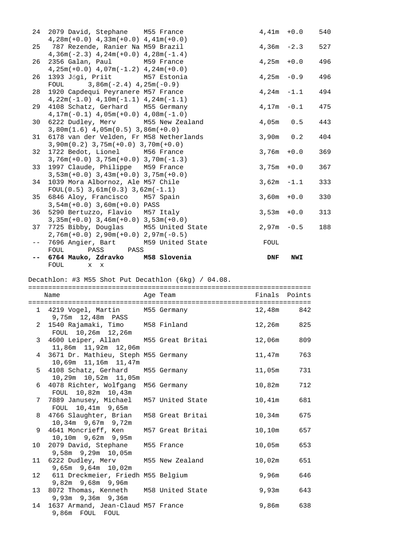| 24   | 2079 David, Stephane M55 France              |                  |              | $4.41m + 0.0$ | 540 |
|------|----------------------------------------------|------------------|--------------|---------------|-----|
|      | $4,28m(+0.0)$ $4,33m(+0.0)$ $4,41m(+0.0)$    |                  |              |               |     |
| 25   | 787 Rezende, Ranier Na M59 Brazil            |                  |              | $4,36m -2.3$  | 527 |
|      | $4,36m(-2.3)$ $4,24m(+0.0)$ $4,28m(-1.4)$    |                  |              |               |     |
| 26   | 2356 Galan, Paul M59 France                  |                  |              | $4,25m + 0.0$ | 496 |
|      | $4,25m(+0.0)$ $4,07m(-1.2)$ $4,24m(+0.0)$    |                  |              |               |     |
| 26   | 1393 Jőgi, Priit M57 Estonia                 |                  | $4,25m -0.9$ |               | 496 |
|      | FOUL 3,86m( $-2.4$ ) 4,25m( $-0.9$ )         |                  |              |               |     |
| 28   | 1920 Capdequi Peyranere M57 France           |                  |              | $4,24m -1.1$  | 494 |
|      | $4,22m(-1.0)$ $4,10m(-1.1)$ $4,24m(-1.1)$    |                  |              |               |     |
| 29   | 4108 Schatz, Gerhard M55 Germany             |                  |              | $4,17m -0.1$  | 475 |
|      | $4, 17m(-0.1)$ $4, 05m(+0.0)$ $4, 08m(-1.0)$ |                  |              |               |     |
| 30   | 6222 Dudley, Merv M55 New Zealand            |                  |              | $4,05m$ 0.5   | 443 |
|      | $3,80m(1.6)$ 4,05m(0.5) 3,86m(+0.0)          |                  |              |               |     |
| 31   | 6178 van der Velden, Fr M58 Netherlands      |                  | $3,90m$ 0.2  |               | 404 |
|      | $3,90m(0.2)$ $3,75m(+0.0)$ $3,70m(+0.0)$     |                  |              |               |     |
| 32   | 1722 Bedot, Lionel M56 France                |                  |              | $3,76m + 0.0$ | 369 |
|      | $3,76m(+0.0)$ $3,75m(+0.0)$ $3,70m(-1.3)$    |                  |              |               |     |
| 33   | 1997 Claude, Philippe M59 France             |                  |              | $3,75m + 0.0$ | 367 |
|      | $3,53m(+0.0)$ $3,43m(+0.0)$ $3,75m(+0.0)$    |                  |              |               |     |
| 34   | 1039 Mora Albornoz, Ale M57 Chile            |                  |              | $3,62m -1.1$  | 333 |
|      | $FOUL(0.5)$ 3,61m(0.3) 3,62m(-1.1)           |                  |              |               |     |
| 35   | 6846 Aloy, Francisco M57 Spain               |                  |              | $3,60m + 0.0$ | 330 |
|      | $3,54m(+0.0)$ 3,60m(+0.0) PASS               |                  |              |               |     |
|      | 36 5290 Bertuzzo, Flavio M57 Italy           |                  |              | $3,53m + 0.0$ | 313 |
|      | $3,35m(+0.0)$ $3,46m(+0.0)$ $3,53m(+0.0)$    |                  |              |               |     |
| 37   | 7725 Bibby, Douglas M55 United State         |                  |              | $2.97m - 0.5$ | 188 |
|      | $2,76m(+0.0)$ $2,90m(+0.0)$ $2,97m(-0.5)$    |                  |              |               |     |
| $ -$ | 7696 Angier, Bart                            | M59 United State | FOUL         |               |     |
|      | FOUL PASS<br>PASS                            |                  |              |               |     |
|      | 6764 Mauko, Zdravko                          | M58 Slovenia     | DNF          | <b>NWI</b>    |     |
|      | FOUL x x                                     |                  |              |               |     |

Decathlon: #3 M55 Shot Put Decathlon (6kg) / 04.08.

======================================================================= Name Age Team Finals Points ======================================================================= 1 4219 Vogel, Martin M55 Germany 12,48m 842 9,75m 12,48m PASS 2 1540 Rajamaki, Timo M58 Finland 12,26m 825 FOUL 10,26m 12,26m 3 4600 Leiper, Allan M55 Great Britai 12,06m 809 11,86m 11,92m 12,06m 4 3671 Dr. Mathieu, Steph M55 Germany 11,47m 763 10,69m 11,16m 11,47m 5 4108 Schatz, Gerhard M55 Germany 11,05m 731 10,29m 10,52m 11,05m 6 4078 Richter, Wolfgang M56 Germany 10,82m 712 FOUL 10,82m 10,43m 7 7889 Janusey, Michael M57 United State 10,41m 681 FOUL 10,41m 9,65m 8 4766 Slaughter, Brian M58 Great Britai 10,34m 675 10,34m 9,67m 9,72m 9 4641 Moncrieff, Ken M57 Great Britai 10,10m 657 10,10m 9,62m 9,95m 10 2079 David, Stephane M55 France 10,05m 653 9,58m 9,29m 10,05m 11 6222 Dudley, Merv M55 New Zealand 10,02m 651 9,65m 9,64m 10,02m 12 611 Dreckmeier, Friedh M55 Belgium 12 9,96m 646 9,82m 9,68m 9,96m 13 8072 Thomas, Kenneth M58 United State 9,93m 643 9,93m 9,36m 9,36m 14 1637 Armand, Jean-Claud M57 France 9,86m 638 9,86m FOUL FOUL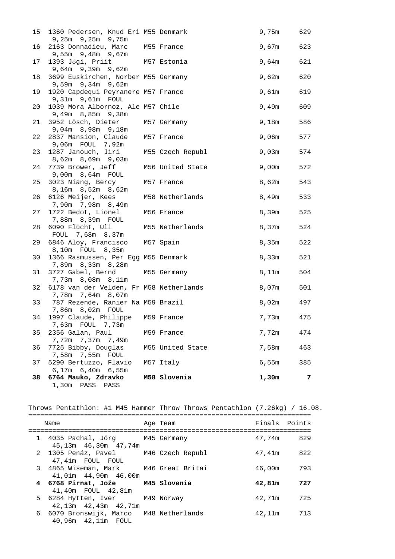|    | 15 1360 Pedersen, Knud Eri M55 Denmark<br>9,25m 9,25m 9,75m  |                  | 9,75m | 629 |
|----|--------------------------------------------------------------|------------------|-------|-----|
| 16 | 2163 Donnadieu, Marc<br>9,55m 9,48m 9,67m                    | M55 France       | 9,67m | 623 |
| 17 | 1393 Jőgi, Priit M57 Estonia<br>9,64m 9,39m 9,62m            |                  | 9,64m | 621 |
| 18 | 3699 Euskirchen, Norber M55 Germany<br>9,59m 9,34m 9,62m     |                  | 9,62m | 620 |
| 19 | 1920 Capdequi Peyranere M57 France<br>9,31m 9,61m FOUL       |                  | 9,61m | 619 |
| 20 | 1039 Mora Albornoz, Ale M57 Chile<br>9,49m 8,85m 9,38m       |                  | 9,49m | 609 |
| 21 | 3952 Lösch, Dieter<br>9,04m 8,98m 9,18m                      | M57 Germany      | 9,18m | 586 |
| 22 | 2837 Mansion, Claude<br>9,06m  FOUL  7,92m                   | M57 France       | 9,06m | 577 |
| 23 | 1287 Janouch, Jiri<br>8,62m 8,69m 9,03m                      | M55 Czech Republ | 9,03m | 574 |
| 24 | 7739 Brower, Jeff<br>9,00m 8,64m FOUL                        | M56 United State | 9,00m | 572 |
| 25 | 3023 Niang, Bercy<br>8,16m 8,52m 8,62m                       | M57 France       | 8,62m | 543 |
| 26 | 6126 Meijer, Kees<br>7,90m 7,98m 8,49m                       | M58 Netherlands  | 8,49m | 533 |
| 27 | 1722 Bedot, Lionel<br>7,88m 8,39m FOUL                       | M56 France       | 8,39m | 525 |
| 28 | 6090 Flücht, Uli<br>FOUL 7,68m 8,37m                         | M55 Netherlands  | 8,37m | 524 |
| 29 | 6846 Aloy, Francisco<br>8,10m FOUL 8,35m                     | M57 Spain        | 8,35m | 522 |
| 30 | 1366 Rasmussen, Per Egg M55 Denmark<br>7,89m 8,33m 8,28m     |                  | 8,33m | 521 |
| 31 | 3727 Gabel, Bernd<br>7,73m 8,08m 8,11m                       | M55 Germany      | 8,11m | 504 |
| 32 | 6178 van der Velden, Fr M58 Netherlands<br>7,78m 7,64m 8,07m |                  | 8,07m | 501 |
| 33 | 787 Rezende, Ranier Na M59 Brazil<br>7,86m 8,02m FOUL        |                  | 8,02m | 497 |
| 34 | 1997 Claude, Philippe M59 France                             |                  | 7,73m | 475 |
| 35 | 2356 Galan, Paul<br>7,72m 7,37m 7,49m                        | M59 France       | 7,72m | 474 |
| 36 | 7725 Bibby, Douglas<br>7,58m 7,55m FOUL                      | M55 United State | 7,58m | 463 |
| 37 | 5290 Bertuzzo, Flavio<br>6,17m 6,40m 6,55m                   | M57 Italy        | 6,55m | 385 |
| 38 | 6764 Mauko, Zdravko<br>1,30m PASS PASS                       | M58 Slovenia     | 1,30m | 7   |

Throws Pentathlon: #1 M45 Hammer Throw Throws Pentathlon (7.26kg) / 16.08.

| Name                                                            | Age Team | Finals Points |     |
|-----------------------------------------------------------------|----------|---------------|-----|
| 1 4035 Pachal, Jörg M45 Germany<br>45,13m  46,30m  47,74m       |          | 47.74m        | 829 |
| 2 1305 Penáz, Pavel M46 Czech Republ<br>47,41m FOUL FOUL        |          | 47,41m        | 822 |
| 3 4865 Wiseman, Mark M46 Great Britai<br>41,01m  44,90m  46,00m |          | 46,00m        | 793 |
| 4 6768 Pirnat, Jože M45 Slovenia<br>41,40m FOUL 42,81m          |          | 42,81m        | 727 |
| 5 6284 Hytten, Iver M49 Norway<br>$42,13m$ $42,43m$ $42,71m$    |          | 42,71m        | 725 |
| 6 6070 Bronswijk, Marco M48 Netherlands<br>40,96m  42,11m  FOUL |          | 42.11m        | 713 |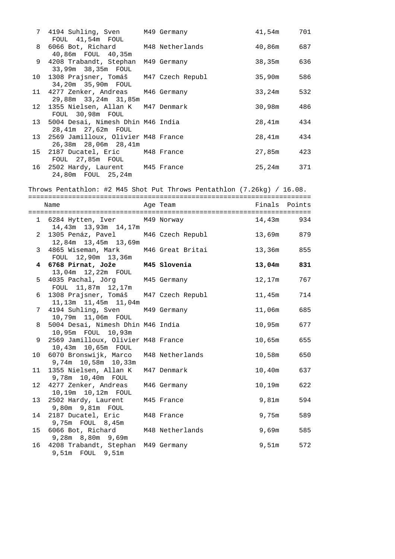| 7 4194 Suhling, Sven M49 Germany<br>FOUL 41,54m FOUL           |             | 41,54m 701 |     |
|----------------------------------------------------------------|-------------|------------|-----|
| 8 6066 Bot, Richard M48 Netherlands<br>40,86m FOUL 40,35m      |             | 40,86m 687 |     |
| 9 4208 Trabandt, Stephan<br>33,99m 38,35m FOUL                 | M49 Germany | 38,35m     | 636 |
| 10 1308 Prajsner, Tomáš M47 Czech Republ<br>34,20m 35,90m FOUL |             | 35,90m     | 586 |
| 11 4277 Zenker, Andreas M46 Germany<br>29,88m 33,24m 31,85m    |             | 33,24m 532 |     |
| 12 1355 Nielsen, Allan K M47 Denmark<br>FOUL 30,98m FOUL       |             | 30,98m     | 486 |
| 13 5004 Desai, Nimesh Dhin M46 India<br>28,41m  27,62m  FOUL   |             | 28,41m     | 434 |
| 13 2569 Jamilloux, Olivier M48 France<br>26,38m 28,06m 28,41m  |             | 28,41m 434 |     |
| 15 2187 Ducatel, Eric M48 France<br>FOUL 27,85m FOUL           |             | 27,85m     | 423 |
| 16 2502 Hardy, Laurent M45 France<br>24,80m FOUL 25,24m        |             | 25,24m 371 |     |

Throws Pentathlon: #2 M45 Shot Put Throws Pentathlon (7.26kg) / 16.08.

|   | Name                                                              |             | Finals Points |           |
|---|-------------------------------------------------------------------|-------------|---------------|-----------|
|   |                                                                   | Age Team    |               |           |
|   | 1 6284 Hytten, Iver M49 Norway<br>14,43m 13,93m 14,17m            |             | 14,43m 934    |           |
|   | 2 1305 Penáz, Pavel M46 Czech Republ<br>12,84m  13,45m  13,69m    |             | 13,69m 879    |           |
|   | 3 4865 Wiseman, Mark M46 Great Britai<br>FOUL 12,90m 13,36m       |             | 13,36m 855    |           |
|   | 4 6768 Pirnat, Jože M45 Slovenia<br>13,04m  12,22m  FOUL          |             | 13,04m 831    |           |
|   | 5 4035 Pachal, Jörg M45 Germany<br>FOUL 11,87m 12,17m             |             | 12,17m        | 767       |
|   | 6 1308 Prajsner, Tomáš M47 Czech Republ<br>11,13m  11,45m  11,04m |             | 11,45m 714    |           |
|   | 7 4194 Suhling, Sven M49 Germany<br>10,79m  11,06m  FOUL          |             | 11,06m 685    |           |
| 8 | 5004 Desai, Nimesh Dhin M46 India<br>10,95m FOUL 10,93m           |             | 10,95m 677    |           |
|   | 9 2569 Jamilloux, Olivier M48 France<br>10,43m  10,65m  FOUL      |             | 10,65m 655    |           |
|   | 10 6070 Bronswijk, Marco M48 Netherlands<br>9,74m 10,58m 10,33m   |             | 10,58m        | 650       |
|   | 11 1355 Nielsen, Allan K<br>9,78m  10,40m  FOUL                   | M47 Denmark | 10,40m        | 637       |
|   | 12 4277 Zenker, Andreas<br>10,19m  10,12m  FOUL                   | M46 Germany | 10,19m 622    |           |
|   | 13 2502 Hardy, Laurent                                            | M45 France  |               | 9,81m 594 |
|   | 14 2187 Ducatel, Eric<br>9,75m FOUL 8,45m                         | M48 France  |               | 9,75m 589 |
|   | 15 6066 Bot, Richard M48 Netherlands<br>9,28m 8,80m 9,69m         |             |               | 9,69m 585 |
|   | 16 4208 Trabandt, Stephan M49 Germany<br>9,51m FOUL 9,51m         |             | 9,51m         | 572       |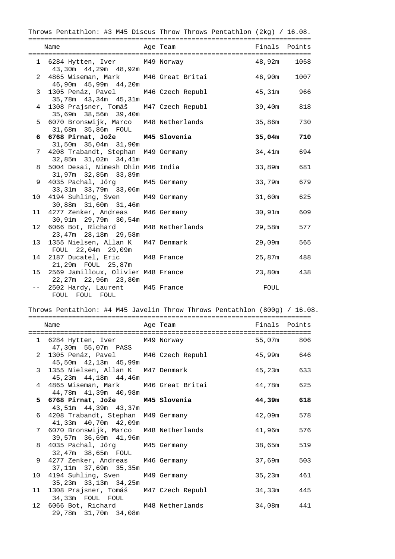|                | Throws Pentathlon: #3 M45 Discus Throw Throws Pentathlon (2kg) / $16.08$ . |          |               |      |
|----------------|----------------------------------------------------------------------------|----------|---------------|------|
|                | Name                                                                       | Age Team | Finals Points |      |
|                | 1 6284 Hytten, Iver M49 Norway<br>43,30m  44,29m  48,92m                   |          | 48,92m        | 1058 |
|                | 2 4865 Wiseman, Mark M46 Great Britai<br>46,90m  45,99m  44,20m            |          | 46,90m        | 1007 |
| 3 <sup>7</sup> | 1305 Penáz, Pavel M46 Czech Republ<br>35,78m  43,34m  45,31m               |          | 45,31m 966    |      |
|                | 4 1308 Prajsner, Tomáš M47 Czech Republ<br>35,69m 38,56m 39,40m            |          | 39,40m 818    |      |
| $5 -$          | 6070 Bronswijk, Marco M48 Netherlands<br>31,68m 35,86m FOUL                |          | 35,86m        | 730  |
|                | 6 6768 Pirnat, Jože M45 Slovenia<br>31,50m 35,04m 31,90m                   |          | 35,04m        | 710  |
| 7 <sup>7</sup> | 4208 Trabandt, Stephan M49 Germany<br>32,85m 31,02m 34,41m                 |          | 34,41m        | 694  |
| 8              | 5004 Desai, Nimesh Dhin M46 India<br>31,97m 32,85m 33,89m                  |          | 33,89m        | 681  |
| 9              | 4035 Pachal, Jörg M45 Germany<br>33,31m 33,79m 33,06m                      |          | 33,79m        | 679  |
|                | 10 4194 Suhling, Sven M49 Germany<br>30,88m 31,60m 31,46m                  |          | 31,60m 625    |      |
|                | 11 4277 Zenker, Andreas M46 Germany<br>30,91m 29,79m 30,54m                |          | 30,91m 609    |      |
|                | 12 6066 Bot, Richard M48 Netherlands<br>23,47m 28,18m 29,58m               |          | 29,58m        | 577  |
|                | 13 1355 Nielsen, Allan K M47 Denmark<br>FOUL 22,04m 29,09m                 |          | 29,09m        | 565  |
|                | 14 2187 Ducatel, Eric M48 France<br>21,29m FOUL 25,87m                     |          | 25,87m        | 488  |
|                | 15 2569 Jamilloux, Olivier M48 France<br>22,27m 22,96m 23,80m              |          | 23,80m        | 438  |
|                | -- 2502 Hardy, Laurent M45 France<br>FOUL FOUL FOUL                        |          | FOUL          |      |

## Throws Pentathlon: #4 M45 Javelin Throw Throws Pentathlon (800g) / 16.08.

| Name                                                                      | Age Team | Finals Points |  |
|---------------------------------------------------------------------------|----------|---------------|--|
| 1 6284 Hytten, Iver M49 Norway<br>47,30m 55,07m PASS                      |          | 55,07m 806    |  |
| 2 1305 Penáz, Pavel M46 Czech Republ 45,99m 646<br>45,50m  42,13m  45,99m |          |               |  |
| 3 1355 Nielsen, Allan K M47 Denmark 15,23m 633<br>45,23m  44,18m  44,46m  |          |               |  |
| 4 4865 Wiseman, Mark M46 Great Britai<br>44,78m  41,39m  40,98m           |          | 44,78m 625    |  |
| 5 6768 Pirnat, Jože M45 Slovenia<br>43,51m 44,39m 43,37m                  |          | $44,39m$ 618  |  |
| 6 4208 Trabandt, Stephan M49 Germany<br>41,33m 40,70m 42,09m              |          | 42,09m 578    |  |
| 7 6070 Bronswijk, Marco M48 Netherlands<br>39,57m 36,69m 41,96m           |          | 41,96m 576    |  |
| 8 4035 Pachal, Jörg M45 Germany<br>32,47m 38,65m FOUL                     |          | 38,65m 519    |  |
| 9 4277 Zenker, Andreas M46 Germany<br>37,11m 37,69m 35,35m                |          | 37,69m 503    |  |
| 10 4194 Suhling, Sven M49 Germany<br>35,23m 33,13m 34,25m                 |          | 35,23m 461    |  |
| 11 1308 Prajsner, Tomáš M47 Czech Republ<br>34,33m FOUL FOUL              |          | 34,33m 445    |  |
| 12 6066 Bot, Richard M48 Netherlands<br>29,78m 31,70m 34,08m              |          | 34,08m 441    |  |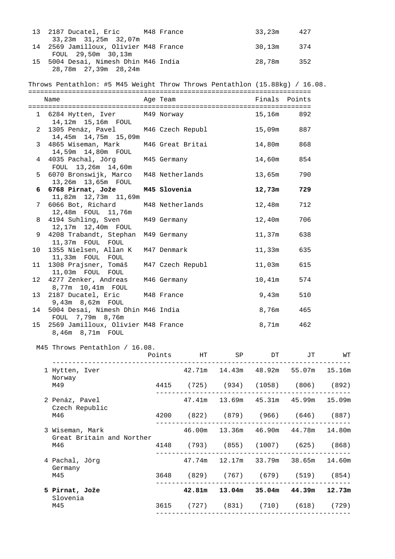| 13 | 2187 Ducatel, Eric M48 France                                                    |              |                  |                                                                                                                                                                                                                                | 33,23m        | 427 |                             |
|----|----------------------------------------------------------------------------------|--------------|------------------|--------------------------------------------------------------------------------------------------------------------------------------------------------------------------------------------------------------------------------|---------------|-----|-----------------------------|
| 14 | 33,23m 31,25m 32,07m<br>2569 Jamilloux, Olivier M48 France<br>FOUL 29,50m 30,13m |              |                  |                                                                                                                                                                                                                                | 30,13m        | 374 |                             |
| 15 | 5004 Desai, Nimesh Dhin M46 India<br>28,78m  27,39m  28,24m                      |              |                  |                                                                                                                                                                                                                                | 28,78m        | 352 |                             |
|    | Throws Pentathlon: #5 M45 Weight Throw Throws Pentathlon (15.88kg) / 16.08.      |              |                  |                                                                                                                                                                                                                                |               |     |                             |
|    | Name                                                                             |              |                  | Age Team and the state of the state of the state of the state of the state of the state of the state of the state of the state of the state of the state of the state of the state of the state of the state of the state of t | Finals Points |     |                             |
|    | 1 6284 Hytten, Iver M49 Norway                                                   |              |                  |                                                                                                                                                                                                                                | 15,16m        | 892 |                             |
|    | 14,12m 15,16m FOUL<br>2 1305 Penáz, Pavel M46 Czech Republ                       |              |                  |                                                                                                                                                                                                                                | 15,09m        | 887 |                             |
|    | 14,45m  14,75m  15,09m<br>3 4865 Wiseman, Mark M46 Great Britai                  |              |                  |                                                                                                                                                                                                                                | 14,80m        | 868 |                             |
|    | 14,59m  14,80m  FOUL<br>4 4035 Pachal, Jörg                                      | M45 Germany  |                  |                                                                                                                                                                                                                                | 14,60m        | 854 |                             |
| 5  | FOUL 13,26m 14,60m<br>6070 Bronswijk, Marco<br>13,26m  13,65m  FOUL              |              |                  | M48 Netherlands                                                                                                                                                                                                                | 13,65m        | 790 |                             |
| 6  | 6768 Pirnat, Jože<br>11,82m  12,73m  11,69m                                      | M45 Slovenia |                  |                                                                                                                                                                                                                                | 12,73m        | 729 |                             |
| 7  | 6066 Bot, Richard<br>12,48m  FOUL  11,76m                                        |              | M48 Netherlands  |                                                                                                                                                                                                                                | 12,48m        | 712 |                             |
| 8  | 4194 Suhling, Sven<br>12,17m  12,40m  FOUL                                       | M49 Germany  |                  |                                                                                                                                                                                                                                | 12,40m        | 706 |                             |
| 9  | 4208 Trabandt, Stephan<br>11,37m FOUL FOUL                                       | M49 Germany  |                  |                                                                                                                                                                                                                                | 11,37m        | 638 |                             |
| 10 | 1355 Nielsen, Allan K<br>11,33m FOUL FOUL                                        | M47 Denmark  |                  |                                                                                                                                                                                                                                | 11,33m        | 635 |                             |
| 11 | 1308 Prajsner, Tomáš<br>11,03m FOUL FOUL                                         |              | M47 Czech Republ |                                                                                                                                                                                                                                | 11,03m        | 615 |                             |
| 12 | 4277 Zenker, Andreas<br>8,77m 10,41m FOUL                                        | M46 Germany  |                  |                                                                                                                                                                                                                                | 10,41m        | 574 |                             |
|    | 13 2187 Ducatel, Eric M48 France<br>9,43m 8,62m FOUL                             |              |                  |                                                                                                                                                                                                                                | 9,43m         | 510 |                             |
|    | 14 5004 Desai, Nimesh Dhin M46 India<br>FOUL 7,79m 8,76m                         |              |                  |                                                                                                                                                                                                                                | 8,76m         | 465 |                             |
|    | 15 2569 Jamilloux, Olivier M48 France<br>8,46m 8,71m FOUL                        |              |                  |                                                                                                                                                                                                                                | 8,71m 462     |     |                             |
|    | M45 Throws Pentathlon / 16.08.                                                   |              |                  |                                                                                                                                                                                                                                |               |     |                             |
|    |                                                                                  |              |                  | Points HT SP DT JT WT                                                                                                                                                                                                          |               |     |                             |
|    | 1 Hytten, Iver<br>Norway                                                         |              |                  | 42.71m  14.43m  48.92m  55.07m  15.16m                                                                                                                                                                                         |               |     |                             |
|    | M49                                                                              |              |                  | 4415 (725) (934) (1058) (806) (892)                                                                                                                                                                                            |               |     |                             |
|    | 2 Penáz, Pavel<br>Czech Republic                                                 |              |                  | 47.41m 13.69m 45.31m 45.99m 15.09m                                                                                                                                                                                             |               |     |                             |
|    | M46                                                                              |              |                  | 4200 (822) (879) (966) (646) (887)                                                                                                                                                                                             |               |     |                             |
|    | 3 Wiseman, Mark<br>Great Britain and Norther                                     |              |                  | 46.00m  13.36m  46.90m  44.78m  14.80m                                                                                                                                                                                         |               |     |                             |
|    | M46                                                                              |              |                  | 4148 (793) (855) (1007) (625) (868)                                                                                                                                                                                            |               |     |                             |
|    | 4 Pachal, Jörg<br>Germany                                                        |              | 47.74m           |                                                                                                                                                                                                                                |               |     | 12.17m 33.79m 38.65m 14.60m |
|    | M45                                                                              |              |                  | 3648 (829) (767) (679) (519) (854)                                                                                                                                                                                             |               |     |                             |
|    | 5 Pirnat, Jože<br>Slovenia                                                       |              |                  | 42.81m 13.04m 35.04m 44.39m 12.73m                                                                                                                                                                                             |               |     |                             |
|    | M45                                                                              |              |                  | 3615 (727) (831) (710) (618) (729)                                                                                                                                                                                             |               |     |                             |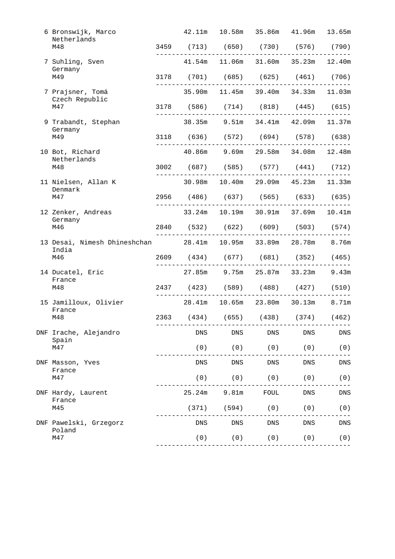| 6 Bronswijk, Marco<br>Netherlands                                       |            | 42.11m  10.58m  35.86m  41.96m  13.65m |      |                             |       |
|-------------------------------------------------------------------------|------------|----------------------------------------|------|-----------------------------|-------|
| M48                                                                     |            | 3459 (713) (650) (730) (576) (790)     |      |                             |       |
| 7 Suhling, Sven<br>Germany                                              |            | 41.54m 11.06m 31.60m 35.23m 12.40m     |      |                             |       |
| M49                                                                     |            | 3178 (701) (685) (625) (461) (706)     |      |                             |       |
| 7 Prajsner, Tomá<br>Czech Republic                                      | 35.90m     |                                        |      | 11.45m 39.40m 34.33m 11.03m |       |
| M47                                                                     |            | 3178 (586) (714) (818) (445) (615)     |      |                             |       |
| 9 Trabandt, Stephan<br>Germany                                          |            | 38.35m 9.51m 34.41m 42.09m 11.37m      |      |                             |       |
| M49                                                                     |            | 3118 (636) (572) (694) (578) (638)     |      |                             |       |
| 10 Bot, Richard<br>Netherlands                                          |            | 40.86m 9.69m 29.58m 34.08m 12.48m      |      |                             |       |
| M48                                                                     |            | 3002 (687) (585) (577) (441) (712)     |      |                             |       |
| 11 Nielsen, Allan K<br>Denmark                                          |            | 30.98m  10.40m  29.09m  45.23m  11.33m |      |                             |       |
| M47                                                                     |            | 2956 (486) (637) (565) (633) (635)     |      |                             |       |
| 12 Zenker, Andreas                                                      |            | 33.24m 10.19m 30.91m 37.69m 10.41m     |      |                             |       |
| Germany<br>M46                                                          |            | 2840 (532) (622) (609) (503) (574)     |      |                             |       |
| 13 Desai, Nimesh Dhineshchan 28.41m 10.95m 33.89m 28.78m 8.76m<br>India |            |                                        |      |                             |       |
| M46                                                                     |            | 2609 (434) (677) (681) (352) (465)     |      |                             |       |
| 14 Ducatel, Eric<br>France                                              |            | 27.85m 9.75m 25.87m 33.23m             |      |                             | 9.43m |
| M48                                                                     |            | 2437 (423) (589) (488) (427) (510)     |      |                             |       |
| 15 Jamilloux, Olivier<br>France                                         |            | 28.41m 10.65m 23.80m 30.13m 8.71m      |      |                             |       |
| M48                                                                     |            | 2363 (434) (655) (438) (374) (462)     |      |                             |       |
| DNF Irache, Alejandro<br>Spain                                          | DNS        | DNS                                    | DNS  | DNS                         | DNS   |
| M47                                                                     | (0)        | (0)                                    | (0)  | (0)                         | (0)   |
| DNF Masson, Yves<br>France                                              | <b>DNS</b> | <b>DNS</b>                             | DNS  | ${\rm DNS}$                 | DNS   |
| M47                                                                     | (0)        | (0)                                    | (0)  | (0)                         | (0)   |
| DNF Hardy, Laurent<br>France                                            | 25.24m     | 9.81m                                  | FOUL | <b>DNS</b>                  | DNS   |
| M45                                                                     | (371)      | (594)                                  | (0)  | (0)                         | (0)   |
| DNF Pawelski, Grzegorz<br>Poland                                        | DNS        | <b>DNS</b>                             | DNS  | DNS                         | DNS   |
| M47                                                                     | (0)        | (0)                                    | (0)  | (0)                         | (0)   |
|                                                                         |            |                                        |      |                             |       |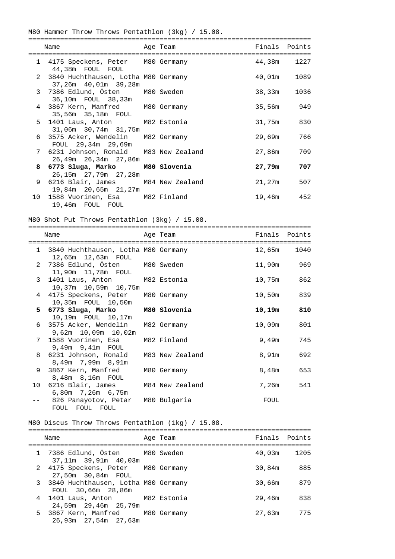|                | M80 Hammer Throw Throws Pentathlon (3kg) / 15.08.                                             |                 |               |               |
|----------------|-----------------------------------------------------------------------------------------------|-----------------|---------------|---------------|
|                | Name                                                                                          | Age Team        |               | Finals Points |
|                | 1 4175 Speckens, Peter M80 Germany<br>44,38m FOUL FOUL                                        |                 | 44,38m        | 1227          |
|                | 3840 Huchthausen, Lotha M80 Germany<br>$\mathbf{2}$                                           |                 | $40,01$ m     | 1089          |
|                | 37,26m 40,01m 39,28m<br>7386 Edlund, Östen M80 Sweden<br>3 <sup>7</sup><br>36,10m FOUL 38,33m |                 | 38,33m        | 1036          |
| 4              | 3867 Kern, Manfred M80 Germany<br>35,56m 35,18m FOUL                                          |                 | 35,56m        | 949           |
| 5.             | 1401 Laus, Anton M82 Estonia<br>31,06m 30,74m 31,75m                                          |                 | 31,75m        | 830           |
| 6              | 3575 Acker, Wendelin M82 Germany<br>FOUL 29,34m 29,69m                                        |                 | 29,69m        | 766           |
| 7              | 6231 Johnson, Ronald M83 New Zealand<br>26,49m 26,34m 27,86m                                  |                 | 27,86m        | 709           |
| 8              | 6773 Sluga, Marko<br>26,15m  27,79m  27,28m                                                   | M80 Slovenia    | 27,79m        | 707           |
| 9              | 6216 Blair, James M84 New Zealand<br>19,84m  20,65m  21,27m                                   |                 | 21,27m        | 507           |
|                | 10 1588 Vuorinen, Esa M82 Finland<br>19,46m FOUL FOUL                                         |                 | 19,46m        | 452           |
|                | M80 Shot Put Throws Pentathlon (3kg) / 15.08.                                                 |                 |               |               |
|                | Name                                                                                          | Age Team        | Finals Points |               |
|                | 1 3840 Huchthausen, Lotha M80 Germany                                                         |                 | 12,65m        | 1040          |
| $\overline{2}$ | 12,65m  12,63m  FOUL<br>7386 Edlund, Östen M80 Sweden<br>11,90m  11,78m  FOUL                 |                 | 11,90m        | 969           |
|                | 1401 Laus, Anton<br>3<br>10,37m  10,59m  10,75m                                               | M82 Estonia     | 10,75m        | 862           |
|                | 4 4175 Speckens, Peter M80 Germany<br>10,35m  FOUL  10,50m                                    |                 | 10,50m        | 839           |
|                | 5 6773 Sluga, Marko<br>10,19m FOUL 10,17m                                                     | M80 Slovenia    | 10,19m        | 810           |
|                | 6 3575 Acker, Wendelin M82 Germany<br>9,62m 10,09m 10,02m                                     |                 |               | 10,09m 801    |
|                | 1588 Vuorinen, Esa<br>7<br>9,49m 9,41m FOUL                                                   | M82 Finland     | 9,49m         | 745           |
|                | 6231 Johnson, Ronald<br>8<br>8,49m 7,99m 8,91m                                                | M83 New Zealand | 8,91m         | 692           |
| 9              | 3867 Kern, Manfred<br>8,48m 8,16m FOUL                                                        | M80 Germany     | 8,48m         | 653           |
| 10             | 6216 Blair, James<br>6,80m 7,26m 6,75m                                                        | M84 New Zealand | 7,26m         | 541           |
| $- -$          | 826 Panayotov, Petar M80 Bulgaria<br>FOUL FOUL FOUL                                           |                 | FOUL          |               |
|                | M80 Discus Throw Throws Pentathlon (1kg) / 15.08.                                             |                 |               |               |
|                | Name                                                                                          | Age Team        |               | Finals Points |
|                |                                                                                               |                 |               |               |

1 7386 Edlund, Östen M80 Sweden 40,03m 1205

2 4175 Speckens, Peter M80 Germany 30,84m 885

3 3840 Huchthausen, Lotha M80 Germany 30,66m 879

4 1401 Laus, Anton M82 Estonia 29,46m 838

5 3867 Kern, Manfred M80 Germany 27,63m 775

37,11m 39,91m 40,03m

27,50m 30,84m FOUL

FOUL 30,66m 28,86m

24,59m 29,46m 25,79m

26,93m 27,54m 27,63m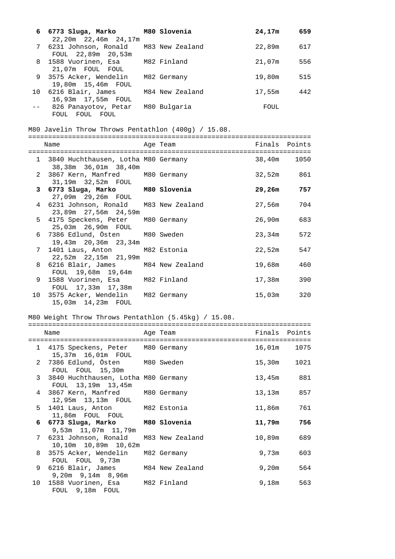| 6 6773 Sluga, Marko<br>22,20m 22,46m 24,17m    | M80 Slovenia    | 24,17m | 659 |
|------------------------------------------------|-----------------|--------|-----|
| 7 6231 Johnson, Ronald<br>FOUL 22,89m 20,53m   | M83 New Zealand | 22,89m | 617 |
| 8 1588 Vuorinen, Esa<br>21,07m FOUL FOUL       | M82 Finland     | 21,07m | 556 |
| 9 3575 Acker, Wendelin<br>19,80m  15,46m  FOUL | M82 Germany     | 19,80m | 515 |
| 10 6216 Blair, James<br>16,93m 17,55m FOUL     | M84 New Zealand | 17,55m | 442 |
| 826 Panayotov, Petar<br>FOUL<br>FOUL<br>FOUL   | M80 Bulgaria    | FOUL   |     |

#### M80 Javelin Throw Throws Pentathlon (400g) / 15.08.

======================================================================= Name **Age Team** Age Team Finals Points ======================================================================= 1 3840 Huchthausen, Lotha M80 Germany 38,40m 1050 38,38m 36,01m 38,40m 2 3867 Kern, Manfred M80 Germany 132,52m 861 31,19m 32,52m FOUL  **3 6773 Sluga, Marko M80 Slovenia 29,26m 757**  27,09m 29,26m FOUL 4 6231 Johnson, Ronald M83 New Zealand 27,56m 704 23,89m 27,56m 24,59m 5 4175 Speckens, Peter M80 Germany 26,90m 683 25,03m 26,90m FOUL 6 7386 Edlund, Östen M80 Sweden 23,34m 572 19,43m 20,36m 23,34m 7 1401 Laus, Anton M82 Estonia 22,52m 547 22,52m 22,15m 21,99m 8 6216 Blair, James M84 New Zealand 19,68m 460 FOUL 19,68m 19,64m 9 1588 Vuorinen, Esa 1892 Finland 17,38m 390 FOUL 17,33m 17,38m 10 3575 Acker, Wendelin M82 Germany 15,03m 320 15,03m 14,23m FOUL

#### M80 Weight Throw Throws Pentathlon (5.45kg) / 15.08.

| Name                                                             | Age Team | Finals Points |      |
|------------------------------------------------------------------|----------|---------------|------|
| 1 4175 Speckens, Peter M80 Germany<br>15,37m  16,01m  FOUL       |          | 16,01m 1075   |      |
| 2 7386 Edlund, Östen M80 Sweden<br>FOUL FOUL 15,30m              |          | 15,30m        | 1021 |
| 3 3840 Huchthausen, Lotha M80 Germany<br>FOUL 13,19m 13,45m      |          | 13,45m 881    |      |
| 4 3867 Kern, Manfred M80 Germany<br>12,95m  13,13m  FOUL         |          | 13,13m        | 857  |
| 5 1401 Laus, Anton M82 Estonia<br>11,86m FOUL FOUL               |          | 11,86m 761    |      |
| 6 6773 Sluga, Marko M80 Slovenia<br>9,53m 11,07m 11,79m          |          | 11,79m        | 756  |
| 7 6231 Johnson, Ronald M83 New Zealand<br>10,10m  10,89m  10,62m |          | 10,89m        | 689  |
| 8 3575 Acker, Wendelin M82 Germany<br>FOUL FOUL 9,73m            |          | 9,73m         | 603  |
| 9 6216 Blair, James M84 New Zealand<br>$9,20m$ $9,14m$ $8,96m$   |          | 9,20m         | 564  |
| 10 1588 Vuorinen, Esa M82 Finland<br>FOUL 9,18m FOUL             |          | 9,18m         | 563  |

=======================================================================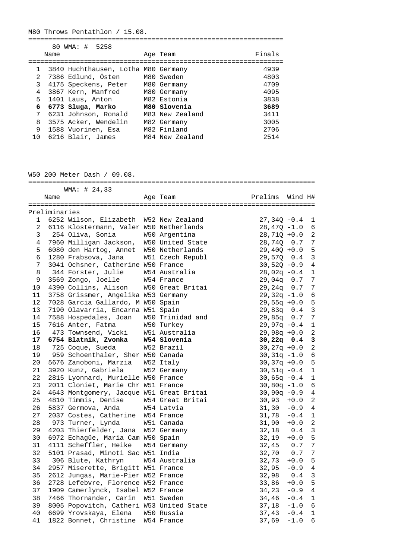M80 Throws Pentathlon / 15.08.

================================================================ 80 WMA: # 5258

|              | Name |                                     | Age Team        | Finals |
|--------------|------|-------------------------------------|-----------------|--------|
|              |      |                                     |                 |        |
| $\mathbf{1}$ |      | 3840 Huchthausen, Lotha M80 Germany |                 | 4939   |
|              |      | 2 7386 Edlund, Östen                | M80 Sweden      | 4803   |
| $\mathbf{3}$ |      | 4175 Speckens, Peter M80 Germany    |                 | 4709   |
| 4            |      | 3867 Kern, Manfred                  | M80 Germany     | 4095   |
| 5            |      | 1401 Laus, Anton                    | M82 Estonia     | 3838   |
| 6            |      | 6773 Sluga, Marko                   | M80 Slovenia    | 3689   |
| 7            |      | 6231 Johnson, Ronald                | M83 New Zealand | 3411   |
| 8            |      | 3575 Acker, Wendelin                | M82 Germany     | 3005   |
| 9            |      | 1588 Vuorinen, Esa                  | M82 Finland     | 2706   |
| 10           |      | 6216 Blair, James                   | M84 New Zealand | 2514   |

W50 200 Meter Dash / 09.08.

|             |               | WMA: # 24,33                                                                   |               |                 |                  |                 |
|-------------|---------------|--------------------------------------------------------------------------------|---------------|-----------------|------------------|-----------------|
|             | Name          |                                                                                | Age Team      | Prelims Wind H# |                  |                 |
|             | Preliminaries |                                                                                |               |                 |                  |                 |
|             |               | 1 6252 Wilson, Elizabeth W52 New Zealand                                       |               | $27,340 -0.4$   |                  | 1               |
|             |               | 2 6116 Klostermann, Valer W50 Netherlands                                      |               | $28,47Q -1.0$   |                  | 6               |
|             |               |                                                                                |               | $28,71Q + 0.0$  |                  | 2               |
|             |               | 3 254 Oliva, Sonia 1950 Argentina<br>4 7960 Milligan Jackson, W50 United State |               | 28,74Q 0.7      |                  | $\overline{7}$  |
| 5           |               | 6080 den Hartog, Annet W50 Netherlands                                         |               | $29,40Q + 0.0$  |                  | 5               |
| б.          |               | 1280 Frabsova, Jana W51 Czech Republ                                           |               | 29,570 0.4      |                  | $\overline{3}$  |
| $7^{\circ}$ |               | 3041 Ochsner, Catherine W50 France                                             |               | $30,52Q - 0.9$  |                  | $\overline{4}$  |
| 8           |               | 344 Forster, Julie M54 Australia                                               |               | $28,02q -0.4$   |                  | $\mathbf 1$     |
| 9           |               |                                                                                |               | $29,04q$ 0.7    |                  | $\overline{7}$  |
| 10          |               | 3569 Zongo, Joelle M54 France<br>4390 Collins, Alison M50 Great Britai         |               | $29,24q$ 0.7    |                  | $7\phantom{.0}$ |
| 11          |               | 3758 Grissmer, Angelika W53 Germany                                            |               | $29,32q -1.0$   |                  | 6               |
| 12          |               | 7028 Garcia Gallardo, M W50 Spain                                              |               | $29,55q +0.0$   |                  | 5               |
| 13          |               | 7190 Olavarria, Encarna W51 Spain                                              |               | 29,83q 0.4      |                  | $\mathbf{3}$    |
| 14          |               | 7588 Hospedales, Joan W50 Trinidad and                                         |               | $29,85q$ 0.7    |                  | $7\phantom{.0}$ |
| 15          |               | 7616 Anter, Fatma                                                              | W50 Turkey    | $29,97q -0.4$   |                  | $\mathbf{1}$    |
| 16          |               | 473 Townsend, Vicki W51 Australia                                              |               | $29,98q +0.0$   |                  | $\overline{2}$  |
| 17          |               |                                                                                |               | $30,22q$ 0.4    |                  | 3               |
| 18          |               | 6754 Blatnik, Zvonka W54 Slovenia<br>725 Coque, Sueda W52 Brazil               |               | $30,27q +0.0$   |                  | $\overline{2}$  |
| 19          |               | 959 Schoenthaler, Sher W50 Canada                                              |               | $30,31q -1.0$   |                  | 6               |
| 20          |               | 5676 Zanoboni, Marzia W52 Italy                                                |               | $30,37q +0.0$   |                  | 5               |
| 21          |               | 3920 Kunz, Gabriela                                                            | W52 Germany   | $30,51q -0.4$   |                  | $\overline{1}$  |
| 22          |               | 2815 Lyonnard, Murielle W50 France                                             |               | $30,65q -0.4$   |                  | $\mathbf{1}$    |
| 23          |               | 2011 Cloniet, Marie Chr W51 France                                             |               | $30,80q -1.0$   |                  | 6               |
| 24          |               | 4643 Montgomery, Jacque W51 Great Britai                                       |               | $30,90q -0.9$   |                  | 4               |
| 25          |               |                                                                                |               | $30,93 +0.0$    |                  | 2               |
| 26          |               | 4810 Timmis, Denise M54 Great Britai<br>5837 Germova, Anda M54 Latvia          |               | 31, 30          | $-0.9$           | 4               |
| 27          |               | 2037 Costes, Catherine W54 France                                              |               | 31,78           | $-0.4$           | 1               |
| 28          |               | 973 Turner, Lynda                                                              | W51 Canada    | 31,90           | $+0.0$           | $\overline{c}$  |
| 29          |               | 4203 Thierfelder, Jana W52 Germany                                             |               | $32,18$ 0.4     |                  | $\mathbf{3}$    |
| 30          |               | 6972 Echagüe, Maria Cam W50 Spain                                              |               | $32,19 +0.0$    |                  | 5               |
| 31          |               | 4111 Scheffler, Heike W54 Germany                                              |               | 32,45           | 0.7              | $\overline{7}$  |
| 32          |               | 5101 Prasad, Minoti Sac W51 India                                              |               | 32,70           | 0.7              | $\overline{7}$  |
| 33          |               | 306 Blute, Kathryn                                                             | W54 Australia | 32,73           | $+0.0$           | 5               |
| 34          |               | 2957 Miserette, Brigitt W51 France                                             |               | $32,95 -0.9$    |                  | $\overline{4}$  |
| 35          |               | 2612 Jungas, Marie-Pier W52 France                                             |               | 32,98           | 0.4              | $\mathbf{3}$    |
| 36          |               | 2728 Lefebvre, Florence W52 France                                             |               | 33,86           | $+0.0$           | 5               |
| 37          |               | 1909 Camerlynck, Isabel W52 France                                             |               | $34,23 -0.9 4$  |                  |                 |
| 38          |               | 7466 Thornander, Carin W51 Sweden                                              |               |                 | $-0.4$ 1         |                 |
| 39          |               |                                                                                |               | 34,46           | $-1.0$ 6         |                 |
|             |               | 8005 Popovitch, Catheri W53 United State                                       |               | 37,18           |                  | $\mathbf{1}$    |
| 40<br>41    |               | 6699 Yrovskaya, Elena W50 Russia<br>1822 Bonnet, Christine W54 France          |               | 37,43           | $-0.4$<br>$-1.0$ | 6               |
|             |               |                                                                                |               | 37,69           |                  |                 |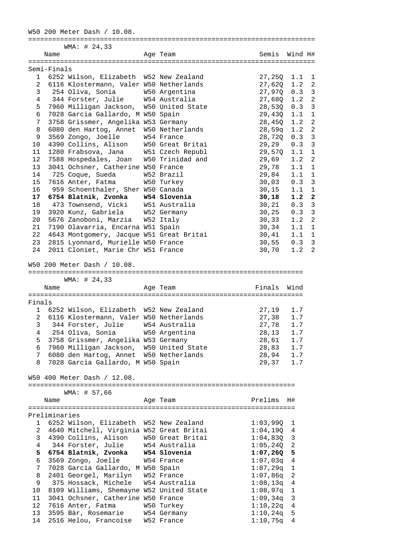W50 200 Meter Dash / 10.08. ======================================================================== WMA: # 24,33 Name Age Team Semis Wind H# ======================================================================== Semi-Finals 1 6252 Wilson, Elizabeth W52 New Zealand 27,25Q 1.1 1 2 6116 Klostermann, Valer W50 Netherlands 27,62Q 1.2 2 3 254 Oliva, Sonia W50 Argentina 27,97Q 0.3 3 1 344 Forster, Julie 1994 Australia 1994 1996 1997 112 2<br>17960 Milligan Jackson, 1990 United State 28,530 0.3 3<br>29 130 1.1 1 5 7960 Milligan Jackson, W50 United State 28,53Q 0.3 3 6 7028 Garcia Gallardo, M W50 Spain 29,43Q 1.1 1 7 3758 Grissmer, Angelika W53 Germany 28,45Q 1.2 2 8 6080 den Hartog, Annet W50 Netherlands 28,59q 1.2 2 9 3569 Zongo, Joelle W54 France 28,72Q 0.3 3 10 4390 Collins, Alison W50 Great Britai 29,29 0.3 3 11 1280 Frabsova, Jana W51 Czech Republ 29,57Q 1.1 1 12 7588 Hospedales, Joan W50 Trinidad and 29,69 1.2 2 13 3041 Ochsner, Catherine W50 France 29,78 1.1 1 14 725 Coque, Sueda W52 Brazil 29,84 1.1 1 15 7616 Anter, Fatma W50 Turkey 30,03 0.3 3 16 959 Schoenthaler, Sher W50 Canada 30,15 1.1 1  **17 6754 Blatnik, Zvonka W54 Slovenia 30,18 1.2 2**  18 473 Townsend, Vicki W51 Australia 30,21 0.3 3 19 3920 Kunz, Gabriela W52 Germany 30,25 0.3 3 20 5676 Zanoboni, Marzia W52 Italy 30,33 1.2 2 21 7190 Olavarria, Encarna W51 Spain 30,34 1.1 1 22 4643 Montgomery, Jacque W51 Great Britai 30,41 1.1 1 23 2815 Lyonnard, Murielle W50 France 30,55 0.3 3 22 1013 Montgomery, Sucque More 21202 21215<br>
23 2815 Lyonnard, Murielle W50 France 30,55 0.3 3<br>
24 2011 Cloniet, Marie Chr W51 France 30,70 1.2 2 W50 200 Meter Dash / 10.08. ===================================================================== WMA: # 24,33 Name Research Contract Age Team Research Research Rinals Wind ===================================================================== Finals 1 6252 Wilson, Elizabeth W52 New Zealand 27,19 1.7<br>2 6116 Klostermann, Valer W50 Netherlands 27,38 1.7 2 6116 Klostermann, Valer W50 Netherlands 27,38 1.7 3 344 Forster, Julie W54 Australia 27,78 1.7 4 254 Oliva, Sonia W50 Argentina 28,13 1.7 5 3758 Grissmer, Angelika W53 Germany 28,61 1.7 6 7960 Milligan Jackson, W50 United State 28,83 1.7 7 6080 den Hartog, Annet W50 Netherlands 28,94 1.7 8 7028 Garcia Gallardo, M W50 Spain 29,37 1.7 W50 400 Meter Dash / 12.08. =================================================================== WMA: # 57,66 Name and the Age Team and the Prelims H# =================================================================== Preliminaries 1 6252 Wilson, Elizabeth W52 New Zealand 1:03,99Q 1<br>
2 4640 Mitchell, Virginia W52 Great Britai 1:04,19Q 4<br>
3 4390 Collins, Alison W50 Great Britai 1:04,83Q 3<br>
4 344 Forster, Julie W54 Australia 1:05,24Q 2 2 4640 Mitchell, Virginia W52 Great Britai 1:04,19Q 4 3 4390 Collins, Alison W50 Great Britai 1:04,83Q 3 4 344 Forster, Julie W54 Australia 1:05,24Q 2  **5 6754 Blatnik, Zvonka W54 Slovenia 1:07,26Q 5**  6 3569 Zongo, Joelle W54 France 1:07,03q 4 7 7028 Garcia Gallardo, M W50 Spain 1:07,29q 1 8 2401 Georgel, Marilyn W52 France 1:07,86q 2 9 375 Hossack, Michele W54 Australia 1:08,13q 4 10 8109 Williams, Shemayne W52 United State 1:08,97q 1 11 3041 Ochsner, Catherine W50 France 1:09,34q 3 12 7616 Anter, Fatma W50 Turkey 1:10,22q 4 13 3595 Bär, Rosemarie W54 Germany 1:10,24q 5 14 2516 Helou, Francoise W52 France 1:10,75q 4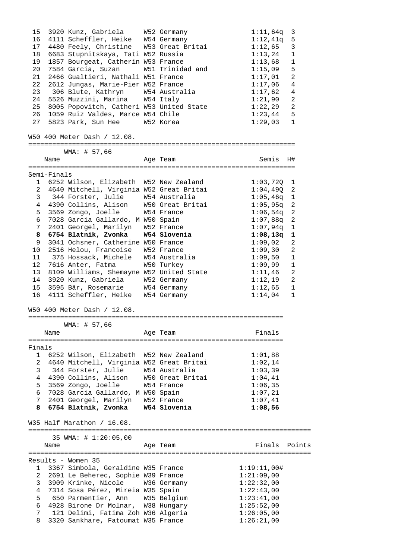| 15              |             | 3920 Kunz, Gabriela W52 Germany                                         |                  | $1:11$ ,64q<br>$\overline{3}$ |
|-----------------|-------------|-------------------------------------------------------------------------|------------------|-------------------------------|
| 16              |             | 4111 Scheffler, Heike W54 Germany                                       |                  | 1:12,41q<br>5                 |
| 17              |             | 4480 Feely, Christine W53 Great Britai                                  |                  | 1:12,65<br>3                  |
| 18              |             | 6683 Stupnitskaya, Tati W52 Russia                                      |                  | 1:13,24<br>$\mathbf 1$        |
| 19              |             | 1857 Bourgeat, Catherin W53 France                                      |                  | 1:13,68<br>$\mathbf 1$        |
| 20              |             | 7584 Garcia, Suzan                                                      | W51 Trinidad and | 5<br>1:15,09                  |
| 21              |             | 2466 Gualtieri, Nathali W51 France                                      |                  | $\overline{a}$<br>1:17,01     |
|                 |             |                                                                         |                  |                               |
| 22              |             | 2612 Jungas, Marie-Pier W52 France                                      |                  | 1:17,06<br>$\overline{4}$     |
| 23              |             | 306 Blute, Kathryn M54 Australia                                        |                  | 1:17,62<br>4                  |
|                 |             | 24 5526 Muzzini, Marina W54 Italy                                       |                  | 1:21,90<br>2                  |
| 25              |             | 8005 Popovitch, Catheri W53 United State                                |                  | 1:22,29<br>$\overline{2}$     |
| 26              |             | 1059 Ruiz Valdes, Marce W54 Chile                                       |                  | 1:23,44<br>5                  |
|                 |             | 27 5823 Park, Sun Hee W52 Korea                                         |                  | 1:29,03<br>$\mathbf{1}$       |
|                 |             | W50 400 Meter Dash / 12.08.                                             |                  |                               |
|                 |             |                                                                         |                  |                               |
|                 |             | WMA: # 57,66                                                            |                  |                               |
|                 | Name        |                                                                         | Age Team         | Semis<br>H#                   |
|                 | Semi-Finals |                                                                         |                  |                               |
|                 |             | 1 6252 Wilson, Elizabeth W52 New Zealand                                |                  | $1:03,720$ 1                  |
|                 |             | 2 4640 Mitchell, Virginia W52 Great Britai                              |                  | $1:04,490$ 2                  |
|                 |             | 3 344 Forster, Julie                                                    | W54 Australia    | $1:05,46q$ 1                  |
|                 |             |                                                                         |                  |                               |
|                 |             | 4 4390 Collins, Alison W50 Great Britai                                 |                  | $\overline{a}$<br>1:05,95q    |
|                 |             | 5 3569 Zongo, Joelle W54 France                                         |                  | 1:06,54q<br>-2                |
|                 |             | 6 7028 Garcia Gallardo, M W50 Spain                                     |                  | 2<br>1:07,88q                 |
| $7\overline{ }$ |             | 2401 Georgel, Marilyn W52 France                                        |                  | $1:07,94q$ 1                  |
|                 |             | 8 6754 Blatnik, Zvonka W54 Slovenia                                     |                  | $1:08,13q$ 1                  |
| 9               |             | 3041 Ochsner, Catherine W50 France                                      |                  | $1:09$ ,02<br>2               |
| 10              |             | 2516 Helou, Francoise W52 France                                        |                  | 1:09,30<br>2                  |
| 11              |             | 375 Hossack, Michele   W54 Australia                                    |                  | 1:09,50<br>$\mathbf 1$        |
| 12              |             | 7616 Anter, Fatma                                                       | W50 Turkey       | 1:09,99<br>$\mathbf 1$        |
| 13 <sup>7</sup> |             |                                                                         |                  | $\overline{a}$                |
|                 |             | 8109 Williams, Shemayne W52 United State                                |                  | 1:11,46                       |
|                 |             | 14 3920 Kunz, Gabriela W52 Germany                                      |                  | 1:12,19<br>2                  |
| 15              |             | 3595 Bär, Rosemarie M54 Germany                                         |                  | 1:12,65<br>$\mathbf{1}$       |
| 16              |             | 4111 Scheffler, Heike W54 Germany                                       |                  | 1:14,04<br>$\mathbf{1}$       |
|                 |             | W50 400 Meter Dash / 12.08.                                             |                  |                               |
|                 |             |                                                                         |                  |                               |
|                 |             | WMA: # 57,66                                                            |                  |                               |
|                 | Name        |                                                                         | Age Team         | Finals                        |
|                 |             | ======================================                                  |                  | =======================       |
| Finals          |             |                                                                         |                  |                               |
|                 |             | 1 6252 Wilson, Elizabeth W52 New Zealand                                |                  | 1:01,88                       |
| 2               |             | 4640 Mitchell, Virginia W52 Great Britai                                |                  | 1:02,14                       |
| 3               |             | 344 Forster, Julie M54 Australia                                        |                  | 1:03,39                       |
| 4               |             | 4390 Collins, Alison                                                    | W50 Great Britai | 1:04,41                       |
| 5               |             | 3569 Zongo, Joelle                                                      | W54 France       | 1:06,35                       |
|                 |             | 6 7028 Garcia Gallardo, M W50 Spain                                     |                  | 1:07,21                       |
|                 |             |                                                                         |                  |                               |
| 8               |             | 7 2401 Georgel, Marilyn W52 France<br>6754 Blatnik, Zvonka W54 Slovenia |                  | 1:07,41<br>1:08,56            |
|                 |             |                                                                         |                  |                               |
|                 |             | W35 Half Marathon / 16.08.                                              |                  |                               |
|                 |             | 35 WMA: # 1:20:05,00                                                    |                  |                               |
|                 | Name        |                                                                         | Age Team         | Finals<br>Points              |
|                 |             |                                                                         |                  |                               |
|                 |             |                                                                         |                  |                               |
|                 |             | Results - Women 35                                                      |                  |                               |
|                 |             | 1 3367 Simbola, Geraldine W35 France                                    |                  | 1:19:11,00#                   |
| 2               |             | 2691 Le Beherec, Sophie W39 France                                      |                  | 1:21:09,00                    |
| $\mathbf{3}$    |             | 3909 Krinke, Nicole W36 Germany                                         |                  | 1:22:32,00                    |
| 4               |             | 7314 Sosa Pérez, Mireia W35 Spain                                       |                  | 1:22:43,00                    |
| 5               |             | 650 Parmentier, Ann W35 Belgium                                         |                  | 1:23:41,00                    |
| 6               |             | 4928 Birone Dr Molnar, W38 Hungary                                      |                  | 1:25:52,00                    |
|                 |             |                                                                         |                  |                               |
| 7               |             | 121 Delimi, Fatima Zoh W36 Algeria                                      |                  | 1:26:05,00                    |
| 8               |             | 3320 Sankhare, Fatoumat W35 France                                      |                  | 1:26:21,00                    |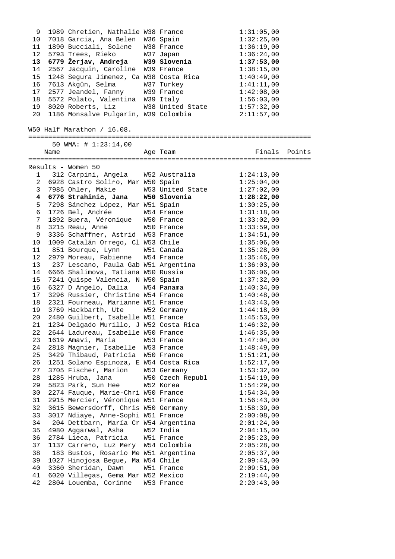| 9               |           | 1989 Chretien, Nathalie W38 France     |                                                   | 1:31:05,00    |
|-----------------|-----------|----------------------------------------|---------------------------------------------------|---------------|
| 10              |           | 7018 Garcia, Ana Belen W36 Spain       |                                                   | 1:32:25,00    |
| 11              |           | 1890 Bucciali, Solčne W38 France       |                                                   | 1:36:19,00    |
| 12              |           | 5793 Trees, Rieko W37 Japan            |                                                   | 1:36:24,00    |
| 13              |           |                                        | 6779 Žerjav, Andreja – W39 Slovenia               | 1:37:53,00    |
| 14              |           | 2567 Jacquin, Caroline W39 France      |                                                   | 1:38:15,00    |
|                 |           |                                        |                                                   |               |
| 15              |           |                                        | 1248 Segura Jimenez, Ca W38 Costa Rica 1:40:49,00 |               |
| 16              |           | 7613 Akgün, Selma W37 Turkey           |                                                   | 1:41:11,00    |
| 17              |           | 2577 Jeandel, Fanny W39 France         |                                                   | 1:42:08,00    |
| 18              |           | 5572 Polato, Valentina W39 Italy       |                                                   | 1:56:03,00    |
| 19              |           | 8020 Roberts, Liz W38 United State     |                                                   | 1:57:32,00    |
| 20              |           | 1186 Monsalve Pulgarin, W39 Colombia   |                                                   | 2:11:57,00    |
|                 |           | W50 Half Marathon / 16.08.             |                                                   |               |
|                 |           |                                        |                                                   |               |
|                 |           | 50 WMA: # 1:23:14,00                   |                                                   |               |
|                 | Name      |                                        | Age Team                                          | Finals Points |
|                 |           |                                        |                                                   |               |
|                 |           | Results - Women 50                     |                                                   |               |
|                 | $1 \quad$ | 312 Carpini, Angela W52 Australia      |                                                   | 1:24:13,00    |
|                 |           | 2 6928 Castro Solińo, Mar W50 Spain    |                                                   | 1:25:04,00    |
| 3 <sup>7</sup>  |           |                                        | 7985 Ohler, Makie M53 United State 1:27:02,00     |               |
|                 |           |                                        | 4 6776 Strahinič, Jana 1 W50 Slovenia             | 1:28:22,00    |
| 5 <sub>1</sub>  |           | 7298 Sánchez López, Mar W51 Spain      |                                                   | 1:30:25,00    |
| 6               |           |                                        |                                                   | 1:31:18,00    |
| $7\phantom{.0}$ |           |                                        |                                                   | 1:33:02,00    |
|                 |           |                                        |                                                   |               |
| 8               |           |                                        |                                                   | 1:33:59,00    |
| 9               |           | 3336 Schaffner, Astrid W53 France      |                                                   | 1:34:51,00    |
| 10              |           |                                        | 1009 Catalán Orrego, Cl W53 Chile                 | 1:35:06,00    |
| 11              |           |                                        | 851 Bourque, Lynn       W51 Canada                | 1:35:28,00    |
| 12              |           | 2979 Moreau, Fabienne W54 France       |                                                   | 1:35:46,00    |
| 13              |           |                                        | 237 Lescano, Paula Gab W51 Argentina              | 1:36:03,00    |
| 14              |           | 6666 Shalimova, Tatiana W50 Russia     |                                                   | 1:36:06,00    |
| 15              |           | 7241 Quispe Valencia, N W50 Spain      |                                                   | 1:37:32,00    |
| 16              |           | 6327 D Angelo, Dalia W54 Panama        |                                                   | 1:40:34,00    |
| 17              |           | 3296 Russier, Christine W54 France     |                                                   | 1:40:48,00    |
| 18              |           | 2321 Fourneau, Marianne W51 France     |                                                   | 1:43:43,00    |
| 19              |           |                                        | 3769 Hackbarth, Ute W52 Germany                   | 1:44:18,00    |
|                 |           |                                        | 2480 Guilbert, Isabelle W51 France                |               |
| 20              |           |                                        |                                                   | 1:45:53,00    |
| 21              |           | 1234 Delgado Murillo, J W52 Costa Rica |                                                   | 1:46:32,00    |
| 22              |           | 2644 Ladureau, Isabelle W50 France     |                                                   | 1:46:35,00    |
| 23              |           | 1619 Amavi, Maria                      | W53 France                                        | 1:47:04,00    |
| 24              |           | 2818 Magnier, Isabelle W53 France      |                                                   | 1:48:49,00    |
| 25              |           | 3429 Thibaud, Patricia W50 France      |                                                   | 1:51:21,00    |
| 26              |           | 1251 Solano Espinoza, E W54 Costa Rica |                                                   | 1:52:17,00    |
| 27              |           | 3705 Fischer, Marion W53 Germany       |                                                   | 1:53:32,00    |
| 28              |           | 1285 Hruba, Jana                       | W50 Czech Republ                                  | 1:54:19,00    |
| 29              |           | 5823 Park, Sun Hee                     | W52 Korea                                         | 1:54:29,00    |
| 30              |           | 2274 Fauque, Marie-Chri W50 France     |                                                   | 1:54:34,00    |
| 31              |           | 2915 Mercier, Véronique W51 France     |                                                   | 1:56:43,00    |
| 32              |           | 3615 Bewersdorff, Chris W50 Germany    |                                                   | 1:58:39,00    |
|                 |           |                                        |                                                   |               |
| 33              |           | 3017 Ndiaye, Anne-Sophi W51 France     |                                                   | 2:00:08,00    |
| 34              |           | 204 Dettbarn, María Cr W54 Argentina   |                                                   | 2:01:24,00    |
| 35              |           | 4980 Aggarwal, Asha W52 India          |                                                   | 2:04:15,00    |
| 36              |           | 2784 Lieca, Patricia W51 France        |                                                   | 2:05:23,00    |
| 37              |           | 1137 Carreno, Luz Mery W54 Colombia    |                                                   | 2:05:28,00    |
| 38              |           | 183 Bustos, Rosario Me W51 Argentina   |                                                   | 2:05:37,00    |
| 39              |           | 1027 Hinojosa Begue, Ma W54 Chile      |                                                   | 2:09:43,00    |
| 40              |           | 3360 Sheridan, Dawn                    | W51 France                                        | 2:09:51,00    |
| 41              |           | 6020 Villegas, Gema Mar W52 Mexico     |                                                   | 2:19:44,00    |
| 42              |           | 2804 Louemba, Corinne W53 France       |                                                   | 2:20:43,00    |
|                 |           |                                        |                                                   |               |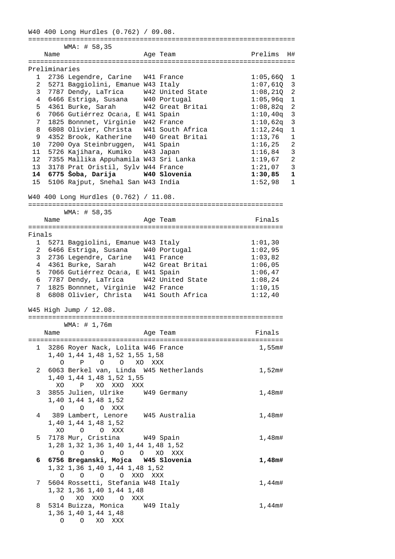W40 400 Long Hurdles (0.762) / 09.08. =================================================================== WMA: # 58,35 Name **Age Team Prelims** H# =================================================================== Preliminaries 1 2736 Legendre, Carine W41 France 1:05,66Q 1 2 5271 Baggiolini, Emanue W43 Italy 1:07,61Q 3 3 7787 Dendy, LaTrica W42 United State 1:08,21Q 2 4 6466 Estriga, Susana W40 Portugal 1:05,96q 1 5 4361 Burke, Sarah W42 Great Britai 1:08,82q 2 6 7066 Gutiérrez Ocańa, E W41 Spain  $1:10,40q$  3 7 1825 Bonnnet, Virginie W42 France 1:10,62q 3 8 6808 Olivier, Christa W41 South Africa 1:12,24q 1 9 4352 Brook, Katherine W40 Great Britai 1:13,76 1 10 7200 Oya Steinbruggen, W41 Spain 1:16,25 2 11 5726 Kajihara, Kumiko W43 Japan 1:16,84 3 12 7355 Mallika Appuhamila W43 Sri Lanka 1:19,67 2 13 3178 Prat Oristil, Sylv W44 France 1:21,07 3  **14 6775 Šoba, Darija W40 Slovenia 1:30,85 1**  13 3178 Prat Oristil, Sylv W44 France 1.21,07 5<br>14 6775 Šoba, Darija 1:30,85 1<br>15 5106 Rajput, Snehal San W43 India 1:52,98 1 W40 400 Long Hurdles (0.762) / 11.08. ================================================================ WMA: # 58,35 Name **Age Team** Age Team Finals ================================================================ Finals 1 5271 Baggiolini, Emanue W43 Italy 1:01,30 2 6466 Estriga, Susana W40 Portugal 1:02,95 3 2736 Legendre, Carine W41 France 1:03,82 4 4361 Burke, Sarah W42 Great Britai 1:06,05 5 7066 Gutiérrez Ocańa, E W41 Spain 1:06,47 6 7787 Dendy, LaTrica W42 United State 1:08,24 7 1825 Bonnnet, Virginie W42 France 1:10,15 8 6808 Olivier, Christa W41 South Africa 1:12,40 W45 High Jump / 12.08. ================================================================ WMA: # 1,76m Name Research Age Team Rinals ================================================================ 1 3286 Royer Nack, Lolita W46 France 1,55m# 1,40 1,44 1,48 1,52 1,55 1,58 O P O O XO XXX 2 6063 Berkel van, Linda W45 Netherlands 1,52m# 1,40 1,44 1,48 1,52 1,55 XO P XO XXO XXX 3 3855 Julien, Ulrike W49 Germany 1,48m# 1,40 1,44 1,48 1,52 O O O XXX 4 389 Lambert, Lenore W45 Australia 1,48m# 1,40 1,44 1,48 1,52 XO O O XXX 5 7178 Mur, Cristina W49 Spain 1,48m# 1,28 1,32 1,36 1,40 1,44 1,48 1,52 O O O O O XO XXX  **6 6756 Breganski, Mojca W45 Slovenia 1,48m#**  1,32 1,36 1,40 1,44 1,48 1,52 O O O O XXO XXX 7 5604 Rossetti, Stefania W48 Italy 1,44m# 1,32 1,36 1,40 1,44 1,48 O XO XXO O XXX 8 5314 Buizza, Monica W49 Italy 1,44m# 1,36 1,40 1,44 1,48 O O XO XXX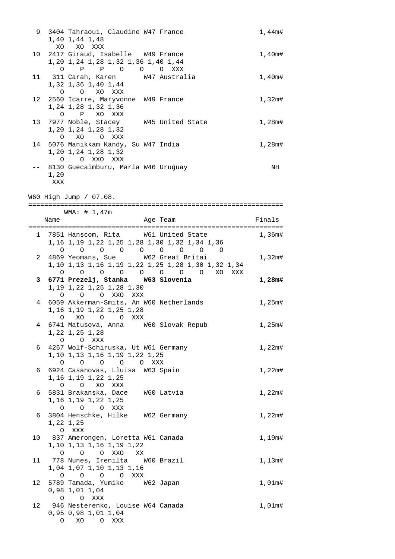| 9            |             | 3404 Tahraoui, Claudine W47 France<br>1,40 1,44 1,48                                                                                                                               | $1,44$ m# |
|--------------|-------------|------------------------------------------------------------------------------------------------------------------------------------------------------------------------------------|-----------|
| 10           | XO          | XO XXX<br>2417 Giraud, Isabelle W49 France                                                                                                                                         | 1,40m#    |
|              |             | 1,20 1,24 1,28 1,32 1,36 1,40 1,44<br>$\begin{matrix} \mathsf{O} & \mathsf{P} & \mathsf{P} & \mathsf{O} & \mathsf{O} & \mathsf{O} & \mathsf{X} \mathsf{X} \mathsf{X} \end{matrix}$ |           |
|              |             | 11 311 Carah, Karen 147 Australia<br>1,32 1,36 1,40 1,44<br>O O XO XXX                                                                                                             | 1,40m#    |
| 12           |             | 2560 Icarre, Maryvonne W49 France<br>1,24 1,28 1,32 1,36                                                                                                                           | $1,32$ m# |
| 13           |             | O P XO XXX<br>7977 Noble, Stacey W45 United State<br>1,20 1,24 1,28 1,32                                                                                                           | 1,28m#    |
| 14           |             | O XO O XXX<br>5076 Manikkam Kandy, Su W47 India<br>1,20 1,24 1,28 1,32                                                                                                             | 1,28m#    |
|              |             | O O XXO XXX<br>8130 Guecaimburu, Maria W46 Uruguay                                                                                                                                 | NH        |
|              | 1,20<br>XXX |                                                                                                                                                                                    |           |
|              |             | W60 High Jump / 07.08.                                                                                                                                                             |           |
|              |             | WMA: # 1,47m                                                                                                                                                                       |           |
|              | Name        | Age Team                                                                                                                                                                           | Finals    |
| $\mathbf{1}$ |             | 7851 Hanscom, Rita W61 United State                                                                                                                                                | 1,36m#    |
|              |             | 1, 16 1, 19 1, 22 1, 25 1, 28 1, 30 1, 32 1, 34 1, 36                                                                                                                              |           |
|              |             | $\begin{array}{ccccccccccccccccccccc} \circ & \circ & \circ & \circ & \circ & \circ & \circ & \circ & \circ \end{array}$                                                           |           |
| 2            |             | 4869 Yeomans, Sue W62 Great Britai<br>1,10 1,13 1,16 1,19 1,22 1,25 1,28 1,30 1,32 1,34                                                                                            | 1,32m#    |
|              |             | 0 0 0 0 0 0 0 0 0 XO XXX                                                                                                                                                           |           |
| 3            |             | 6771 Prezelj, Stanka W63 Slovenia                                                                                                                                                  | 1,28m#    |
|              |             | 1, 19 1, 22 1, 25 1, 28 1, 30                                                                                                                                                      |           |
| 4            |             | O O O XXO XXX<br>6059 Akkerman-Smits, An W60 Netherlands                                                                                                                           | 1,25m#    |
|              |             | 1, 16 1, 19 1, 22 1, 25 1, 28                                                                                                                                                      |           |
|              |             | XO O O XXX<br>$\circ$                                                                                                                                                              |           |
| 4            |             | 6741 Matusova, Anna W60 Slovak Repub<br>1,22 1,25 1,28<br>O O XXX                                                                                                                  | 1,25m#    |
|              |             | 6 4267 Wolf-Schiruska, Ut W61 Germany                                                                                                                                              | 1,22m#    |
|              |             | 1,10 1,13 1,16 1,19 1,22 1,25                                                                                                                                                      |           |
| 6            |             | 0 0 0 0 0 XXX<br>6924 Casanovas, Lluisa W63 Spain                                                                                                                                  | 1,22m#    |
|              |             | 1, 16 1, 19 1, 22 1, 25<br>O O XO XXX                                                                                                                                              |           |
| 6            |             | 5831 Brakanska, Dace W60 Latvia<br>1, 16 1, 19 1, 22 1, 25                                                                                                                         | 1,22m#    |
| 6            |             | O O O XXX<br>3804 Henschke, Hilke W62 Germany                                                                                                                                      | 1,22m#    |
|              |             | 1,22 1,25                                                                                                                                                                          |           |
|              |             | O XXX                                                                                                                                                                              |           |
|              |             | 10 837 Amerongen, Loretta W61 Canada<br>1,10 1,13 1,16 1,19 1,22                                                                                                                   | 1,19m#    |
|              |             | O O O XXO XX                                                                                                                                                                       |           |
|              |             | 11 778 Nunes, Irenilta 60 Brazil<br>1,04 1,07 1,10 1,13 1,16                                                                                                                       | $1,13$ m# |
|              |             | 0 0 0 0 XXX                                                                                                                                                                        |           |
| 12           |             | 5789 Tamada, Yumiko W62 Japan                                                                                                                                                      | $1,01$ m# |
|              |             |                                                                                                                                                                                    |           |
|              |             | 0,98 1,01 1,04                                                                                                                                                                     |           |
| 12           |             | O O XXX                                                                                                                                                                            |           |
|              |             | 946 Nesterenko, Louise W64 Canada<br>0,95 0,98 1,01 1,04<br>O XO O XXX                                                                                                             | 1,01m#    |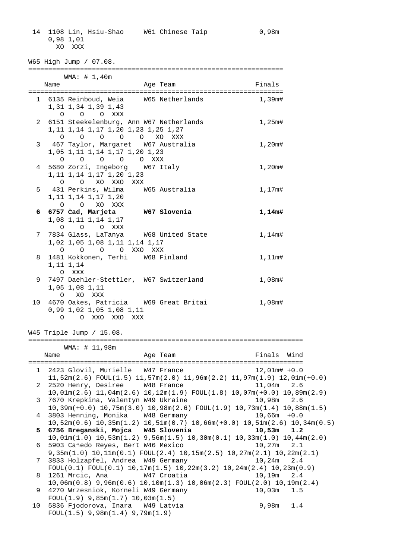14 1108 Lin, Hsiu-Shao W61 Chinese Taip 0,98m 0,98 1,01 XO XXX

W65 High Jump / 07.08. ================================================================ WMA: # 1,40m Name Research Mannesotal Mannesotal Age Team and Trinals ================================================================ 1 6135 Reinboud, Weia W65 Netherlands 1,39m# 1,31 1,34 1,39 1,43 O O O XXX 2 6151 Steekelenburg, Ann W67 Netherlands 1,25m# 1,11 1,14 1,17 1,20 1,23 1,25 1,27 O O O O O XO XXX 3 467 Taylor, Margaret W67 Australia 1,20m# 1,05 1,11 1,14 1,17 1,20 1,23 O O O O O XXX 4 5680 Zorzi, Ingeborg 6 W67 Italy 1,20m# 1,11 1,14 1,17 1,20 1,23 O O XO XXO XXX 5 431 Perkins, Wilma W65 Australia 1,17m# 1,11 1,14 1,17 1,20 O O XO XXX  **6 6757 Čad, Marjeta W67 Slovenia 1,14m#**  1,08 1,11 1,14 1,17 O O O XXX 7 7834 Glass, LaTanya W68 United State 1,14m# 1,02 1,05 1,08 1,11 1,14 1,17 O O O O XXO XXX 8 1481 Kokkonen, Terhi W68 Finland 1,11m# 1,11 1,14 O XXX 9 7497 Daehler-Stettler, W67 Switzerland 1,08m# 1,05 1,08 1,11 O XO XXX 10 4670 Oakes, Patricia W69 Great Britai 1,08m# 0,99 1,02 1,05 1,08 1,11 O O XXO XXO XXX W45 Triple Jump / 15.08. ===================================================================== WMA: # 11,98m Name **Age Team** Age Team Finals Wind ===================================================================== 1 2423 Glovil, Murielle W47 France 12,01m# +0.0 11,52m(2.6) FOUL(1.5) 11,57m(2.0) 11,96m(2.2) 11,97m(1.9) 12,01m(+0.0) 2 2520 Henry, Desiree W48 France 11,04m 2.6 10,01m(2.6) 11,04m(2.6) 10,12m(1.9) FOUL(1.8) 10,07m(+0.0) 10,89m(2.9) 3 7670 Krepkina, Valentyn W49 Ukraine 10,98m 2.6 10,39m(+0.0) 10,75m(3.0) 10,98m(2.6) FOUL(1.9) 10,73m(1.4) 10,88m(1.5) 4 3803 Henning, Monika W48 Germany 10,66m +0.0 10,52m(0.6) 10,35m(1.2) 10,51m(0.7) 10,66m(+0.0) 10,51m(2.6) 10,34m(0.5)  **5 6756 Breganski, Mojca W45 Slovenia 10,53m 1.2**  10,01m(1.0) 10,53m(1.2) 9,56m(1.5) 10,30m(0.1) 10,33m(1.0) 10,44m(2.0) 6 5903 Cańedo Reyes, Bert W46 Mexico 10,27m 2.1 9,35m(1.0) 10,11m(0.1) FOUL(2.4) 10,15m(2.5) 10,27m(2.1) 10,22m(2.1) 7 3833 Holzapfel, Andrea W49 Germany 10,24m 2.4 FOUL(0.1) FOUL(0.1) 10,17m(1.5) 10,22m(3.2) 10,24m(2.4) 10,23m(0.9) 8 1261 Mrcic, Ana W47 Croatia 10,19m 2.4 10,06m(0.8) 9,96m(0.6) 10,10m(1.3) 10,06m(2.3) FOUL(2.0) 10,19m(2.4) 9 4270 Wrzesniok, Korneli W49 Germany 10,03m 1.5 FOUL(1.9) 9,85m(1.7) 10,03m(1.5) 10 5836 Fjodorova, Inara W49 Latvia 1 1 9,98m 1.4 FOUL(1.5) 9,98m(1.4) 9,79m(1.9)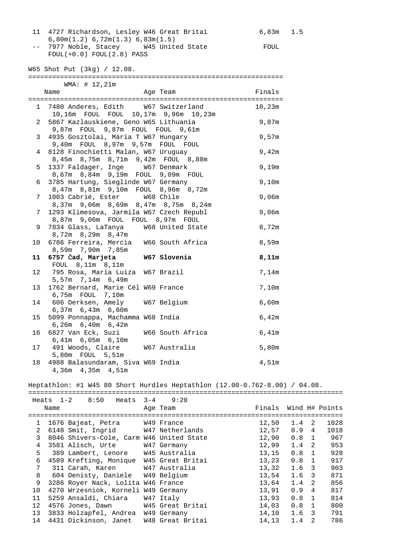| 11 4727 Richardson, Lesley W46 Great Britai | 6,83m 1.5 |
|---------------------------------------------|-----------|
| $6,80m(1.2)$ $6,72m(1.3)$ $6,83m(1.5)$      |           |
| -- 7977 Noble, Stacey 6445 United State     | FOUL      |
| $FOUL(+0.0) FOUL(2.8) PASS$                 |           |

W65 Shot Put (3kg) / 12.08.

|                 | WMA: # 12,21m                            |          |        |
|-----------------|------------------------------------------|----------|--------|
|                 | Name                                     | Age Team | Finals |
|                 |                                          |          |        |
|                 | 1 7480 Anderes, Edith W67 Switzerland    |          | 10,23m |
|                 | 10,16m FOUL FOUL 10,17m 9,96m 10,23m     |          |        |
| $\overline{2}$  | 5867 Kazlauskiene, Geno W65 Lithuania    |          | 9,87m  |
|                 | 9,87m FOUL 9,87m FOUL FOUL 9,61m         |          |        |
| 3 <sup>7</sup>  | 4935 Gosztolai, Mária T W67 Hungary      |          | 9,57m  |
|                 | 9,40m FOUL 8,97m 9,57m FOUL FOUL         |          |        |
| $\overline{4}$  | 8128 Finochietti Malan, W67 Uruguay      |          | 9,42m  |
|                 | 8,45m 8,75m 8,71m 9,42m FOUL 8,88m       |          |        |
| 5               | 1337 Faldager, Inge W67 Denmark          |          | 9,19m  |
|                 | 8,67m 8,84m 9,19m FOUL 9,09m FOUL        |          |        |
| 6               | 3785 Hartung, Sieglinde W67 Germany      |          | 9,10m  |
|                 | 8,47m 8,81m 9,10m FOUL 8,96m 8,72m       |          |        |
| 7               | 1003 Cabrié, Ester W68 Chile             |          | 9,06m  |
|                 | 8,37m 9,06m 8,69m 8,47m 8,75m 8,24m      |          |        |
| 7               | 1293 Klimesova, Jarmila W67 Czech Republ |          | 9,06m  |
|                 | 8,87m 9,06m FOUL FOUL 8,97m FOUL         |          |        |
| 9               | 7834 Glass, LaTanya W68 United State     |          | 8,72m  |
|                 | 8,72m 8,29m 8,47m                        |          |        |
| 10              | 6786 Ferreira, Mercia W66 South Africa   |          | 8,59m  |
|                 | 8,59m 7,90m 7,85m                        |          |        |
| 11              | 6757 Čad, Marjeta W67 Slovenia           |          | 8,11m  |
|                 | FOUL 8,11m 8,11m                         |          |        |
| 12 <sup>°</sup> | 795 Rosa, Maria Luiza W67 Brazil         |          | 7,14m  |
|                 | 5,57m 7,14m 6,49m                        |          |        |
| 13              | 1762 Bernard, Marie Cél W69 France       |          | 7,10m  |
|                 | 6,75m FOUL 7,10m                         |          |        |
| 14              | 606 Derksen, Amely W67 Belgium           |          | 6,60m  |
|                 | 6,37m 6,43m 6,60m                        |          |        |
| 15              | 5099 Ponnappa, Machamma W68 India        |          | 6,42m  |
|                 | $6,26m$ $6,40m$ $6,42m$                  |          |        |
| 16              | 6827 Van Eck, Suzi W66 South Africa      |          | 6,41m  |
|                 | 6,41m 6,05m 6,10m                        |          |        |
|                 | 17 491 Woods, Claire W67 Australia       |          | 5,80m  |
|                 | 5,80m FOUL 5,51m                         |          |        |
|                 | 18 4988 Balasundaram, Siva W69 India     |          | 4,51m  |
|                 | 4,36m  4,35m  4,51m                      |          |        |
|                 |                                          |          |        |

Heptathlon: #1 W45 80 Short Hurdles Heptathlon (12.00-0.762-8.00) / 04.08.

|                 |      | Heats $1-2$ 8:50                         | Heats 3-4 9:20   |                       |               |                |      |
|-----------------|------|------------------------------------------|------------------|-----------------------|---------------|----------------|------|
|                 | Name |                                          | Age Team         | Finals Wind H# Points |               |                |      |
|                 |      |                                          |                  |                       |               |                |      |
|                 |      | 1 1676 Bajeat, Petra W49 France          |                  | 12,50                 | $1.4 \quad 2$ |                | 1028 |
| $\overline{a}$  |      | 6148 Smit, Ingrid W47 Netherlands        |                  | 12,57                 | 0.94          |                | 1018 |
| 3               |      | 8046 Shivers-Cole, Carm W46 United State |                  | 12,90                 | $0.8 \quad 1$ |                | 967  |
| 4               |      | 3581 Alisch, Urte W47 Germany            |                  | 12,99                 | 1.4           | $\overline{2}$ | 953  |
| 5               |      | 389 Lambert, Lenore W45 Australia        |                  | 13,15                 | $0.8 \quad 1$ |                | 928  |
| 6               |      | 4589 Krefting, Monique W45 Great Britai  |                  | 13,23                 | $0.8 \quad 1$ |                | 917  |
| 7               |      | 311 Carah, Karen 647 Australia           |                  | 13,32                 | $1.6-3$       |                | 903  |
| 8               |      | 604 Denisty, Daniele W49 Belgium         |                  | 13,54                 | $1.6-3$       |                | 871  |
| 9               |      | 3286 Royer Nack, Lolita W46 France       |                  | 13,64                 | $1.4 \quad 2$ |                | 856  |
| 10              |      | 4270 Wrzesniok, Korneli W49 Germany      |                  | 13,91                 | 0.9           | 4              | 817  |
| 11              |      | 5259 Ansaldi, Chiara                     | W47 Italy        | 13,93                 | $0.8 \quad 1$ |                | 814  |
| 12              |      | 4576 Jones, Dawn W45 Great Britai        |                  | 14,03                 | 0.8           | $\mathbf{1}$   | 800  |
| 13 <sup>°</sup> |      | 3833 Holzapfel, Andrea W49 Germany       |                  | 14,10                 | 1.6           | 3              | 791  |
| 14              |      | 4431 Dickinson, Janet                    | W48 Great Britai | 14,13                 | 1.4           | 2              | 786  |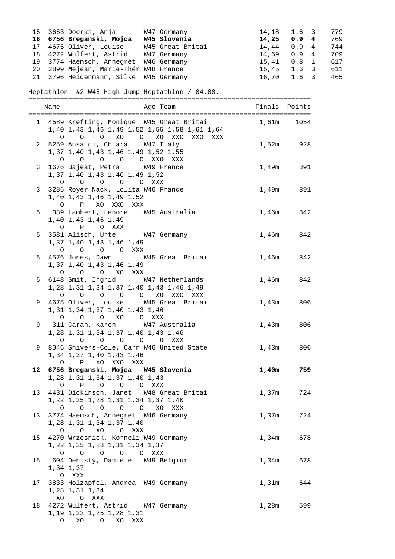| 15           |         | 3663 Doerks, Anja       W47 Germany                                     |                                            | 14,18       | 1.6<br>$\mathbf{3}$ | 779 |
|--------------|---------|-------------------------------------------------------------------------|--------------------------------------------|-------------|---------------------|-----|
|              |         | 16 6756 Breganski, Mojca W45 Slovenia                                   |                                            | 14,25       | 0.94                | 769 |
|              |         | 17 4675 Oliver, Louise W45 Great Britai                                 |                                            | 14,44       | 0.9                 | 744 |
|              |         |                                                                         |                                            |             | $\overline{4}$      |     |
| 18           |         | 4272 Wulfert, Astrid W47 Germany                                        |                                            | 14,69       | 0.94                | 709 |
|              |         | 19 3774 Haemsch, Annegret W46 Germany                                   |                                            | 15,41       | $0.8 \quad 1$       | 617 |
|              |         | 20 2899 Mejean, Marie-Thér W48 France                                   |                                            | 15,45       | $1.6-3$             | 611 |
| 21           |         | 3796 Heidenmann, Silke W45 Germany                                      |                                            | 16,70       | 1.6 <sup>3</sup>    | 465 |
|              |         |                                                                         |                                            |             |                     |     |
|              |         | Heptathlon: #2 W45 High Jump Heptathlon / 04.08.                        |                                            |             |                     |     |
|              |         |                                                                         |                                            |             |                     |     |
|              |         |                                                                         |                                            |             |                     |     |
|              | Name    |                                                                         | Age Team                                   |             | Finals Points       |     |
|              |         |                                                                         |                                            |             |                     |     |
|              |         | 1 4589 Krefting, Monique W45 Great Britai                               |                                            |             | 1,61m 1054          |     |
|              |         | 1,40 1,43 1,46 1,49 1,52 1,55 1,58 1,61 1,64                            |                                            |             |                     |     |
|              |         | 0 0 0 XO 0 XO XO XXO XXX                                                |                                            |             |                     |     |
|              |         | 2 5259 Ansaldi, Chiara W47 Italy                                        |                                            | 1,52m       | 928                 |     |
|              |         |                                                                         |                                            |             |                     |     |
|              |         | 1, 37 1, 40 1, 43 1, 46 1, 49 1, 52 1, 55                               |                                            |             |                     |     |
|              |         | $\begin{matrix}0&0&0&0&0&0&\text{XXO}&\text{XXX}\end{matrix}$           |                                            |             |                     |     |
|              |         | 3 1676 Bajeat, Petra W49 France                                         |                                            | 1,49m       | 891                 |     |
|              |         | 1, 37 1, 40 1, 43 1, 46 1, 49 1, 52                                     |                                            |             |                     |     |
|              |         | 0 0 0 0 0 XXX                                                           |                                            |             |                     |     |
| $\mathbf{3}$ |         | 3286 Royer Nack, Lolita W46 France                                      |                                            | 1,49m       | 891                 |     |
|              |         |                                                                         |                                            |             |                     |     |
|              |         | 1,40 1,43 1,46 1,49 1,52                                                |                                            |             |                     |     |
|              |         | O P XO XXO XXX                                                          |                                            |             |                     |     |
|              |         | 5 389 Lambert, Lenore W45 Australia                                     |                                            | 1,46m       | 842                 |     |
|              |         | 1,40 1,43 1,46 1,49                                                     |                                            |             |                     |     |
|              |         | O P O XXX                                                               |                                            |             |                     |     |
|              |         | 5 3581 Alisch, Urte W47 Germany                                         |                                            | 1,46m       | 842                 |     |
|              |         |                                                                         |                                            |             |                     |     |
|              |         | 1,37 1,40 1,43 1,46 1,49                                                |                                            |             |                     |     |
|              |         | 0 0 0 0 XXX                                                             |                                            |             |                     |     |
|              |         | 5 4576 Jones, Dawn W45 Great Britai                                     |                                            | 1,46m       | 842                 |     |
|              |         | 1,37 1,40 1,43 1,46 1,49                                                |                                            |             |                     |     |
|              | $\circ$ | O O XO XXX                                                              |                                            |             |                     |     |
| 5            |         |                                                                         |                                            |             |                     |     |
|              |         | 6148 Smit, Ingrid W47 Netherlands                                       |                                            | 1,46m       | 842                 |     |
|              |         | 1,28 1,31 1,34 1,37 1,40 1,43 1,46 1,49                                 |                                            |             |                     |     |
|              |         | $\begin{matrix}0&0&0&0&0&0&\text{X}0&\text{XX}0&\text{XXX}\end{matrix}$ |                                            |             |                     |     |
|              |         | 9 4675 Oliver, Louise W45 Great Britai                                  |                                            | $1$ , $43m$ | 806                 |     |
|              |         | 1, 31 1, 34 1, 37 1, 40 1, 43 1, 46                                     |                                            |             |                     |     |
|              |         | 0 0 0 XO 0 XXX                                                          |                                            |             |                     |     |
|              |         |                                                                         |                                            |             |                     |     |
| 9.           |         | 311 Carah, Karen       W47 Australia                                    |                                            | 1,43m       | 806                 |     |
|              |         | 1, 28 1, 31 1, 34 1, 37 1, 40 1, 43 1, 46                               |                                            |             |                     |     |
|              |         | 0 0 0 0 0 0 XXX                                                         |                                            |             |                     |     |
|              |         |                                                                         | 9 8046 Shivers-Cole, Carm W46 United State |             | 1,43m 806           |     |
|              |         | 1, 34 1, 37 1, 40 1, 43 1, 46                                           |                                            |             |                     |     |
|              |         | O P XO XXO XXX                                                          |                                            |             |                     |     |
|              |         | 12 6756 Breganski, Mojca W45 Slovenia                                   |                                            | 1,40m       | 759                 |     |
|              |         |                                                                         |                                            |             |                     |     |
|              |         | 1, 28 1, 31 1, 34 1, 37 1, 40 1, 43                                     |                                            |             |                     |     |
|              |         | 0 P O O O XXX                                                           |                                            |             |                     |     |
| 13           |         | 4431 Dickinson, Janet W48 Great Britai                                  |                                            | 1,37m       | 724                 |     |
|              |         | 1, 22 1, 25 1, 28 1, 31 1, 34 1, 37 1, 40                               |                                            |             |                     |     |
|              |         | 0 0 0 0 0 XO XXX                                                        |                                            |             |                     |     |
|              |         |                                                                         |                                            |             |                     |     |
|              |         | 13 3774 Haemsch, Annegret W46 Germany                                   |                                            | 1,37m       | 724                 |     |
|              |         | 1, 28 1, 31 1, 34 1, 37 1, 40                                           |                                            |             |                     |     |
|              |         | O O XO O XXX                                                            |                                            |             |                     |     |
|              |         | 15 4270 Wrzesniok, Korneli W49 Germany                                  |                                            | 1,34m       | 678                 |     |
|              |         | 1, 22 1, 25 1, 28 1, 31 1, 34 1, 37                                     |                                            |             |                     |     |
|              |         | 0 0 0 0 0 XXX                                                           |                                            |             |                     |     |
|              |         |                                                                         |                                            |             |                     |     |
|              |         | 15 604 Denisty, Daniele W49 Belgium                                     |                                            | 1,34m       | 678                 |     |
|              |         | 1,34 1,37                                                               |                                            |             |                     |     |
|              |         | O XXX                                                                   |                                            |             |                     |     |
| 17           |         | 3833 Holzapfel, Andrea W49 Germany                                      |                                            | 1,31m       | 644                 |     |
|              |         | 1,28 1,31 1,34                                                          |                                            |             |                     |     |
|              |         | XO OXXX                                                                 |                                            |             |                     |     |
|              |         |                                                                         |                                            |             |                     |     |
| 18           |         | 4272 Wulfert, Astrid W47 Germany                                        |                                            | 1,28m       | 599                 |     |
|              |         | 1, 19 1, 22 1, 25 1, 28 1, 31                                           |                                            |             |                     |     |
|              |         | O XO O XO XXX                                                           |                                            |             |                     |     |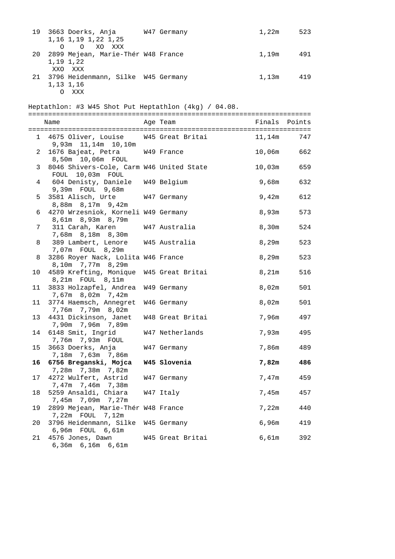| 19             | 3663 Doerks, Anja W47 Germany<br>1,16 1,19 1,22 1,25<br>$\circ$ $\circ$<br>XO XXX |                  | 1,22m     | 523    |
|----------------|-----------------------------------------------------------------------------------|------------------|-----------|--------|
| 20             | 2899 Mejean, Marie-Thér W48 France<br>1,19 1,22                                   |                  | 1,19m 491 |        |
| 21             | XXO XXX<br>3796 Heidenmann, Silke W45 Germany<br>1,13 1,16<br>O XXX               |                  | 1,13m 419 |        |
|                | Heptathlon: #3 W45 Shot Put Heptathlon (4kg) / 04.08.                             |                  |           |        |
|                | Name                                                                              | Age Team         | Finals    | Points |
|                |                                                                                   |                  |           |        |
|                | 1 4675 Oliver, Louise W45 Great Britai<br>9,93m 11,14m 10,10m                     |                  | 11,14m    | 747    |
| $\overline{2}$ | 1676 Bajeat, Petra W49 France<br>8,50m  10,06m  FOUL                              |                  | 10,06m    | 662    |
| $\mathbf{3}$   | 8046 Shivers-Cole, Carm W46 United State<br>FOUL 10,03m FOUL                      |                  | 10,03m    | 659    |
| 4              | 604 Denisty, Daniele W49 Belgium<br>9,39m FOUL 9,68m                              |                  | 9,68m     | 632    |
| 5              | 3581 Alisch, Urte<br>8,88m 8,17m 9,42m                                            | W47 Germany      | 9,42m     | 612    |
| 6              | 4270 Wrzesniok, Korneli W49 Germany<br>8,61m 8,93m 8,79m                          |                  | 8,93m     | 573    |
| 7              | 311 Carah, Karen<br>7,68m 8,18m 8,30m                                             | W47 Australia    | 8,30m     | 524    |
| 8              | 389 Lambert, Lenore W45 Australia<br>7,07m FOUL 8,29m                             |                  | 8,29m     | 523    |
| 8              | 3286 Royer Nack, Lolita W46 France<br>8,10m 7,77m 8,29m                           |                  | 8,29m     | 523    |
| 10             | 4589 Krefting, Monique W45 Great Britai<br>8,21m FOUL 8,11m                       |                  | 8,21m     | 516    |
| 11             | 3833 Holzapfel, Andrea W49 Germany<br>7,67m 8,02m 7,42m                           |                  | 8,02m     | 501    |
| 11             | 3774 Haemsch, Annegret W46 Germany<br>7,76m 7,79m 8,02m                           |                  | 8,02m     | 501    |
| 13             | 4431 Dickinson, Janet W48 Great Britai<br>7,90m 7,96m 7,89m                       |                  | 7,96m     | 497    |
| 14             | 6148 Smit, Ingrid<br>7,76m 7,93m FOUL                                             | W47 Netherlands  | 7,93m     | 495    |
| 15             | 3663 Doerks, Anja<br>7,18m 7,63m 7,86m                                            | W47 Germany      | 7,86m     | 489    |
| 16             | 6756 Breganski, Mojca                                                             | W45 Slovenia     | 7,82m     | 486    |
| 17             | 7,28m 7,38m 7,82m<br>4272 Wulfert, Astrid<br>7,47m 7,46m 7,38m                    | W47 Germany      | 7,47m     | 459    |
| 18             | 5259 Ansaldi, Chiara<br>7,45m 7,09m 7,27m                                         | W47 Italy        | 7,45m     | 457    |
| 19             | 2899 Mejean, Marie-Thér W48 France<br>7,22m FOUL 7,12m                            |                  | 7,22m     | 440    |
| 20             | 3796 Heidenmann, Silke W45 Germany<br>6,96m FOUL 6,61m                            |                  | 6,96m     | 419    |
| 21             | 4576 Jones, Dawn<br>6,36m 6,16m 6,61m                                             | W45 Great Britai | 6,61m     | 392    |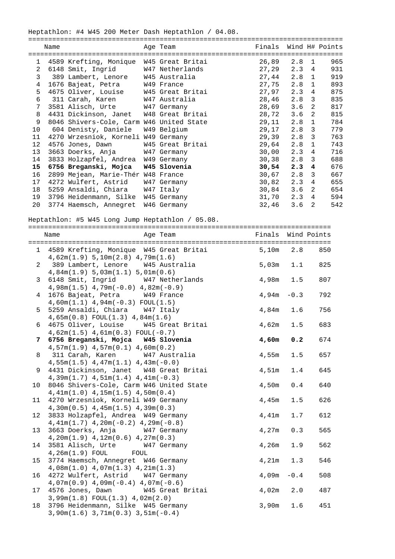Heptathlon: #4 W45 200 Meter Dash Heptathlon / 04.08.

|                                                  | Name |                                          |  | Age Team    | Finals Wind H# Points |               |                |     |
|--------------------------------------------------|------|------------------------------------------|--|-------------|-----------------------|---------------|----------------|-----|
|                                                  |      |                                          |  |             |                       |               |                |     |
| $\mathbf{1}$                                     |      | 4589 Krefting, Monique W45 Great Britai  |  |             | 26,89                 | 2.8           | 1              | 965 |
| $\overline{2}$                                   |      | 6148 Smit, Ingrid W47 Netherlands        |  |             | 27,29                 | $2.3 \quad 4$ |                | 931 |
| 3                                                |      | 389 Lambert, Lenore W45 Australia        |  |             | 27,44                 | $2.8 \quad 1$ |                | 919 |
| 4                                                |      | 1676 Bajeat, Petra W49 France            |  |             | 27,75                 | $2.8 \quad 1$ |                | 893 |
| 5                                                |      | 4675 Oliver, Louise M45 Great Britai     |  |             | 27,97                 | 2.3           | $\overline{4}$ | 875 |
| 6                                                |      | 311 Carah, Karen W47 Australia           |  |             | 28,46                 | 2.8           | 3              | 835 |
| 7                                                |      | 3581 Alisch, Urte W47 Germany            |  |             | 28,69                 | 3.6           | 2              | 817 |
| 8                                                |      | 4431 Dickinson, Janet W48 Great Britai   |  |             | 28,72                 | 3.6           | 2              | 815 |
| 9                                                |      | 8046 Shivers-Cole, Carm W46 United State |  |             | 29,11                 | 2.8           | $\mathbf{1}$   | 784 |
| 10                                               |      | 604 Denisty, Daniele W49 Belgium         |  |             | 29,17                 | 2.8           | $\mathbf{3}$   | 779 |
| 11                                               |      | 4270 Wrzesniok, Korneli W49 Germany      |  |             | 29,39                 | 2.8           | 3              | 763 |
| 12                                               |      | 4576 Jones, Dawn M45 Great Britai        |  |             | 29,64                 | 2.8           | $\mathbf{1}$   | 743 |
| 13                                               |      | 3663 Doerks, Anja 1947 Germany           |  |             | 30.00                 | 2.3           | 4              | 716 |
| 14                                               |      | 3833 Holzapfel, Andrea W49 Germany       |  |             | 30.38                 | 2.8           | 3              | 688 |
| 15                                               |      | 6756 Breganski, Mojca W45 Slovenia       |  |             | 30,54                 | $2.3 \quad 4$ |                | 676 |
| 16                                               |      | 2899 Mejean, Marie-Thér W48 France       |  |             | 30,67                 | 2.8           | 3              | 667 |
| 17                                               |      | 4272 Wulfert, Astrid W47 Germany         |  |             | 30.82                 | 2.3           | $\overline{4}$ | 655 |
| 18                                               |      | 5259 Ansaldi, Chiara W47 Italy           |  |             | $30.84$ 3.6           |               | 2              | 654 |
|                                                  |      | 19 3796 Heidenmann, Silke W45 Germany    |  |             | 31,70 2.3 4           |               |                | 594 |
| 20                                               |      | 3774 Haemsch, Annegret                   |  | W46 Germany | 32,46                 | 3.6           | 2              | 542 |
| Heptathlon: #5 W45 Long Jump Heptathlon / 05.08. |      |                                          |  |             |                       |               |                |     |
| Name                                             |      |                                          |  | Age Team    | Finals                | Wind Points   |                |     |
|                                                  |      |                                          |  |             |                       |               |                |     |

|                 | 1 4589 Krefting, Monique W45 Great Britai |               | $5,10m$ $2.8$ | 850 |
|-----------------|-------------------------------------------|---------------|---------------|-----|
|                 | $4,62m(1.9)$ 5, $10m(2.8)$ 4, $79m(1.6)$  |               |               |     |
| $\overline{2}$  | 389 Lambert, Lenore W45 Australia         | 5,03m         | 1.1           | 825 |
|                 | 4,84m(1.9) 5,03m(1.1) 5,01m(0.6)          |               |               |     |
| 3 <sup>7</sup>  | 6148 Smit, Ingrid W47 Netherlands         | 4,98m 1.5     |               | 807 |
|                 | $4,98m(1.5)$ $4,79m(-0.0)$ $4,82m(-0.9)$  |               |               |     |
| $\overline{4}$  | 1676 Bajeat, Petra W49 France             | $4,94m - 0.3$ |               | 792 |
|                 | $4,60m(1.1)$ $4,94m(-0.3)$ FOUL $(1.5)$   |               |               |     |
| 5               | 5259 Ansaldi, Chiara W47 Italy            | 4,84m         | 1.6           | 756 |
|                 | $4,65m(0.8)$ FOUL $(1.3)$ $4,84m(1.6)$    |               |               |     |
| 6               | 4675 Oliver, Louise W45 Great Britai      | 4,62m         | $1.5$         | 683 |
|                 | $4,62m(1.5)$ $4,61m(0.3)$ $FOUL(-0.7)$    |               |               |     |
| $7^{\circ}$     | 6756 Breganski, Mojca W45 Slovenia        | 4,60m         | 0.2           | 674 |
|                 | $4,57m(1.9)$ $4,57m(0.1)$ $4,60m(0.2)$    |               |               |     |
| 8               | 311 Carah, Karen W47 Australia            | 4,55m         | 1.5           | 657 |
|                 | $4,55m(1.5)$ $4,47m(1.1)$ $4,43m(-0.0)$   |               |               |     |
| 9               | 4431 Dickinson, Janet W48 Great Britai    | 4,51m         | 1.4           | 645 |
|                 | $4,39m(1.7)$ $4,51m(1.4)$ $4,41m(-0.3)$   |               |               |     |
| $10 \,$         | 8046 Shivers-Cole, Carm W46 United State  | 4,50m         | 0.4           | 640 |
|                 | $4,41m(1.0)$ $4,15m(1.5)$ $4,50m(0.4)$    |               |               |     |
| 11              | 4270 Wrzesniok, Korneli W49 Germany       | 4,45m         | 1.5           | 626 |
|                 | $4,30m(0.5)$ $4,45m(1.5)$ $4,39m(0.3)$    |               |               |     |
| 12 <sub>2</sub> | 3833 Holzapfel, Andrea W49 Germany        | 4,41m         | 1.7           | 612 |
|                 | $4,41m(1.7)$ $4,20m(-0.2)$ $4,29m(-0.8)$  |               |               |     |
| 13              | 3663 Doerks, Anja W47 Germany             | 4,27m         | 0.3           | 565 |
|                 | $4, 20m(1.9)$ $4, 12m(0.6)$ $4, 27m(0.3)$ |               |               |     |
| 14              | 3581 Alisch, Urte W47 Germany             | 4,26m         | 1.9           | 562 |
|                 | $4,26m(1.9)$ FOUL FOUL                    |               |               |     |
| 15              | 3774 Haemsch, Annegret W46 Germany        | 4,21m         | 1.3           | 546 |
|                 | $4,08m(1.0)$ $4,07m(1.3)$ $4,21m(1.3)$    |               |               |     |
| 16              | 4272 Wulfert, Astrid W47 Germany          | 4,09m         | $-0.4$        | 508 |
|                 | $4,07m(0.9)$ $4,09m(-0.4)$ $4,07m(-0.6)$  |               |               |     |
| 17              | 4576 Jones, Dawn M45 Great Britai         | 4,02m         | 2.0           | 487 |
|                 | $3,99m(1.8)$ FOUL $(1.3)$ 4,02m $(2.0)$   |               |               |     |
| 18              | 3796 Heidenmann, Silke W45 Germany        | 3,90m         | 1.6           | 451 |
|                 | $3,90m(1.6)$ $3,71m(0.3)$ $3,51m(-0.4)$   |               |               |     |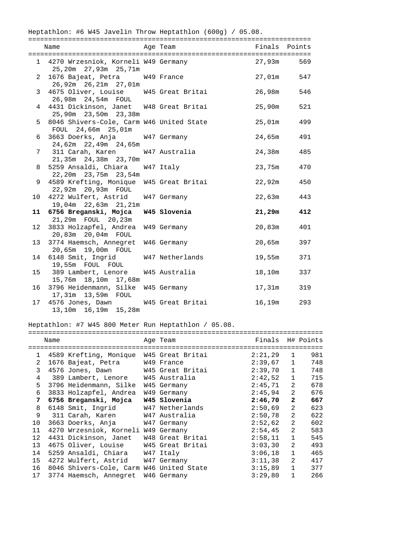|                 | Heptathlon: #6 W45 Javelin Throw Heptathlon (600g) / 05.08.      |                  |               |     |
|-----------------|------------------------------------------------------------------|------------------|---------------|-----|
|                 | Name                                                             | Age Team         | Finals Points |     |
|                 | 1 4270 Wrzesnick, Korneli W49 Germany<br>25,20m 27,93m 25,71m    |                  | 27,93m        | 569 |
| $\overline{2}$  | 1676 Bajeat, Petra W49 France<br>26,92m 26,21m 27,01m            |                  | 27,01m        | 547 |
|                 | 3 4675 Oliver, Louise W45 Great Britai<br>26,98m  24,54m  FOUL   |                  | 26,98m        | 546 |
|                 | 4 4431 Dickinson, Janet W48 Great Britai<br>25,90m 23,50m 23,38m |                  | 25,90m        | 521 |
|                 | 5 8046 Shivers-Cole, Carm W46 United State<br>FOUL 24,66m 25,01m |                  | 25,01m        | 499 |
| 6               | 3663 Doerks, Anja W47 Germany<br>24,62m 22,49m 24,65m            |                  | 24,65m        | 491 |
|                 | 311 Carah, Karen<br>7<br>21,35m 24,38m 23,70m                    | W47 Australia    | 24,38m        | 485 |
| 8               | 5259 Ansaldi, Chiara W47 Italy<br>22, 20m 23, 75m 23, 54m        |                  | 23,75m        | 470 |
| 9               | 4589 Krefting, Monique W45 Great Britai<br>22,92m 20,93m FOUL    |                  | 22,92m        | 450 |
| 10              | 4272 Wulfert, Astrid<br>19,04m 22,63m 21,21m                     | W47 Germany      | 22,63m        | 443 |
| 11              | 6756 Breganski, Mojca W45 Slovenia<br>21,29m FOUL 20,23m         |                  | 21,29m        | 412 |
| 12 <sup>°</sup> | 3833 Holzapfel, Andrea<br>20,83m 20,04m FOUL                     | W49 Germany      | 20,83m        | 401 |
| 13              | 3774 Haemsch, Annegret<br>20,65m 19,00m FOUL                     | W46 Germany      | 20,65m        | 397 |
|                 | 14 6148 Smit, Ingrid<br>19,55m FOUL FOUL                         | W47 Netherlands  | 19,55m        | 371 |
| 15              | 389 Lambert, Lenore<br>15,76m  18,10m  17,68m                    | W45 Australia    | 18,10m        | 337 |
|                 | 16 3796 Heidenmann, Silke W45 Germany<br>17,31m  13,59m  FOUL    |                  | 17,31m        | 319 |
| 17              | 4576 Jones, Dawn<br>13,10m  16,19m  15,28m                       | W45 Great Britai | 16,19m        | 293 |

## Heptathlon: #7 W45 800 Meter Run Heptathlon / 05.08.

|              | Name |                                          |  | Age Team         | Finals H# Points |                |     |
|--------------|------|------------------------------------------|--|------------------|------------------|----------------|-----|
|              |      |                                          |  |                  |                  |                |     |
| $\mathbf{1}$ |      | 4589 Krefting, Monique W45 Great Britai  |  |                  | 2:21,29          | $\mathbf{1}$   | 981 |
| 2            |      | 1676 Bajeat, Petra W49 France            |  |                  | 2:39,67          | $\mathbf{1}$   | 748 |
| 3            |      | 4576 Jones, Dawn W45 Great Britai        |  |                  | 2:39,70          | $\mathbf{1}$   | 748 |
| 4            |      | 389 Lambert, Lenore                      |  | W45 Australia    | 2:42,52          | $\mathbf 1$    | 715 |
| 5            |      | 3796 Heidenmann, Silke                   |  | W45 Germany      | 2:45,71          | $\overline{a}$ | 678 |
| 6            |      | 3833 Holzapfel, Andrea                   |  | W49 Germany      | 2:45,94          | $\overline{2}$ | 676 |
| 7            |      | 6756 Breganski, Mojca                    |  | W45 Slovenia     | 2:46,70          | $\mathbf{2}$   | 667 |
| 8            |      | 6148 Smit, Ingrid                        |  | W47 Netherlands  | 2:50,69          | 2              | 623 |
| 9            |      | 311 Carah, Karen W47 Australia           |  |                  | 2:50,78          | $\overline{2}$ | 622 |
| 10           |      | 3663 Doerks, Anja W47 Germany            |  |                  | 2:52,62          | 2              | 602 |
| 11           |      | 4270 Wrzesniok, Korneli W49 Germany      |  |                  | 2:54,45          | 2              | 583 |
| 12           |      | 4431 Dickinson, Janet                    |  | W48 Great Britai | 2:58,11          | $\mathbf{1}$   | 545 |
| 13           |      | 4675 Oliver, Louise                      |  | W45 Great Britai | 3:03,30          | $\overline{a}$ | 493 |
| 14           |      | 5259 Ansaldi, Chiara W47 Italy           |  |                  | 3:06,18          | $\mathbf 1$    | 465 |
| 15           |      | 4272 Wulfert, Astrid W47 Germany         |  |                  | 3:11,38          | 2              | 417 |
| 16           |      | 8046 Shivers-Cole, Carm W46 United State |  |                  | 3:15,89          | $\mathbf{1}$   | 377 |
| 17           |      | 3774 Haemsch, Annegret                   |  | W46 Germany      | 3:29,80          | $\mathbf{1}$   | 266 |